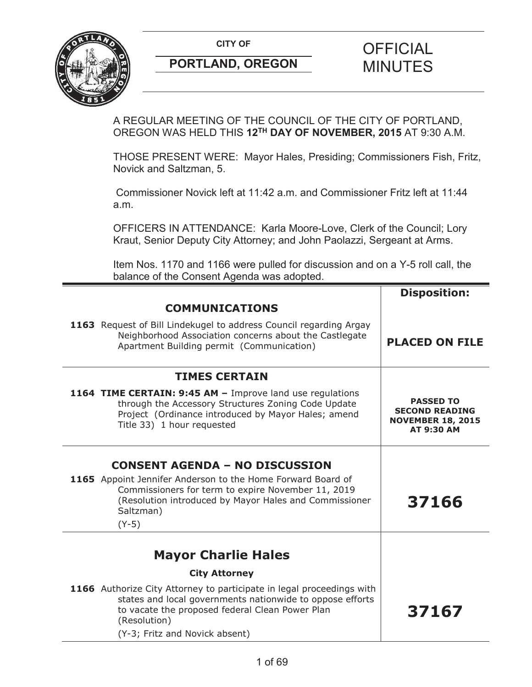

A REGULAR MEETING OF THE COUNCIL OF THE CITY OF PORTLAND, OREGON WAS HELD THIS **12TH DAY OF NOVEMBER, 2015** AT 9:30 A.M.

THOSE PRESENT WERE: Mayor Hales, Presiding; Commissioners Fish, Fritz, Novick and Saltzman, 5.

Commissioner Novick left at 11:42 a.m. and Commissioner Fritz left at 11:44 a.m.

OFFICERS IN ATTENDANCE: Karla Moore-Love, Clerk of the Council; Lory Kraut, Senior Deputy City Attorney; and John Paolazzi, Sergeant at Arms.

Item Nos. 1170 and 1166 were pulled for discussion and on a Y-5 roll call, the balance of the Consent Agenda was adopted.

|                                                                                                                                                                                                                                         | <b>Disposition:</b>                                                                        |
|-----------------------------------------------------------------------------------------------------------------------------------------------------------------------------------------------------------------------------------------|--------------------------------------------------------------------------------------------|
| <b>COMMUNICATIONS</b>                                                                                                                                                                                                                   |                                                                                            |
| 1163 Request of Bill Lindekugel to address Council regarding Argay<br>Neighborhood Association concerns about the Castlegate<br>Apartment Building permit (Communication)                                                               | <b>PLACED ON FILE</b>                                                                      |
| <b>TIMES CERTAIN</b>                                                                                                                                                                                                                    |                                                                                            |
| 1164 TIME CERTAIN: 9:45 AM - Improve land use regulations<br>through the Accessory Structures Zoning Code Update<br>Project (Ordinance introduced by Mayor Hales; amend<br>Title 33) 1 hour requested                                   | <b>PASSED TO</b><br><b>SECOND READING</b><br><b>NOVEMBER 18, 2015</b><br><b>AT 9:30 AM</b> |
| <b>CONSENT AGENDA - NO DISCUSSION</b>                                                                                                                                                                                                   |                                                                                            |
| 1165 Appoint Jennifer Anderson to the Home Forward Board of<br>Commissioners for term to expire November 11, 2019<br>(Resolution introduced by Mayor Hales and Commissioner<br>Saltzman)<br>$(Y-5)$                                     | 37166                                                                                      |
|                                                                                                                                                                                                                                         |                                                                                            |
| <b>Mayor Charlie Hales</b>                                                                                                                                                                                                              |                                                                                            |
| <b>City Attorney</b>                                                                                                                                                                                                                    |                                                                                            |
| 1166 Authorize City Attorney to participate in legal proceedings with<br>states and local governments nationwide to oppose efforts<br>to vacate the proposed federal Clean Power Plan<br>(Resolution)<br>(Y-3; Fritz and Novick absent) | 37167                                                                                      |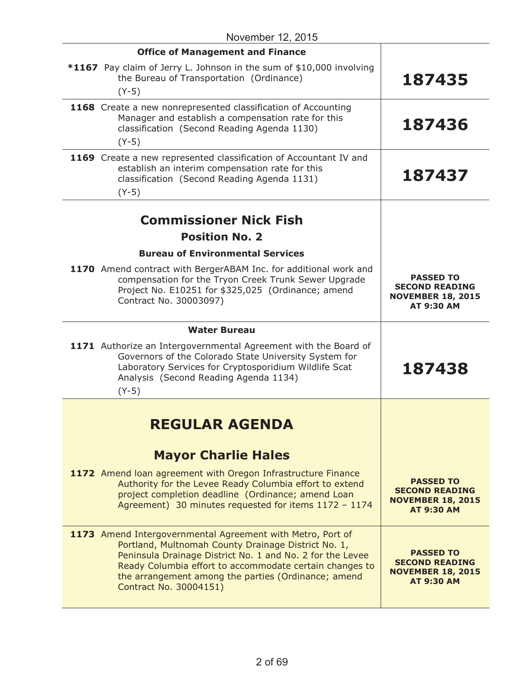| November 12, 2015                                                                                                                                                                                                                                                                                                          |                                                                                            |  |
|----------------------------------------------------------------------------------------------------------------------------------------------------------------------------------------------------------------------------------------------------------------------------------------------------------------------------|--------------------------------------------------------------------------------------------|--|
| <b>Office of Management and Finance</b>                                                                                                                                                                                                                                                                                    |                                                                                            |  |
| *1167 Pay claim of Jerry L. Johnson in the sum of \$10,000 involving<br>the Bureau of Transportation (Ordinance)<br>$(Y-5)$                                                                                                                                                                                                | 187435                                                                                     |  |
| 1168 Create a new nonrepresented classification of Accounting<br>Manager and establish a compensation rate for this<br>classification (Second Reading Agenda 1130)<br>$(Y-5)$                                                                                                                                              | 187436                                                                                     |  |
| 1169 Create a new represented classification of Accountant IV and<br>establish an interim compensation rate for this<br>classification (Second Reading Agenda 1131)<br>$(Y-5)$                                                                                                                                             | 187437                                                                                     |  |
| <b>Commissioner Nick Fish</b>                                                                                                                                                                                                                                                                                              |                                                                                            |  |
| <b>Position No. 2</b>                                                                                                                                                                                                                                                                                                      |                                                                                            |  |
| <b>Bureau of Environmental Services</b>                                                                                                                                                                                                                                                                                    |                                                                                            |  |
|                                                                                                                                                                                                                                                                                                                            |                                                                                            |  |
| 1170 Amend contract with BergerABAM Inc. for additional work and<br>compensation for the Tryon Creek Trunk Sewer Upgrade<br>Project No. E10251 for \$325,025 (Ordinance; amend<br>Contract No. 30003097)                                                                                                                   | <b>PASSED TO</b><br><b>SECOND READING</b><br><b>NOVEMBER 18, 2015</b><br>AT 9:30 AM        |  |
| <b>Water Bureau</b>                                                                                                                                                                                                                                                                                                        |                                                                                            |  |
| 1171 Authorize an Intergovernmental Agreement with the Board of<br>Governors of the Colorado State University System for<br>Laboratory Services for Cryptosporidium Wildlife Scat<br>Analysis (Second Reading Agenda 1134)<br>$(Y-5)$                                                                                      | 187438                                                                                     |  |
|                                                                                                                                                                                                                                                                                                                            |                                                                                            |  |
| REGULAR AGENDA                                                                                                                                                                                                                                                                                                             |                                                                                            |  |
| <b>Mayor Charlie Hales</b>                                                                                                                                                                                                                                                                                                 |                                                                                            |  |
| 1172 Amend Ioan agreement with Oregon Infrastructure Finance<br>Authority for the Levee Ready Columbia effort to extend<br>project completion deadline (Ordinance; amend Loan<br>Agreement) 30 minutes requested for items 1172 - 1174                                                                                     | <b>PASSED TO</b><br><b>SECOND READING</b><br><b>NOVEMBER 18, 2015</b><br><b>AT 9:30 AM</b> |  |
| 1173 Amend Intergovernmental Agreement with Metro, Port of<br>Portland, Multnomah County Drainage District No. 1,<br>Peninsula Drainage District No. 1 and No. 2 for the Levee<br>Ready Columbia effort to accommodate certain changes to<br>the arrangement among the parties (Ordinance; amend<br>Contract No. 30004151) | <b>PASSED TO</b><br><b>SECOND READING</b><br><b>NOVEMBER 18, 2015</b><br><b>AT 9:30 AM</b> |  |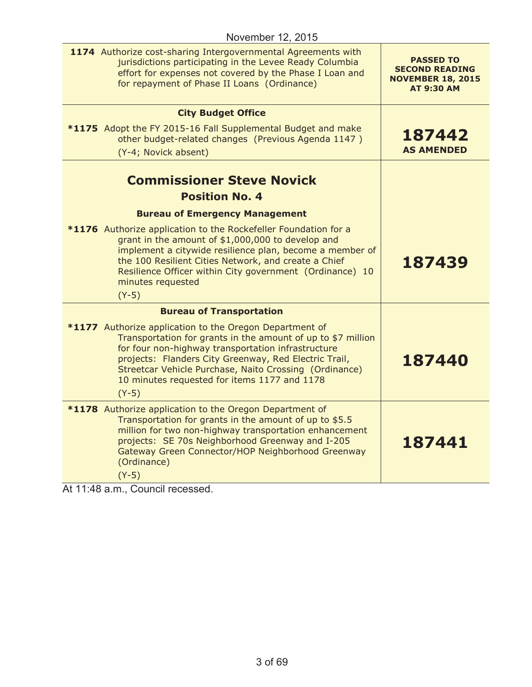| 1174 Authorize cost-sharing Intergovernmental Agreements with<br>jurisdictions participating in the Levee Ready Columbia<br>effort for expenses not covered by the Phase I Loan and<br>for repayment of Phase II Loans (Ordinance)                                                                                                                          | <b>PASSED TO</b><br><b>SECOND READING</b><br><b>NOVEMBER 18, 2015</b><br><b>AT 9:30 AM</b> |
|-------------------------------------------------------------------------------------------------------------------------------------------------------------------------------------------------------------------------------------------------------------------------------------------------------------------------------------------------------------|--------------------------------------------------------------------------------------------|
|                                                                                                                                                                                                                                                                                                                                                             |                                                                                            |
| <b>City Budget Office</b>                                                                                                                                                                                                                                                                                                                                   |                                                                                            |
| *1175 Adopt the FY 2015-16 Fall Supplemental Budget and make<br>other budget-related changes (Previous Agenda 1147)                                                                                                                                                                                                                                         | 187442                                                                                     |
| (Y-4; Novick absent)                                                                                                                                                                                                                                                                                                                                        | <b>AS AMENDED</b>                                                                          |
|                                                                                                                                                                                                                                                                                                                                                             |                                                                                            |
| <b>Commissioner Steve Novick</b><br><b>Position No. 4</b>                                                                                                                                                                                                                                                                                                   |                                                                                            |
|                                                                                                                                                                                                                                                                                                                                                             |                                                                                            |
| <b>Bureau of Emergency Management</b><br>*1176 Authorize application to the Rockefeller Foundation for a                                                                                                                                                                                                                                                    |                                                                                            |
| grant in the amount of \$1,000,000 to develop and<br>implement a citywide resilience plan, become a member of<br>the 100 Resilient Cities Network, and create a Chief<br>Resilience Officer within City government (Ordinance) 10<br>minutes requested<br>$(Y-5)$                                                                                           | 187439                                                                                     |
| <b>Bureau of Transportation</b>                                                                                                                                                                                                                                                                                                                             |                                                                                            |
| *1177 Authorize application to the Oregon Department of<br>Transportation for grants in the amount of up to \$7 million<br>for four non-highway transportation infrastructure<br>projects: Flanders City Greenway, Red Electric Trail,<br>Streetcar Vehicle Purchase, Naito Crossing (Ordinance)<br>10 minutes requested for items 1177 and 1178<br>$(Y-5)$ | 187440                                                                                     |
| *1178 Authorize application to the Oregon Department of<br>Transportation for grants in the amount of up to \$5.5<br>million for two non-highway transportation enhancement<br>projects: SE 70s Neighborhood Greenway and I-205<br>Gateway Green Connector/HOP Neighborhood Greenway<br>(Ordinance)<br>$(Y-5)$                                              | 187441                                                                                     |

At 11:48 a.m., Council recessed.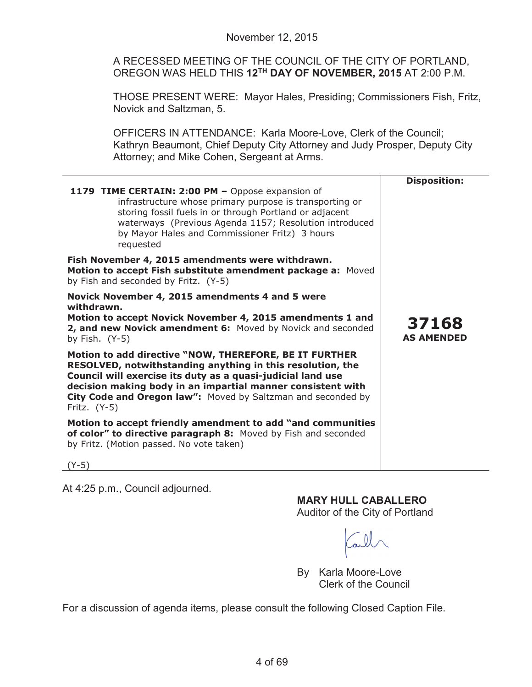A RECESSED MEETING OF THE COUNCIL OF THE CITY OF PORTLAND, OREGON WAS HELD THIS **12TH DAY OF NOVEMBER, 2015** AT 2:00 P.M.

THOSE PRESENT WERE: Mayor Hales, Presiding; Commissioners Fish, Fritz, Novick and Saltzman, 5.

OFFICERS IN ATTENDANCE: Karla Moore-Love, Clerk of the Council; Kathryn Beaumont, Chief Deputy City Attorney and Judy Prosper, Deputy City Attorney; and Mike Cohen, Sergeant at Arms.

| 1179 TIME CERTAIN: 2:00 PM - Oppose expansion of<br>infrastructure whose primary purpose is transporting or<br>storing fossil fuels in or through Portland or adjacent<br>waterways (Previous Agenda 1157; Resolution introduced<br>by Mayor Hales and Commissioner Fritz) 3 hours<br>requested                                      | <b>Disposition:</b>        |
|--------------------------------------------------------------------------------------------------------------------------------------------------------------------------------------------------------------------------------------------------------------------------------------------------------------------------------------|----------------------------|
| Fish November 4, 2015 amendments were withdrawn.<br>Motion to accept Fish substitute amendment package a: Moved<br>by Fish and seconded by Fritz. (Y-5)                                                                                                                                                                              |                            |
| Novick November 4, 2015 amendments 4 and 5 were<br>withdrawn.<br>Motion to accept Novick November 4, 2015 amendments 1 and<br>2, and new Novick amendment 6: Moved by Novick and seconded<br>by Fish. $(Y-5)$                                                                                                                        | 37168<br><b>AS AMENDED</b> |
| Motion to add directive "NOW, THEREFORE, BE IT FURTHER<br>RESOLVED, notwithstanding anything in this resolution, the<br>Council will exercise its duty as a quasi-judicial land use<br>decision making body in an impartial manner consistent with<br>City Code and Oregon law": Moved by Saltzman and seconded by<br>Fritz. $(Y-5)$ |                            |
| Motion to accept friendly amendment to add "and communities<br>of color" to directive paragraph 8: Moved by Fish and seconded<br>by Fritz. (Motion passed. No vote taken)                                                                                                                                                            |                            |
| $(Y-5)$                                                                                                                                                                                                                                                                                                                              |                            |

At 4:25 p.m., Council adjourned.

**MARY HULL CABALLERO**

Auditor of the City of Portland

By Karla Moore-Love Clerk of the Council

For a discussion of agenda items, please consult the following Closed Caption File.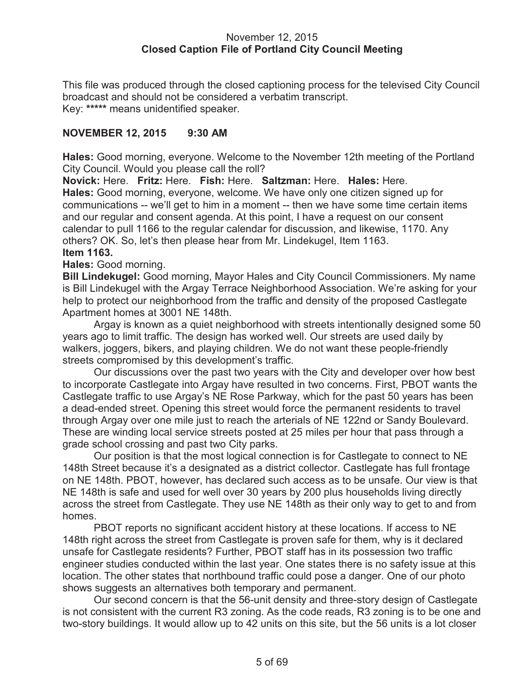### November 12, 2015 **Closed Caption File of Portland City Council Meeting**

This file was produced through the closed captioning process for the televised City Council broadcast and should not be considered a verbatim transcript. Key: **\*\*\*\*\*** means unidentified speaker.

## **NOVEMBER 12, 2015 9:30 AM**

**Hales:** Good morning, everyone. Welcome to the November 12th meeting of the Portland City Council. Would you please call the roll?

**Novick:** Here. **Fritz:** Here. **Fish:** Here. **Saltzman:** Here. **Hales:** Here. **Hales:** Good morning, everyone, welcome. We have only one citizen signed up for communications -- we'll get to him in a moment -- then we have some time certain items and our regular and consent agenda. At this point, I have a request on our consent calendar to pull 1166 to the regular calendar for discussion, and likewise, 1170. Any others? OK. So, let's then please hear from Mr. Lindekugel, Item 1163. **Item 1163.**

### **Hales:** Good morning.

**Bill Lindekugel:** Good morning, Mayor Hales and City Council Commissioners. My name is Bill Lindekugel with the Argay Terrace Neighborhood Association. We're asking for your help to protect our neighborhood from the traffic and density of the proposed Castlegate Apartment homes at 3001 NE 148th.

Argay is known as a quiet neighborhood with streets intentionally designed some 50 years ago to limit traffic. The design has worked well. Our streets are used daily by walkers, joggers, bikers, and playing children. We do not want these people-friendly streets compromised by this development's traffic.

Our discussions over the past two years with the City and developer over how best to incorporate Castlegate into Argay have resulted in two concerns. First, PBOT wants the Castlegate traffic to use Argay's NE Rose Parkway, which for the past 50 years has been a dead-ended street. Opening this street would force the permanent residents to travel through Argay over one mile just to reach the arterials of NE 122nd or Sandy Boulevard. These are winding local service streets posted at 25 miles per hour that pass through a grade school crossing and past two City parks.

Our position is that the most logical connection is for Castlegate to connect to NE 148th Street because it's a designated as a district collector. Castlegate has full frontage on NE 148th. PBOT, however, has declared such access as to be unsafe. Our view is that NE 148th is safe and used for well over 30 years by 200 plus households living directly across the street from Castlegate. They use NE 148th as their only way to get to and from homes.

PBOT reports no significant accident history at these locations. If access to NE 148th right across the street from Castlegate is proven safe for them, why is it declared unsafe for Castlegate residents? Further, PBOT staff has in its possession two traffic engineer studies conducted within the last year. One states there is no safety issue at this location. The other states that northbound traffic could pose a danger. One of our photo shows suggests an alternatives both temporary and permanent.

Our second concern is that the 56-unit density and three-story design of Castlegate is not consistent with the current R3 zoning. As the code reads, R3 zoning is to be one and two-story buildings. It would allow up to 42 units on this site, but the 56 units is a lot closer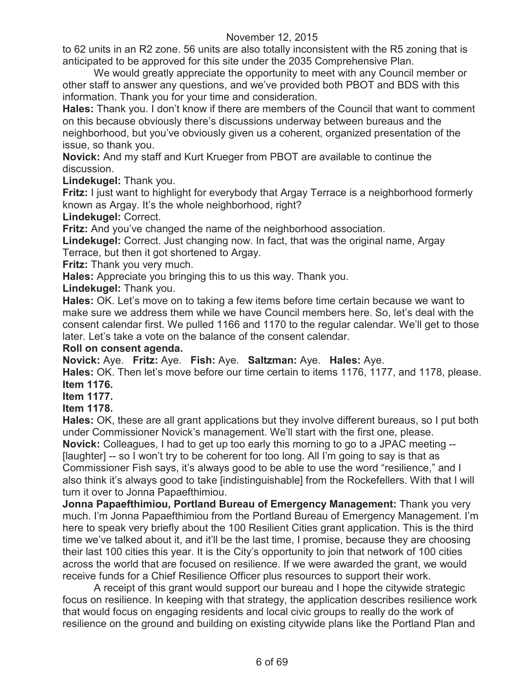to 62 units in an R2 zone. 56 units are also totally inconsistent with the R5 zoning that is anticipated to be approved for this site under the 2035 Comprehensive Plan.

We would greatly appreciate the opportunity to meet with any Council member or other staff to answer any questions, and we've provided both PBOT and BDS with this information. Thank you for your time and consideration.

**Hales:** Thank you. I don't know if there are members of the Council that want to comment on this because obviously there's discussions underway between bureaus and the neighborhood, but you've obviously given us a coherent, organized presentation of the issue, so thank you.

**Novick:** And my staff and Kurt Krueger from PBOT are available to continue the discussion.

**Lindekugel:** Thank you.

**Fritz:** I just want to highlight for everybody that Argay Terrace is a neighborhood formerly known as Argay. It's the whole neighborhood, right?

**Lindekugel:** Correct.

**Fritz:** And you've changed the name of the neighborhood association.

**Lindekugel:** Correct. Just changing now. In fact, that was the original name, Argay Terrace, but then it got shortened to Argay.

**Fritz:** Thank you very much.

**Hales:** Appreciate you bringing this to us this way. Thank you.

**Lindekugel:** Thank you.

**Hales:** OK. Let's move on to taking a few items before time certain because we want to make sure we address them while we have Council members here. So, let's deal with the consent calendar first. We pulled 1166 and 1170 to the regular calendar. We'll get to those later. Let's take a vote on the balance of the consent calendar.

### **Roll on consent agenda.**

**Novick:** Aye. **Fritz:** Aye. **Fish:** Aye. **Saltzman:** Aye. **Hales:** Aye.

**Hales:** OK. Then let's move before our time certain to items 1176, 1177, and 1178, please. **Item 1176.**

**Item 1177.**

**Item 1178.**

**Hales:** OK, these are all grant applications but they involve different bureaus, so I put both under Commissioner Novick's management. We'll start with the first one, please.

**Novick:** Colleagues, I had to get up too early this morning to go to a JPAC meeting -- [laughter] -- so I won't try to be coherent for too long. All I'm going to say is that as Commissioner Fish says, it's always good to be able to use the word "resilience," and I also think it's always good to take [indistinguishable] from the Rockefellers. With that I will turn it over to Jonna Papaefthimiou.

**Jonna Papaefthimiou, Portland Bureau of Emergency Management:** Thank you very much. I'm Jonna Papaefthimiou from the Portland Bureau of Emergency Management. I'm here to speak very briefly about the 100 Resilient Cities grant application. This is the third time we've talked about it, and it'll be the last time, I promise, because they are choosing their last 100 cities this year. It is the City's opportunity to join that network of 100 cities across the world that are focused on resilience. If we were awarded the grant, we would receive funds for a Chief Resilience Officer plus resources to support their work.

A receipt of this grant would support our bureau and I hope the citywide strategic focus on resilience. In keeping with that strategy, the application describes resilience work that would focus on engaging residents and local civic groups to really do the work of resilience on the ground and building on existing citywide plans like the Portland Plan and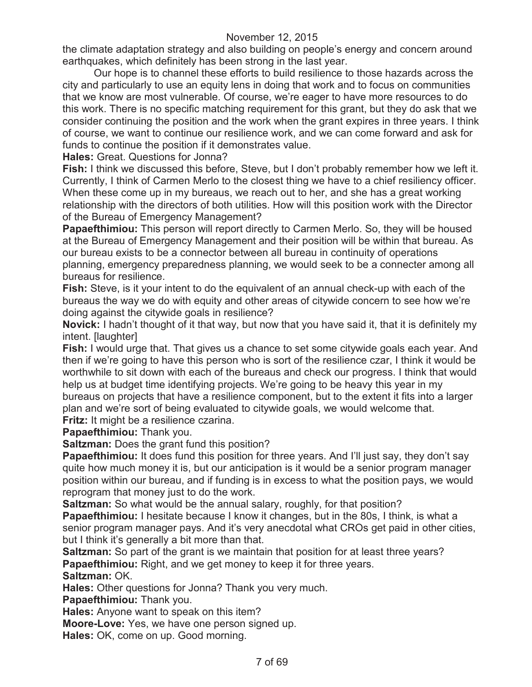the climate adaptation strategy and also building on people's energy and concern around earthquakes, which definitely has been strong in the last year.

Our hope is to channel these efforts to build resilience to those hazards across the city and particularly to use an equity lens in doing that work and to focus on communities that we know are most vulnerable. Of course, we're eager to have more resources to do this work. There is no specific matching requirement for this grant, but they do ask that we consider continuing the position and the work when the grant expires in three years. I think of course, we want to continue our resilience work, and we can come forward and ask for funds to continue the position if it demonstrates value.

**Hales:** Great. Questions for Jonna?

**Fish:** I think we discussed this before, Steve, but I don't probably remember how we left it. Currently, I think of Carmen Merlo to the closest thing we have to a chief resiliency officer. When these come up in my bureaus, we reach out to her, and she has a great working relationship with the directors of both utilities. How will this position work with the Director of the Bureau of Emergency Management?

**Papaefthimiou:** This person will report directly to Carmen Merlo. So, they will be housed at the Bureau of Emergency Management and their position will be within that bureau. As our bureau exists to be a connector between all bureau in continuity of operations planning, emergency preparedness planning, we would seek to be a connecter among all bureaus for resilience.

**Fish:** Steve, is it your intent to do the equivalent of an annual check-up with each of the bureaus the way we do with equity and other areas of citywide concern to see how we're doing against the citywide goals in resilience?

**Novick:** I hadn't thought of it that way, but now that you have said it, that it is definitely my intent. [laughter]

**Fish:** I would urge that. That gives us a chance to set some citywide goals each year. And then if we're going to have this person who is sort of the resilience czar, I think it would be worthwhile to sit down with each of the bureaus and check our progress. I think that would help us at budget time identifying projects. We're going to be heavy this year in my

bureaus on projects that have a resilience component, but to the extent it fits into a larger plan and we're sort of being evaluated to citywide goals, we would welcome that.

**Fritz:** It might be a resilience czarina.

**Papaefthimiou:** Thank you.

**Saltzman:** Does the grant fund this position?

**Papaefthimiou:** It does fund this position for three years. And I'll just say, they don't say quite how much money it is, but our anticipation is it would be a senior program manager position within our bureau, and if funding is in excess to what the position pays, we would reprogram that money just to do the work.

**Saltzman:** So what would be the annual salary, roughly, for that position?

**Papaefthimiou:** I hesitate because I know it changes, but in the 80s, I think, is what a senior program manager pays. And it's very anecdotal what CROs get paid in other cities, but I think it's generally a bit more than that.

**Saltzman:** So part of the grant is we maintain that position for at least three years? **Papaefthimiou:** Right, and we get money to keep it for three years.

**Saltzman:** OK.

**Hales:** Other questions for Jonna? Thank you very much.

**Papaefthimiou:** Thank you.

**Hales:** Anyone want to speak on this item?

**Moore-Love:** Yes, we have one person signed up.

**Hales:** OK, come on up. Good morning.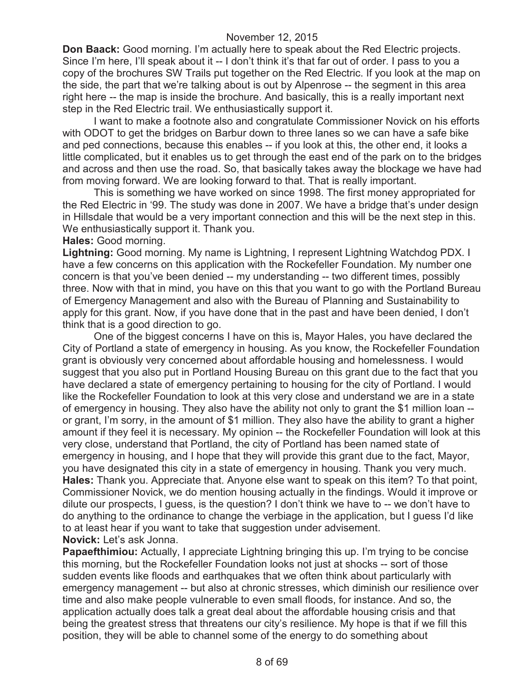**Don Baack:** Good morning. I'm actually here to speak about the Red Electric projects. Since I'm here, I'll speak about it -- I don't think it's that far out of order. I pass to you a copy of the brochures SW Trails put together on the Red Electric. If you look at the map on the side, the part that we're talking about is out by Alpenrose -- the segment in this area right here -- the map is inside the brochure. And basically, this is a really important next step in the Red Electric trail. We enthusiastically support it.

I want to make a footnote also and congratulate Commissioner Novick on his efforts with ODOT to get the bridges on Barbur down to three lanes so we can have a safe bike and ped connections, because this enables -- if you look at this, the other end, it looks a little complicated, but it enables us to get through the east end of the park on to the bridges and across and then use the road. So, that basically takes away the blockage we have had from moving forward. We are looking forward to that. That is really important.

This is something we have worked on since 1998. The first money appropriated for the Red Electric in '99. The study was done in 2007. We have a bridge that's under design in Hillsdale that would be a very important connection and this will be the next step in this. We enthusiastically support it. Thank you.

### **Hales:** Good morning.

**Lightning:** Good morning. My name is Lightning, I represent Lightning Watchdog PDX. I have a few concerns on this application with the Rockefeller Foundation. My number one concern is that you've been denied -- my understanding -- two different times, possibly three. Now with that in mind, you have on this that you want to go with the Portland Bureau of Emergency Management and also with the Bureau of Planning and Sustainability to apply for this grant. Now, if you have done that in the past and have been denied, I don't think that is a good direction to go.

One of the biggest concerns I have on this is, Mayor Hales, you have declared the City of Portland a state of emergency in housing. As you know, the Rockefeller Foundation grant is obviously very concerned about affordable housing and homelessness. I would suggest that you also put in Portland Housing Bureau on this grant due to the fact that you have declared a state of emergency pertaining to housing for the city of Portland. I would like the Rockefeller Foundation to look at this very close and understand we are in a state of emergency in housing. They also have the ability not only to grant the \$1 million loan - or grant, I'm sorry, in the amount of \$1 million. They also have the ability to grant a higher amount if they feel it is necessary. My opinion -- the Rockefeller Foundation will look at this very close, understand that Portland, the city of Portland has been named state of emergency in housing, and I hope that they will provide this grant due to the fact, Mayor, you have designated this city in a state of emergency in housing. Thank you very much. **Hales:** Thank you. Appreciate that. Anyone else want to speak on this item? To that point, Commissioner Novick, we do mention housing actually in the findings. Would it improve or dilute our prospects, I guess, is the question? I don't think we have to -- we don't have to do anything to the ordinance to change the verbiage in the application, but I guess I'd like to at least hear if you want to take that suggestion under advisement. **Novick:** Let's ask Jonna.

**Papaefthimiou:** Actually, I appreciate Lightning bringing this up. I'm trying to be concise this morning, but the Rockefeller Foundation looks not just at shocks -- sort of those sudden events like floods and earthquakes that we often think about particularly with emergency management -- but also at chronic stresses, which diminish our resilience over time and also make people vulnerable to even small floods, for instance. And so, the application actually does talk a great deal about the affordable housing crisis and that being the greatest stress that threatens our city's resilience. My hope is that if we fill this position, they will be able to channel some of the energy to do something about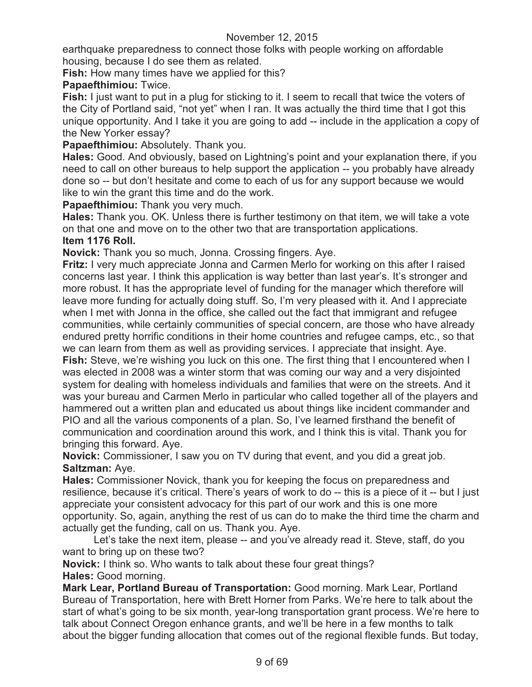earthquake preparedness to connect those folks with people working on affordable housing, because I do see them as related.

**Fish:** How many times have we applied for this?

# **Papaefthimiou:** Twice.

**Fish:** I just want to put in a plug for sticking to it. I seem to recall that twice the voters of the City of Portland said, "not yet" when I ran. It was actually the third time that I got this unique opportunity. And I take it you are going to add -- include in the application a copy of the New Yorker essay?

## **Papaefthimiou:** Absolutely. Thank you.

**Hales:** Good. And obviously, based on Lightning's point and your explanation there, if you need to call on other bureaus to help support the application -- you probably have already done so -- but don't hesitate and come to each of us for any support because we would like to win the grant this time and do the work.

**Papaefthimiou:** Thank you very much.

**Hales:** Thank you. OK. Unless there is further testimony on that item, we will take a vote on that one and move on to the other two that are transportation applications.

### **Item 1176 Roll.**

**Novick:** Thank you so much, Jonna. Crossing fingers. Aye.

**Fritz:** I very much appreciate Jonna and Carmen Merlo for working on this after I raised concerns last year. I think this application is way better than last year's. It's stronger and more robust. It has the appropriate level of funding for the manager which therefore will leave more funding for actually doing stuff. So, I'm very pleased with it. And I appreciate when I met with Jonna in the office, she called out the fact that immigrant and refugee communities, while certainly communities of special concern, are those who have already endured pretty horrific conditions in their home countries and refugee camps, etc., so that we can learn from them as well as providing services. I appreciate that insight. Aye. **Fish:** Steve, we're wishing you luck on this one. The first thing that I encountered when I was elected in 2008 was a winter storm that was coming our way and a very disjointed system for dealing with homeless individuals and families that were on the streets. And it was your bureau and Carmen Merlo in particular who called together all of the players and hammered out a written plan and educated us about things like incident commander and PIO and all the various components of a plan. So, I've learned firsthand the benefit of communication and coordination around this work, and I think this is vital. Thank you for bringing this forward. Aye.

**Novick:** Commissioner, I saw you on TV during that event, and you did a great job. **Saltzman:** Aye.

**Hales:** Commissioner Novick, thank you for keeping the focus on preparedness and resilience, because it's critical. There's years of work to do -- this is a piece of it -- but I just appreciate your consistent advocacy for this part of our work and this is one more opportunity. So, again, anything the rest of us can do to make the third time the charm and actually get the funding, call on us. Thank you. Aye.

Let's take the next item, please -- and you've already read it. Steve, staff, do you want to bring up on these two?

**Novick:** I think so. Who wants to talk about these four great things? **Hales:** Good morning.

**Mark Lear, Portland Bureau of Transportation:** Good morning. Mark Lear, Portland Bureau of Transportation, here with Brett Horner from Parks. We're here to talk about the start of what's going to be six month, year-long transportation grant process. We're here to talk about Connect Oregon enhance grants, and we'll be here in a few months to talk about the bigger funding allocation that comes out of the regional flexible funds. But today,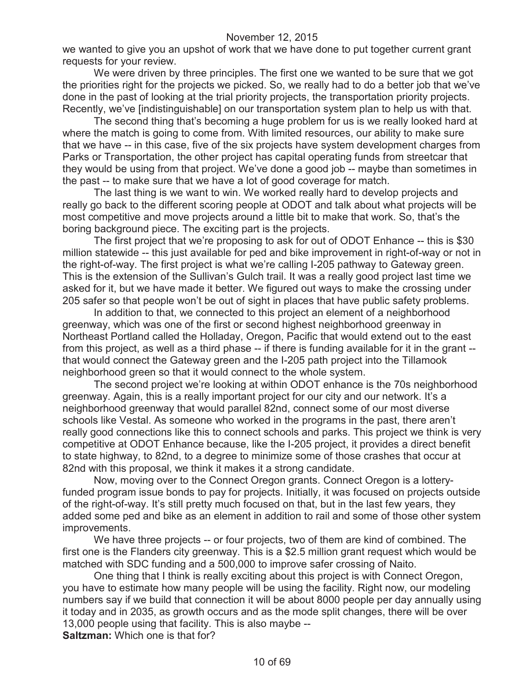we wanted to give you an upshot of work that we have done to put together current grant requests for your review.

We were driven by three principles. The first one we wanted to be sure that we got the priorities right for the projects we picked. So, we really had to do a better job that we've done in the past of looking at the trial priority projects, the transportation priority projects. Recently, we've [indistinguishable] on our transportation system plan to help us with that.

The second thing that's becoming a huge problem for us is we really looked hard at where the match is going to come from. With limited resources, our ability to make sure that we have -- in this case, five of the six projects have system development charges from Parks or Transportation, the other project has capital operating funds from streetcar that they would be using from that project. We've done a good job -- maybe than sometimes in the past -- to make sure that we have a lot of good coverage for match.

The last thing is we want to win. We worked really hard to develop projects and really go back to the different scoring people at ODOT and talk about what projects will be most competitive and move projects around a little bit to make that work. So, that's the boring background piece. The exciting part is the projects.

The first project that we're proposing to ask for out of ODOT Enhance -- this is \$30 million statewide -- this just available for ped and bike improvement in right-of-way or not in the right-of-way. The first project is what we're calling I-205 pathway to Gateway green. This is the extension of the Sullivan's Gulch trail. It was a really good project last time we asked for it, but we have made it better. We figured out ways to make the crossing under 205 safer so that people won't be out of sight in places that have public safety problems.

In addition to that, we connected to this project an element of a neighborhood greenway, which was one of the first or second highest neighborhood greenway in Northeast Portland called the Holladay, Oregon, Pacific that would extend out to the east from this project, as well as a third phase -- if there is funding available for it in the grant - that would connect the Gateway green and the I-205 path project into the Tillamook neighborhood green so that it would connect to the whole system.

The second project we're looking at within ODOT enhance is the 70s neighborhood greenway. Again, this is a really important project for our city and our network. It's a neighborhood greenway that would parallel 82nd, connect some of our most diverse schools like Vestal. As someone who worked in the programs in the past, there aren't really good connections like this to connect schools and parks. This project we think is very competitive at ODOT Enhance because, like the I-205 project, it provides a direct benefit to state highway, to 82nd, to a degree to minimize some of those crashes that occur at 82nd with this proposal, we think it makes it a strong candidate.

Now, moving over to the Connect Oregon grants. Connect Oregon is a lotteryfunded program issue bonds to pay for projects. Initially, it was focused on projects outside of the right-of-way. It's still pretty much focused on that, but in the last few years, they added some ped and bike as an element in addition to rail and some of those other system improvements.

We have three projects -- or four projects, two of them are kind of combined. The first one is the Flanders city greenway. This is a \$2.5 million grant request which would be matched with SDC funding and a 500,000 to improve safer crossing of Naito.

One thing that I think is really exciting about this project is with Connect Oregon, you have to estimate how many people will be using the facility. Right now, our modeling numbers say if we build that connection it will be about 8000 people per day annually using it today and in 2035, as growth occurs and as the mode split changes, there will be over 13,000 people using that facility. This is also maybe --

**Saltzman:** Which one is that for?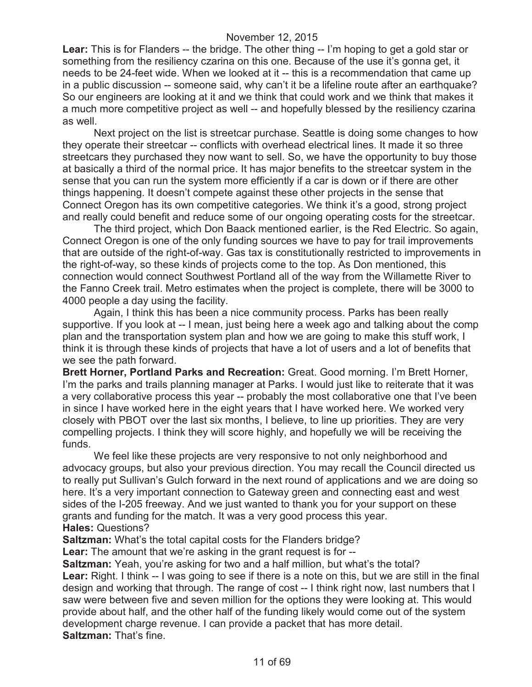Lear: This is for Flanders -- the bridge. The other thing -- I'm hoping to get a gold star or something from the resiliency czarina on this one. Because of the use it's gonna get, it needs to be 24-feet wide. When we looked at it -- this is a recommendation that came up in a public discussion -- someone said, why can't it be a lifeline route after an earthquake? So our engineers are looking at it and we think that could work and we think that makes it a much more competitive project as well -- and hopefully blessed by the resiliency czarina as well.

Next project on the list is streetcar purchase. Seattle is doing some changes to how they operate their streetcar -- conflicts with overhead electrical lines. It made it so three streetcars they purchased they now want to sell. So, we have the opportunity to buy those at basically a third of the normal price. It has major benefits to the streetcar system in the sense that you can run the system more efficiently if a car is down or if there are other things happening. It doesn't compete against these other projects in the sense that Connect Oregon has its own competitive categories. We think it's a good, strong project and really could benefit and reduce some of our ongoing operating costs for the streetcar.

The third project, which Don Baack mentioned earlier, is the Red Electric. So again, Connect Oregon is one of the only funding sources we have to pay for trail improvements that are outside of the right-of-way. Gas tax is constitutionally restricted to improvements in the right-of-way, so these kinds of projects come to the top. As Don mentioned, this connection would connect Southwest Portland all of the way from the Willamette River to the Fanno Creek trail. Metro estimates when the project is complete, there will be 3000 to 4000 people a day using the facility.

Again, I think this has been a nice community process. Parks has been really supportive. If you look at -- I mean, just being here a week ago and talking about the comp plan and the transportation system plan and how we are going to make this stuff work, I think it is through these kinds of projects that have a lot of users and a lot of benefits that we see the path forward.

**Brett Horner, Portland Parks and Recreation:** Great. Good morning. I'm Brett Horner, I'm the parks and trails planning manager at Parks. I would just like to reiterate that it was a very collaborative process this year -- probably the most collaborative one that I've been in since I have worked here in the eight years that I have worked here. We worked very closely with PBOT over the last six months, I believe, to line up priorities. They are very compelling projects. I think they will score highly, and hopefully we will be receiving the funds.

We feel like these projects are very responsive to not only neighborhood and advocacy groups, but also your previous direction. You may recall the Council directed us to really put Sullivan's Gulch forward in the next round of applications and we are doing so here. It's a very important connection to Gateway green and connecting east and west sides of the I-205 freeway. And we just wanted to thank you for your support on these grants and funding for the match. It was a very good process this year. **Hales:** Questions?

**Saltzman:** What's the total capital costs for the Flanders bridge?

**Lear:** The amount that we're asking in the grant request is for --

**Saltzman:** Yeah, you're asking for two and a half million, but what's the total? **Lear:** Right. I think -- I was going to see if there is a note on this, but we are still in the final design and working that through. The range of cost -- I think right now, last numbers that I saw were between five and seven million for the options they were looking at. This would provide about half, and the other half of the funding likely would come out of the system development charge revenue. I can provide a packet that has more detail. **Saltzman:** That's fine.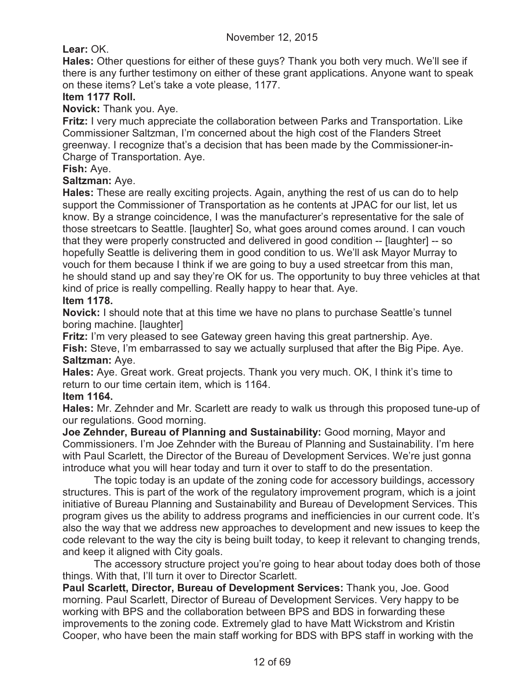**Lear:** OK.

**Hales:** Other questions for either of these guys? Thank you both very much. We'll see if there is any further testimony on either of these grant applications. Anyone want to speak on these items? Let's take a vote please, 1177.

# **Item 1177 Roll.**

**Novick:** Thank you. Aye.

**Fritz:** I very much appreciate the collaboration between Parks and Transportation. Like Commissioner Saltzman, I'm concerned about the high cost of the Flanders Street greenway. I recognize that's a decision that has been made by the Commissioner-in-Charge of Transportation. Aye.

## **Fish:** Aye.

## **Saltzman:** Aye.

**Hales:** These are really exciting projects. Again, anything the rest of us can do to help support the Commissioner of Transportation as he contents at JPAC for our list, let us know. By a strange coincidence, I was the manufacturer's representative for the sale of those streetcars to Seattle. [laughter] So, what goes around comes around. I can vouch that they were properly constructed and delivered in good condition -- [laughter] -- so hopefully Seattle is delivering them in good condition to us. We'll ask Mayor Murray to vouch for them because I think if we are going to buy a used streetcar from this man, he should stand up and say they're OK for us. The opportunity to buy three vehicles at that kind of price is really compelling. Really happy to hear that. Aye.

### **Item 1178.**

**Novick:** I should note that at this time we have no plans to purchase Seattle's tunnel boring machine. [laughter]

**Fritz:** I'm very pleased to see Gateway green having this great partnership. Aye. **Fish:** Steve, I'm embarrassed to say we actually surplused that after the Big Pipe. Aye. **Saltzman:** Aye.

**Hales:** Aye. Great work. Great projects. Thank you very much. OK, I think it's time to return to our time certain item, which is 1164.

### **Item 1164.**

**Hales:** Mr. Zehnder and Mr. Scarlett are ready to walk us through this proposed tune-up of our regulations. Good morning.

**Joe Zehnder, Bureau of Planning and Sustainability:** Good morning, Mayor and Commissioners. I'm Joe Zehnder with the Bureau of Planning and Sustainability. I'm here with Paul Scarlett, the Director of the Bureau of Development Services. We're just gonna introduce what you will hear today and turn it over to staff to do the presentation.

The topic today is an update of the zoning code for accessory buildings, accessory structures. This is part of the work of the regulatory improvement program, which is a joint initiative of Bureau Planning and Sustainability and Bureau of Development Services. This program gives us the ability to address programs and inefficiencies in our current code. It's also the way that we address new approaches to development and new issues to keep the code relevant to the way the city is being built today, to keep it relevant to changing trends, and keep it aligned with City goals.

The accessory structure project you're going to hear about today does both of those things. With that, I'll turn it over to Director Scarlett.

**Paul Scarlett, Director, Bureau of Development Services:** Thank you, Joe. Good morning. Paul Scarlett, Director of Bureau of Development Services. Very happy to be working with BPS and the collaboration between BPS and BDS in forwarding these improvements to the zoning code. Extremely glad to have Matt Wickstrom and Kristin Cooper, who have been the main staff working for BDS with BPS staff in working with the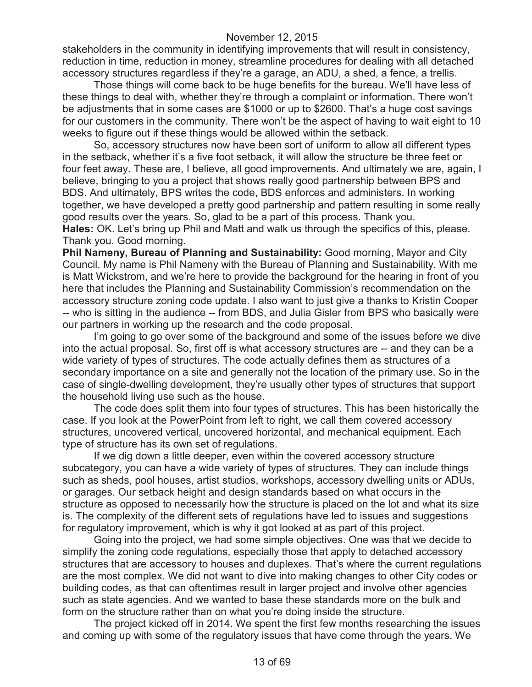stakeholders in the community in identifying improvements that will result in consistency, reduction in time, reduction in money, streamline procedures for dealing with all detached accessory structures regardless if they're a garage, an ADU, a shed, a fence, a trellis.

Those things will come back to be huge benefits for the bureau. We'll have less of these things to deal with, whether they're through a complaint or information. There won't be adjustments that in some cases are \$1000 or up to \$2600. That's a huge cost savings for our customers in the community. There won't be the aspect of having to wait eight to 10 weeks to figure out if these things would be allowed within the setback.

So, accessory structures now have been sort of uniform to allow all different types in the setback, whether it's a five foot setback, it will allow the structure be three feet or four feet away. These are, I believe, all good improvements. And ultimately we are, again, I believe, bringing to you a project that shows really good partnership between BPS and BDS. And ultimately, BPS writes the code, BDS enforces and administers. In working together, we have developed a pretty good partnership and pattern resulting in some really good results over the years. So, glad to be a part of this process. Thank you.

**Hales:** OK. Let's bring up Phil and Matt and walk us through the specifics of this, please. Thank you. Good morning.

**Phil Nameny, Bureau of Planning and Sustainability:** Good morning, Mayor and City Council. My name is Phil Nameny with the Bureau of Planning and Sustainability. With me is Matt Wickstrom, and we're here to provide the background for the hearing in front of you here that includes the Planning and Sustainability Commission's recommendation on the accessory structure zoning code update. I also want to just give a thanks to Kristin Cooper -- who is sitting in the audience -- from BDS, and Julia Gisler from BPS who basically were our partners in working up the research and the code proposal.

I'm going to go over some of the background and some of the issues before we dive into the actual proposal. So, first off is what accessory structures are -- and they can be a wide variety of types of structures. The code actually defines them as structures of a secondary importance on a site and generally not the location of the primary use. So in the case of single-dwelling development, they're usually other types of structures that support the household living use such as the house.

The code does split them into four types of structures. This has been historically the case. If you look at the PowerPoint from left to right, we call them covered accessory structures, uncovered vertical, uncovered horizontal, and mechanical equipment. Each type of structure has its own set of regulations.

If we dig down a little deeper, even within the covered accessory structure subcategory, you can have a wide variety of types of structures. They can include things such as sheds, pool houses, artist studios, workshops, accessory dwelling units or ADUs, or garages. Our setback height and design standards based on what occurs in the structure as opposed to necessarily how the structure is placed on the lot and what its size is. The complexity of the different sets of regulations have led to issues and suggestions for regulatory improvement, which is why it got looked at as part of this project.

Going into the project, we had some simple objectives. One was that we decide to simplify the zoning code regulations, especially those that apply to detached accessory structures that are accessory to houses and duplexes. That's where the current regulations are the most complex. We did not want to dive into making changes to other City codes or building codes, as that can oftentimes result in larger project and involve other agencies such as state agencies. And we wanted to base these standards more on the bulk and form on the structure rather than on what you're doing inside the structure.

The project kicked off in 2014. We spent the first few months researching the issues and coming up with some of the regulatory issues that have come through the years. We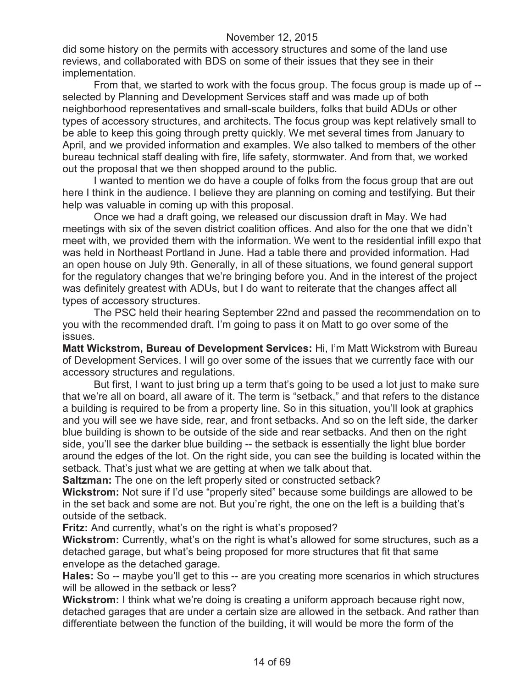did some history on the permits with accessory structures and some of the land use reviews, and collaborated with BDS on some of their issues that they see in their implementation.

From that, we started to work with the focus group. The focus group is made up of - selected by Planning and Development Services staff and was made up of both neighborhood representatives and small-scale builders, folks that build ADUs or other types of accessory structures, and architects. The focus group was kept relatively small to be able to keep this going through pretty quickly. We met several times from January to April, and we provided information and examples. We also talked to members of the other bureau technical staff dealing with fire, life safety, stormwater. And from that, we worked out the proposal that we then shopped around to the public.

I wanted to mention we do have a couple of folks from the focus group that are out here I think in the audience. I believe they are planning on coming and testifying. But their help was valuable in coming up with this proposal.

Once we had a draft going, we released our discussion draft in May. We had meetings with six of the seven district coalition offices. And also for the one that we didn't meet with, we provided them with the information. We went to the residential infill expo that was held in Northeast Portland in June. Had a table there and provided information. Had an open house on July 9th. Generally, in all of these situations, we found general support for the regulatory changes that we're bringing before you. And in the interest of the project was definitely greatest with ADUs, but I do want to reiterate that the changes affect all types of accessory structures.

The PSC held their hearing September 22nd and passed the recommendation on to you with the recommended draft. I'm going to pass it on Matt to go over some of the issues.

**Matt Wickstrom, Bureau of Development Services:** Hi, I'm Matt Wickstrom with Bureau of Development Services. I will go over some of the issues that we currently face with our accessory structures and regulations.

But first, I want to just bring up a term that's going to be used a lot just to make sure that we're all on board, all aware of it. The term is "setback," and that refers to the distance a building is required to be from a property line. So in this situation, you'll look at graphics and you will see we have side, rear, and front setbacks. And so on the left side, the darker blue building is shown to be outside of the side and rear setbacks. And then on the right side, you'll see the darker blue building -- the setback is essentially the light blue border around the edges of the lot. On the right side, you can see the building is located within the setback. That's just what we are getting at when we talk about that.

**Saltzman:** The one on the left properly sited or constructed setback?

**Wickstrom:** Not sure if I'd use "properly sited" because some buildings are allowed to be in the set back and some are not. But you're right, the one on the left is a building that's outside of the setback.

**Fritz:** And currently, what's on the right is what's proposed?

**Wickstrom:** Currently, what's on the right is what's allowed for some structures, such as a detached garage, but what's being proposed for more structures that fit that same envelope as the detached garage.

**Hales:** So -- maybe you'll get to this -- are you creating more scenarios in which structures will be allowed in the setback or less?

**Wickstrom:** I think what we're doing is creating a uniform approach because right now, detached garages that are under a certain size are allowed in the setback. And rather than differentiate between the function of the building, it will would be more the form of the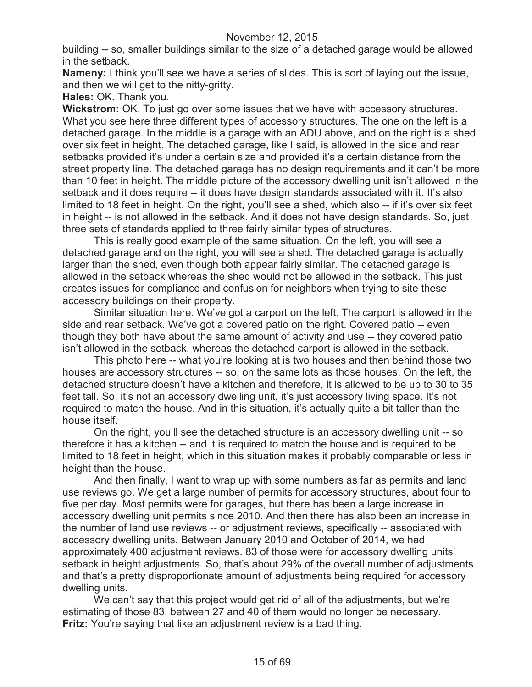building -- so, smaller buildings similar to the size of a detached garage would be allowed in the setback.

**Nameny:** I think you'll see we have a series of slides. This is sort of laying out the issue, and then we will get to the nitty-gritty.

**Hales:** OK. Thank you.

**Wickstrom:** OK. To just go over some issues that we have with accessory structures. What you see here three different types of accessory structures. The one on the left is a detached garage. In the middle is a garage with an ADU above, and on the right is a shed over six feet in height. The detached garage, like I said, is allowed in the side and rear setbacks provided it's under a certain size and provided it's a certain distance from the street property line. The detached garage has no design requirements and it can't be more than 10 feet in height. The middle picture of the accessory dwelling unit isn't allowed in the setback and it does require -- it does have design standards associated with it. It's also limited to 18 feet in height. On the right, you'll see a shed, which also -- if it's over six feet in height -- is not allowed in the setback. And it does not have design standards. So, just three sets of standards applied to three fairly similar types of structures.

This is really good example of the same situation. On the left, you will see a detached garage and on the right, you will see a shed. The detached garage is actually larger than the shed, even though both appear fairly similar. The detached garage is allowed in the setback whereas the shed would not be allowed in the setback. This just creates issues for compliance and confusion for neighbors when trying to site these accessory buildings on their property.

Similar situation here. We've got a carport on the left. The carport is allowed in the side and rear setback. We've got a covered patio on the right. Covered patio -- even though they both have about the same amount of activity and use -- they covered patio isn't allowed in the setback, whereas the detached carport is allowed in the setback.

This photo here -- what you're looking at is two houses and then behind those two houses are accessory structures -- so, on the same lots as those houses. On the left, the detached structure doesn't have a kitchen and therefore, it is allowed to be up to 30 to 35 feet tall. So, it's not an accessory dwelling unit, it's just accessory living space. It's not required to match the house. And in this situation, it's actually quite a bit taller than the house itself.

On the right, you'll see the detached structure is an accessory dwelling unit -- so therefore it has a kitchen -- and it is required to match the house and is required to be limited to 18 feet in height, which in this situation makes it probably comparable or less in height than the house.

And then finally, I want to wrap up with some numbers as far as permits and land use reviews go. We get a large number of permits for accessory structures, about four to five per day. Most permits were for garages, but there has been a large increase in accessory dwelling unit permits since 2010. And then there has also been an increase in the number of land use reviews -- or adjustment reviews, specifically -- associated with accessory dwelling units. Between January 2010 and October of 2014, we had approximately 400 adjustment reviews. 83 of those were for accessory dwelling units' setback in height adjustments. So, that's about 29% of the overall number of adjustments and that's a pretty disproportionate amount of adjustments being required for accessory dwelling units.

We can't say that this project would get rid of all of the adjustments, but we're estimating of those 83, between 27 and 40 of them would no longer be necessary. **Fritz:** You're saying that like an adjustment review is a bad thing.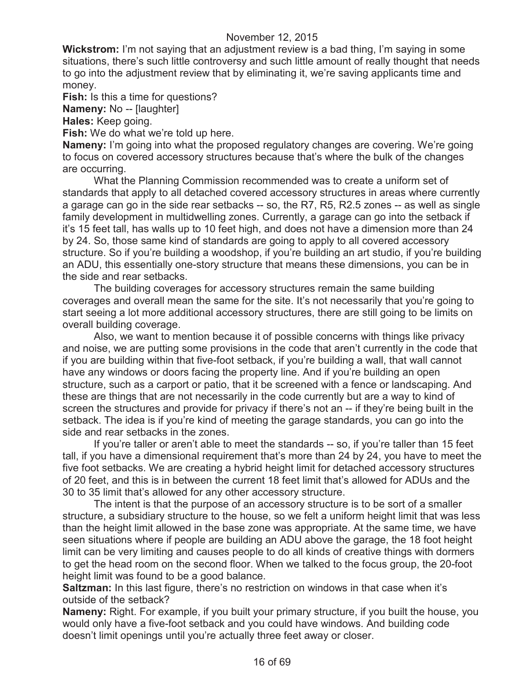**Wickstrom:** I'm not saying that an adjustment review is a bad thing, I'm saying in some situations, there's such little controversy and such little amount of really thought that needs to go into the adjustment review that by eliminating it, we're saving applicants time and money.

**Fish:** Is this a time for questions?

**Nameny:** No -- [laughter]

**Hales:** Keep going.

**Fish:** We do what we're told up here.

**Nameny:** I'm going into what the proposed regulatory changes are covering. We're going to focus on covered accessory structures because that's where the bulk of the changes are occurring.

What the Planning Commission recommended was to create a uniform set of standards that apply to all detached covered accessory structures in areas where currently a garage can go in the side rear setbacks -- so, the R7, R5, R2.5 zones -- as well as single family development in multidwelling zones. Currently, a garage can go into the setback if it's 15 feet tall, has walls up to 10 feet high, and does not have a dimension more than 24 by 24. So, those same kind of standards are going to apply to all covered accessory structure. So if you're building a woodshop, if you're building an art studio, if you're building an ADU, this essentially one-story structure that means these dimensions, you can be in the side and rear setbacks.

The building coverages for accessory structures remain the same building coverages and overall mean the same for the site. It's not necessarily that you're going to start seeing a lot more additional accessory structures, there are still going to be limits on overall building coverage.

Also, we want to mention because it of possible concerns with things like privacy and noise, we are putting some provisions in the code that aren't currently in the code that if you are building within that five-foot setback, if you're building a wall, that wall cannot have any windows or doors facing the property line. And if you're building an open structure, such as a carport or patio, that it be screened with a fence or landscaping. And these are things that are not necessarily in the code currently but are a way to kind of screen the structures and provide for privacy if there's not an -- if they're being built in the setback. The idea is if you're kind of meeting the garage standards, you can go into the side and rear setbacks in the zones.

If you're taller or aren't able to meet the standards -- so, if you're taller than 15 feet tall, if you have a dimensional requirement that's more than 24 by 24, you have to meet the five foot setbacks. We are creating a hybrid height limit for detached accessory structures of 20 feet, and this is in between the current 18 feet limit that's allowed for ADUs and the 30 to 35 limit that's allowed for any other accessory structure.

The intent is that the purpose of an accessory structure is to be sort of a smaller structure, a subsidiary structure to the house, so we felt a uniform height limit that was less than the height limit allowed in the base zone was appropriate. At the same time, we have seen situations where if people are building an ADU above the garage, the 18 foot height limit can be very limiting and causes people to do all kinds of creative things with dormers to get the head room on the second floor. When we talked to the focus group, the 20-foot height limit was found to be a good balance.

**Saltzman:** In this last figure, there's no restriction on windows in that case when it's outside of the setback?

**Nameny:** Right. For example, if you built your primary structure, if you built the house, you would only have a five-foot setback and you could have windows. And building code doesn't limit openings until you're actually three feet away or closer.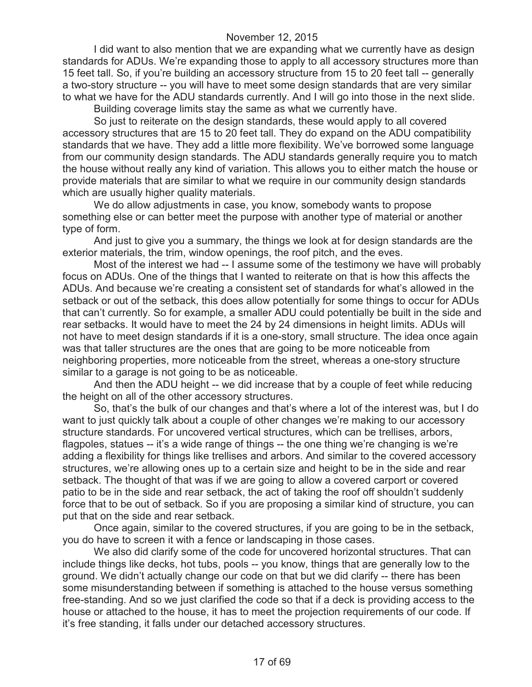I did want to also mention that we are expanding what we currently have as design standards for ADUs. We're expanding those to apply to all accessory structures more than 15 feet tall. So, if you're building an accessory structure from 15 to 20 feet tall -- generally a two-story structure -- you will have to meet some design standards that are very similar to what we have for the ADU standards currently. And I will go into those in the next slide.

Building coverage limits stay the same as what we currently have.

So just to reiterate on the design standards, these would apply to all covered accessory structures that are 15 to 20 feet tall. They do expand on the ADU compatibility standards that we have. They add a little more flexibility. We've borrowed some language from our community design standards. The ADU standards generally require you to match the house without really any kind of variation. This allows you to either match the house or provide materials that are similar to what we require in our community design standards which are usually higher quality materials.

We do allow adjustments in case, you know, somebody wants to propose something else or can better meet the purpose with another type of material or another type of form.

And just to give you a summary, the things we look at for design standards are the exterior materials, the trim, window openings, the roof pitch, and the eves.

Most of the interest we had -- I assume some of the testimony we have will probably focus on ADUs. One of the things that I wanted to reiterate on that is how this affects the ADUs. And because we're creating a consistent set of standards for what's allowed in the setback or out of the setback, this does allow potentially for some things to occur for ADUs that can't currently. So for example, a smaller ADU could potentially be built in the side and rear setbacks. It would have to meet the 24 by 24 dimensions in height limits. ADUs will not have to meet design standards if it is a one-story, small structure. The idea once again was that taller structures are the ones that are going to be more noticeable from neighboring properties, more noticeable from the street, whereas a one-story structure similar to a garage is not going to be as noticeable.

And then the ADU height -- we did increase that by a couple of feet while reducing the height on all of the other accessory structures.

So, that's the bulk of our changes and that's where a lot of the interest was, but I do want to just quickly talk about a couple of other changes we're making to our accessory structure standards. For uncovered vertical structures, which can be trellises, arbors, flagpoles, statues -- it's a wide range of things -- the one thing we're changing is we're adding a flexibility for things like trellises and arbors. And similar to the covered accessory structures, we're allowing ones up to a certain size and height to be in the side and rear setback. The thought of that was if we are going to allow a covered carport or covered patio to be in the side and rear setback, the act of taking the roof off shouldn't suddenly force that to be out of setback. So if you are proposing a similar kind of structure, you can put that on the side and rear setback.

Once again, similar to the covered structures, if you are going to be in the setback, you do have to screen it with a fence or landscaping in those cases.

We also did clarify some of the code for uncovered horizontal structures. That can include things like decks, hot tubs, pools -- you know, things that are generally low to the ground. We didn't actually change our code on that but we did clarify -- there has been some misunderstanding between if something is attached to the house versus something free-standing. And so we just clarified the code so that if a deck is providing access to the house or attached to the house, it has to meet the projection requirements of our code. If it's free standing, it falls under our detached accessory structures.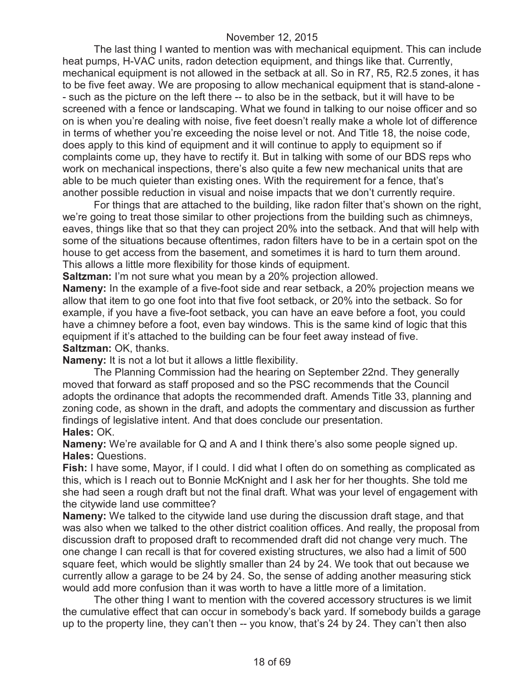The last thing I wanted to mention was with mechanical equipment. This can include heat pumps, H-VAC units, radon detection equipment, and things like that. Currently, mechanical equipment is not allowed in the setback at all. So in R7, R5, R2.5 zones, it has to be five feet away. We are proposing to allow mechanical equipment that is stand-alone - - such as the picture on the left there -- to also be in the setback, but it will have to be screened with a fence or landscaping. What we found in talking to our noise officer and so on is when you're dealing with noise, five feet doesn't really make a whole lot of difference in terms of whether you're exceeding the noise level or not. And Title 18, the noise code, does apply to this kind of equipment and it will continue to apply to equipment so if complaints come up, they have to rectify it. But in talking with some of our BDS reps who work on mechanical inspections, there's also quite a few new mechanical units that are able to be much quieter than existing ones. With the requirement for a fence, that's another possible reduction in visual and noise impacts that we don't currently require.

For things that are attached to the building, like radon filter that's shown on the right, we're going to treat those similar to other projections from the building such as chimneys, eaves, things like that so that they can project 20% into the setback. And that will help with some of the situations because oftentimes, radon filters have to be in a certain spot on the house to get access from the basement, and sometimes it is hard to turn them around. This allows a little more flexibility for those kinds of equipment.

**Saltzman:** I'm not sure what you mean by a 20% projection allowed.

**Nameny:** In the example of a five-foot side and rear setback, a 20% projection means we allow that item to go one foot into that five foot setback, or 20% into the setback. So for example, if you have a five-foot setback, you can have an eave before a foot, you could have a chimney before a foot, even bay windows. This is the same kind of logic that this equipment if it's attached to the building can be four feet away instead of five. **Saltzman:** OK, thanks.

**Nameny:** It is not a lot but it allows a little flexibility.

The Planning Commission had the hearing on September 22nd. They generally moved that forward as staff proposed and so the PSC recommends that the Council adopts the ordinance that adopts the recommended draft. Amends Title 33, planning and zoning code, as shown in the draft, and adopts the commentary and discussion as further findings of legislative intent. And that does conclude our presentation. **Hales:** OK.

**Nameny:** We're available for Q and A and I think there's also some people signed up. **Hales:** Questions.

**Fish:** I have some, Mayor, if I could. I did what I often do on something as complicated as this, which is I reach out to Bonnie McKnight and I ask her for her thoughts. She told me she had seen a rough draft but not the final draft. What was your level of engagement with the citywide land use committee?

**Nameny:** We talked to the citywide land use during the discussion draft stage, and that was also when we talked to the other district coalition offices. And really, the proposal from discussion draft to proposed draft to recommended draft did not change very much. The one change I can recall is that for covered existing structures, we also had a limit of 500 square feet, which would be slightly smaller than 24 by 24. We took that out because we currently allow a garage to be 24 by 24. So, the sense of adding another measuring stick would add more confusion than it was worth to have a little more of a limitation.

The other thing I want to mention with the covered accessory structures is we limit the cumulative effect that can occur in somebody's back yard. If somebody builds a garage up to the property line, they can't then -- you know, that's 24 by 24. They can't then also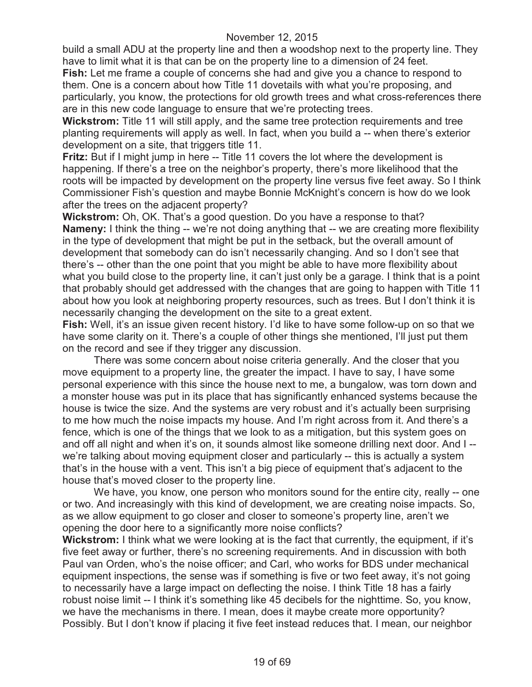build a small ADU at the property line and then a woodshop next to the property line. They have to limit what it is that can be on the property line to a dimension of 24 feet.

**Fish:** Let me frame a couple of concerns she had and give you a chance to respond to them. One is a concern about how Title 11 dovetails with what you're proposing, and particularly, you know, the protections for old growth trees and what cross-references there are in this new code language to ensure that we're protecting trees.

**Wickstrom:** Title 11 will still apply, and the same tree protection requirements and tree planting requirements will apply as well. In fact, when you build a -- when there's exterior development on a site, that triggers title 11.

**Fritz:** But if I might jump in here -- Title 11 covers the lot where the development is happening. If there's a tree on the neighbor's property, there's more likelihood that the roots will be impacted by development on the property line versus five feet away. So I think Commissioner Fish's question and maybe Bonnie McKnight's concern is how do we look after the trees on the adjacent property?

**Wickstrom:** Oh, OK. That's a good question. Do you have a response to that? **Nameny:** I think the thing -- we're not doing anything that -- we are creating more flexibility in the type of development that might be put in the setback, but the overall amount of development that somebody can do isn't necessarily changing. And so I don't see that there's -- other than the one point that you might be able to have more flexibility about what you build close to the property line, it can't just only be a garage. I think that is a point that probably should get addressed with the changes that are going to happen with Title 11 about how you look at neighboring property resources, such as trees. But I don't think it is necessarily changing the development on the site to a great extent.

**Fish:** Well, it's an issue given recent history. I'd like to have some follow-up on so that we have some clarity on it. There's a couple of other things she mentioned, I'll just put them on the record and see if they trigger any discussion.

There was some concern about noise criteria generally. And the closer that you move equipment to a property line, the greater the impact. I have to say, I have some personal experience with this since the house next to me, a bungalow, was torn down and a monster house was put in its place that has significantly enhanced systems because the house is twice the size. And the systems are very robust and it's actually been surprising to me how much the noise impacts my house. And I'm right across from it. And there's a fence, which is one of the things that we look to as a mitigation, but this system goes on and off all night and when it's on, it sounds almost like someone drilling next door. And I - we're talking about moving equipment closer and particularly -- this is actually a system that's in the house with a vent. This isn't a big piece of equipment that's adjacent to the house that's moved closer to the property line.

We have, you know, one person who monitors sound for the entire city, really -- one or two. And increasingly with this kind of development, we are creating noise impacts. So, as we allow equipment to go closer and closer to someone's property line, aren't we opening the door here to a significantly more noise conflicts?

**Wickstrom:** I think what we were looking at is the fact that currently, the equipment, if it's five feet away or further, there's no screening requirements. And in discussion with both Paul van Orden, who's the noise officer; and Carl, who works for BDS under mechanical equipment inspections, the sense was if something is five or two feet away, it's not going to necessarily have a large impact on deflecting the noise. I think Title 18 has a fairly robust noise limit -- I think it's something like 45 decibels for the nighttime. So, you know, we have the mechanisms in there. I mean, does it maybe create more opportunity? Possibly. But I don't know if placing it five feet instead reduces that. I mean, our neighbor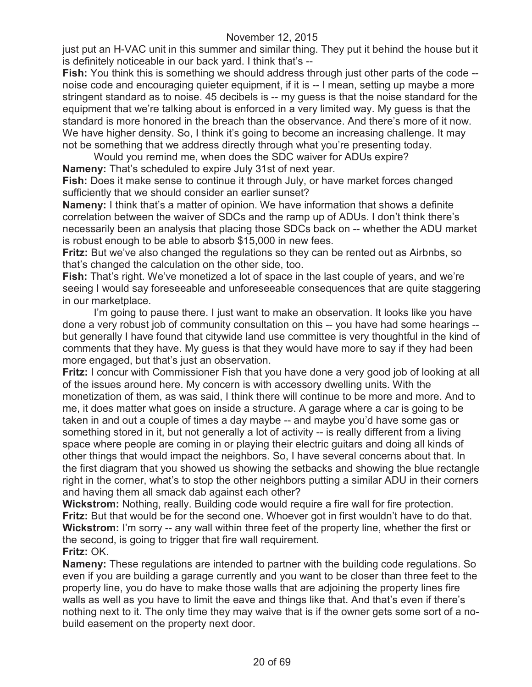just put an H-VAC unit in this summer and similar thing. They put it behind the house but it is definitely noticeable in our back yard. I think that's --

**Fish:** You think this is something we should address through just other parts of the code - noise code and encouraging quieter equipment, if it is -- I mean, setting up maybe a more stringent standard as to noise. 45 decibels is -- my guess is that the noise standard for the equipment that we're talking about is enforced in a very limited way. My guess is that the standard is more honored in the breach than the observance. And there's more of it now. We have higher density. So, I think it's going to become an increasing challenge. It may not be something that we address directly through what you're presenting today.

Would you remind me, when does the SDC waiver for ADUs expire? **Nameny:** That's scheduled to expire July 31st of next year.

**Fish:** Does it make sense to continue it through July, or have market forces changed sufficiently that we should consider an earlier sunset?

**Nameny:** I think that's a matter of opinion. We have information that shows a definite correlation between the waiver of SDCs and the ramp up of ADUs. I don't think there's necessarily been an analysis that placing those SDCs back on -- whether the ADU market is robust enough to be able to absorb \$15,000 in new fees.

**Fritz:** But we've also changed the regulations so they can be rented out as Airbnbs, so that's changed the calculation on the other side, too.

**Fish:** That's right. We've monetized a lot of space in the last couple of years, and we're seeing I would say foreseeable and unforeseeable consequences that are quite staggering in our marketplace.

I'm going to pause there. I just want to make an observation. It looks like you have done a very robust job of community consultation on this -- you have had some hearings - but generally I have found that citywide land use committee is very thoughtful in the kind of comments that they have. My guess is that they would have more to say if they had been more engaged, but that's just an observation.

**Fritz:** I concur with Commissioner Fish that you have done a very good job of looking at all of the issues around here. My concern is with accessory dwelling units. With the monetization of them, as was said, I think there will continue to be more and more. And to me, it does matter what goes on inside a structure. A garage where a car is going to be taken in and out a couple of times a day maybe -- and maybe you'd have some gas or something stored in it, but not generally a lot of activity -- is really different from a living space where people are coming in or playing their electric guitars and doing all kinds of other things that would impact the neighbors. So, I have several concerns about that. In the first diagram that you showed us showing the setbacks and showing the blue rectangle right in the corner, what's to stop the other neighbors putting a similar ADU in their corners and having them all smack dab against each other?

**Wickstrom:** Nothing, really. Building code would require a fire wall for fire protection. **Fritz:** But that would be for the second one. Whoever got in first wouldn't have to do that. **Wickstrom:** I'm sorry -- any wall within three feet of the property line, whether the first or the second, is going to trigger that fire wall requirement. **Fritz:** OK.

**Nameny:** These regulations are intended to partner with the building code regulations. So even if you are building a garage currently and you want to be closer than three feet to the property line, you do have to make those walls that are adjoining the property lines fire walls as well as you have to limit the eave and things like that. And that's even if there's nothing next to it. The only time they may waive that is if the owner gets some sort of a nobuild easement on the property next door.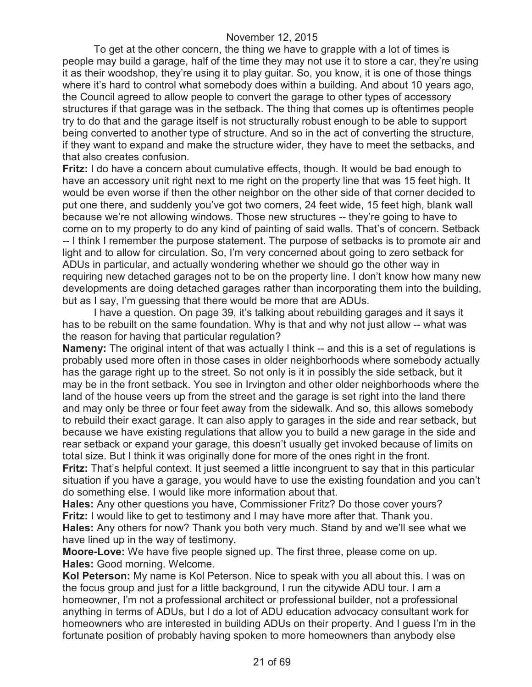To get at the other concern, the thing we have to grapple with a lot of times is people may build a garage, half of the time they may not use it to store a car, they're using it as their woodshop, they're using it to play guitar. So, you know, it is one of those things where it's hard to control what somebody does within a building. And about 10 years ago, the Council agreed to allow people to convert the garage to other types of accessory structures if that garage was in the setback. The thing that comes up is oftentimes people try to do that and the garage itself is not structurally robust enough to be able to support being converted to another type of structure. And so in the act of converting the structure, if they want to expand and make the structure wider, they have to meet the setbacks, and that also creates confusion.

**Fritz:** I do have a concern about cumulative effects, though. It would be bad enough to have an accessory unit right next to me right on the property line that was 15 feet high. It would be even worse if then the other neighbor on the other side of that corner decided to put one there, and suddenly you've got two corners, 24 feet wide, 15 feet high, blank wall because we're not allowing windows. Those new structures -- they're going to have to come on to my property to do any kind of painting of said walls. That's of concern. Setback -- I think I remember the purpose statement. The purpose of setbacks is to promote air and light and to allow for circulation. So, I'm very concerned about going to zero setback for ADUs in particular, and actually wondering whether we should go the other way in requiring new detached garages not to be on the property line. I don't know how many new developments are doing detached garages rather than incorporating them into the building, but as I say, I'm guessing that there would be more that are ADUs.

I have a question. On page 39, it's talking about rebuilding garages and it says it has to be rebuilt on the same foundation. Why is that and why not just allow -- what was the reason for having that particular regulation?

**Nameny:** The original intent of that was actually I think -- and this is a set of regulations is probably used more often in those cases in older neighborhoods where somebody actually has the garage right up to the street. So not only is it in possibly the side setback, but it may be in the front setback. You see in Irvington and other older neighborhoods where the land of the house veers up from the street and the garage is set right into the land there and may only be three or four feet away from the sidewalk. And so, this allows somebody to rebuild their exact garage. It can also apply to garages in the side and rear setback, but because we have existing regulations that allow you to build a new garage in the side and rear setback or expand your garage, this doesn't usually get invoked because of limits on total size. But I think it was originally done for more of the ones right in the front.

**Fritz:** That's helpful context. It just seemed a little incongruent to say that in this particular situation if you have a garage, you would have to use the existing foundation and you can't do something else. I would like more information about that.

**Hales:** Any other questions you have, Commissioner Fritz? Do those cover yours? **Fritz:** I would like to get to testimony and I may have more after that. Thank you. **Hales:** Any others for now? Thank you both very much. Stand by and we'll see what we have lined up in the way of testimony.

**Moore-Love:** We have five people signed up. The first three, please come on up. **Hales:** Good morning. Welcome.

**Kol Peterson:** My name is Kol Peterson. Nice to speak with you all about this. I was on the focus group and just for a little background, I run the citywide ADU tour. I am a homeowner, I'm not a professional architect or professional builder, not a professional anything in terms of ADUs, but I do a lot of ADU education advocacy consultant work for homeowners who are interested in building ADUs on their property. And I guess I'm in the fortunate position of probably having spoken to more homeowners than anybody else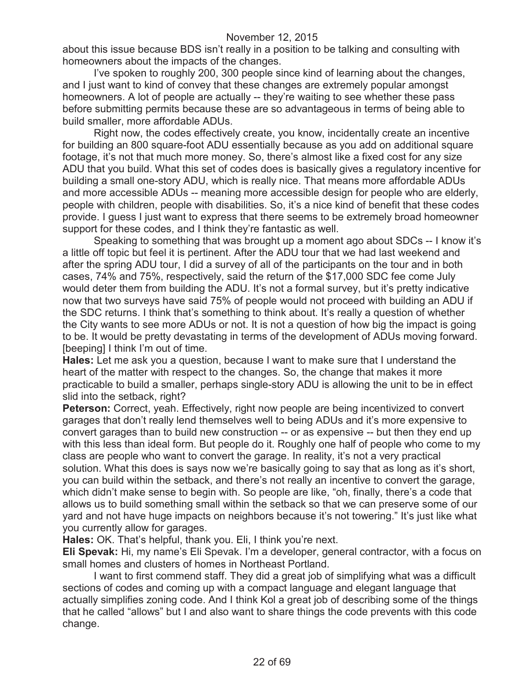about this issue because BDS isn't really in a position to be talking and consulting with homeowners about the impacts of the changes.

I've spoken to roughly 200, 300 people since kind of learning about the changes, and I just want to kind of convey that these changes are extremely popular amongst homeowners. A lot of people are actually -- they're waiting to see whether these pass before submitting permits because these are so advantageous in terms of being able to build smaller, more affordable ADUs.

Right now, the codes effectively create, you know, incidentally create an incentive for building an 800 square-foot ADU essentially because as you add on additional square footage, it's not that much more money. So, there's almost like a fixed cost for any size ADU that you build. What this set of codes does is basically gives a regulatory incentive for building a small one-story ADU, which is really nice. That means more affordable ADUs and more accessible ADUs -- meaning more accessible design for people who are elderly, people with children, people with disabilities. So, it's a nice kind of benefit that these codes provide. I guess I just want to express that there seems to be extremely broad homeowner support for these codes, and I think they're fantastic as well.

Speaking to something that was brought up a moment ago about SDCs -- I know it's a little off topic but feel it is pertinent. After the ADU tour that we had last weekend and after the spring ADU tour, I did a survey of all of the participants on the tour and in both cases, 74% and 75%, respectively, said the return of the \$17,000 SDC fee come July would deter them from building the ADU. It's not a formal survey, but it's pretty indicative now that two surveys have said 75% of people would not proceed with building an ADU if the SDC returns. I think that's something to think about. It's really a question of whether the City wants to see more ADUs or not. It is not a question of how big the impact is going to be. It would be pretty devastating in terms of the development of ADUs moving forward. [beeping] I think I'm out of time.

**Hales:** Let me ask you a question, because I want to make sure that I understand the heart of the matter with respect to the changes. So, the change that makes it more practicable to build a smaller, perhaps single-story ADU is allowing the unit to be in effect slid into the setback, right?

**Peterson:** Correct, yeah. Effectively, right now people are being incentivized to convert garages that don't really lend themselves well to being ADUs and it's more expensive to convert garages than to build new construction -- or as expensive -- but then they end up with this less than ideal form. But people do it. Roughly one half of people who come to my class are people who want to convert the garage. In reality, it's not a very practical solution. What this does is says now we're basically going to say that as long as it's short, you can build within the setback, and there's not really an incentive to convert the garage, which didn't make sense to begin with. So people are like, "oh, finally, there's a code that allows us to build something small within the setback so that we can preserve some of our yard and not have huge impacts on neighbors because it's not towering." It's just like what you currently allow for garages.

**Hales:** OK. That's helpful, thank you. Eli, I think you're next.

**Eli Spevak:** Hi, my name's Eli Spevak. I'm a developer, general contractor, with a focus on small homes and clusters of homes in Northeast Portland.

I want to first commend staff. They did a great job of simplifying what was a difficult sections of codes and coming up with a compact language and elegant language that actually simplifies zoning code. And I think Kol a great job of describing some of the things that he called "allows" but I and also want to share things the code prevents with this code change.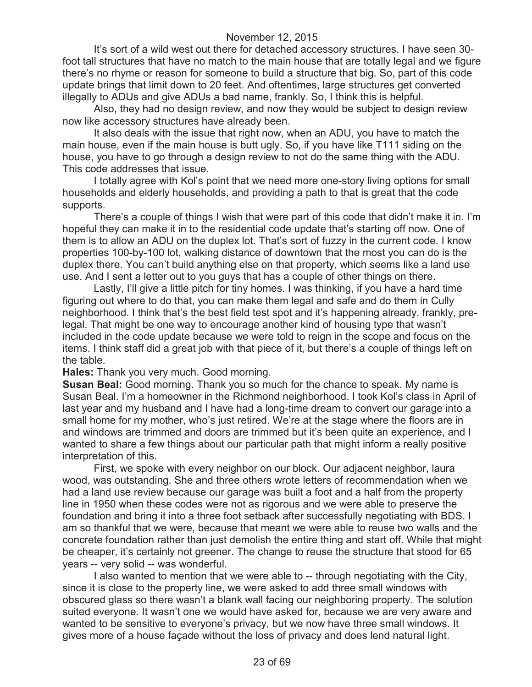It's sort of a wild west out there for detached accessory structures. I have seen 30 foot tall structures that have no match to the main house that are totally legal and we figure there's no rhyme or reason for someone to build a structure that big. So, part of this code update brings that limit down to 20 feet. And oftentimes, large structures get converted illegally to ADUs and give ADUs a bad name, frankly. So, I think this is helpful.

Also, they had no design review, and now they would be subject to design review now like accessory structures have already been.

It also deals with the issue that right now, when an ADU, you have to match the main house, even if the main house is butt ugly. So, if you have like T111 siding on the house, you have to go through a design review to not do the same thing with the ADU. This code addresses that issue.

I totally agree with Kol's point that we need more one-story living options for small households and elderly households, and providing a path to that is great that the code supports.

There's a couple of things I wish that were part of this code that didn't make it in. I'm hopeful they can make it in to the residential code update that's starting off now. One of them is to allow an ADU on the duplex lot. That's sort of fuzzy in the current code. I know properties 100-by-100 lot, walking distance of downtown that the most you can do is the duplex there. You can't build anything else on that property, which seems like a land use use. And I sent a letter out to you guys that has a couple of other things on there.

Lastly, I'll give a little pitch for tiny homes. I was thinking, if you have a hard time figuring out where to do that, you can make them legal and safe and do them in Cully neighborhood. I think that's the best field test spot and it's happening already, frankly, prelegal. That might be one way to encourage another kind of housing type that wasn't included in the code update because we were told to reign in the scope and focus on the items. I think staff did a great job with that piece of it, but there's a couple of things left on the table.

**Hales:** Thank you very much. Good morning.

**Susan Beal:** Good morning. Thank you so much for the chance to speak. My name is Susan Beal. I'm a homeowner in the Richmond neighborhood. I took Kol's class in April of last year and my husband and I have had a long-time dream to convert our garage into a small home for my mother, who's just retired. We're at the stage where the floors are in and windows are trimmed and doors are trimmed but it's been quite an experience, and I wanted to share a few things about our particular path that might inform a really positive interpretation of this.

First, we spoke with every neighbor on our block. Our adjacent neighbor, laura wood, was outstanding. She and three others wrote letters of recommendation when we had a land use review because our garage was built a foot and a half from the property line in 1950 when these codes were not as rigorous and we were able to preserve the foundation and bring it into a three foot setback after successfully negotiating with BDS. I am so thankful that we were, because that meant we were able to reuse two walls and the concrete foundation rather than just demolish the entire thing and start off. While that might be cheaper, it's certainly not greener. The change to reuse the structure that stood for 65 years -- very solid -- was wonderful.

I also wanted to mention that we were able to -- through negotiating with the City, since it is close to the property line, we were asked to add three small windows with obscured glass so there wasn't a blank wall facing our neighboring property. The solution suited everyone. It wasn't one we would have asked for, because we are very aware and wanted to be sensitive to everyone's privacy, but we now have three small windows. It gives more of a house façade without the loss of privacy and does lend natural light.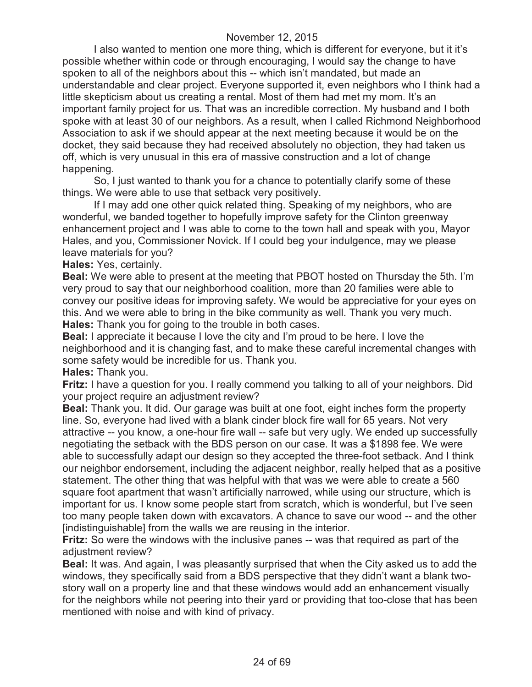I also wanted to mention one more thing, which is different for everyone, but it it's possible whether within code or through encouraging, I would say the change to have spoken to all of the neighbors about this -- which isn't mandated, but made an understandable and clear project. Everyone supported it, even neighbors who I think had a little skepticism about us creating a rental. Most of them had met my mom. It's an important family project for us. That was an incredible correction. My husband and I both spoke with at least 30 of our neighbors. As a result, when I called Richmond Neighborhood Association to ask if we should appear at the next meeting because it would be on the docket, they said because they had received absolutely no objection, they had taken us off, which is very unusual in this era of massive construction and a lot of change happening.

So, I just wanted to thank you for a chance to potentially clarify some of these things. We were able to use that setback very positively.

If I may add one other quick related thing. Speaking of my neighbors, who are wonderful, we banded together to hopefully improve safety for the Clinton greenway enhancement project and I was able to come to the town hall and speak with you, Mayor Hales, and you, Commissioner Novick. If I could beg your indulgence, may we please leave materials for you?

**Hales:** Yes, certainly.

**Beal:** We were able to present at the meeting that PBOT hosted on Thursday the 5th. I'm very proud to say that our neighborhood coalition, more than 20 families were able to convey our positive ideas for improving safety. We would be appreciative for your eyes on this. And we were able to bring in the bike community as well. Thank you very much. **Hales:** Thank you for going to the trouble in both cases.

**Beal:** I appreciate it because I love the city and I'm proud to be here. I love the neighborhood and it is changing fast, and to make these careful incremental changes with some safety would be incredible for us. Thank you.

**Hales:** Thank you.

**Fritz:** I have a question for you. I really commend you talking to all of your neighbors. Did your project require an adjustment review?

**Beal:** Thank you. It did. Our garage was built at one foot, eight inches form the property line. So, everyone had lived with a blank cinder block fire wall for 65 years. Not very attractive -- you know, a one-hour fire wall -- safe but very ugly. We ended up successfully negotiating the setback with the BDS person on our case. It was a \$1898 fee. We were able to successfully adapt our design so they accepted the three-foot setback. And I think our neighbor endorsement, including the adjacent neighbor, really helped that as a positive statement. The other thing that was helpful with that was we were able to create a 560 square foot apartment that wasn't artificially narrowed, while using our structure, which is important for us. I know some people start from scratch, which is wonderful, but I've seen too many people taken down with excavators. A chance to save our wood -- and the other [indistinguishable] from the walls we are reusing in the interior.

**Fritz:** So were the windows with the inclusive panes -- was that required as part of the adjustment review?

**Beal:** It was. And again, I was pleasantly surprised that when the City asked us to add the windows, they specifically said from a BDS perspective that they didn't want a blank twostory wall on a property line and that these windows would add an enhancement visually for the neighbors while not peering into their yard or providing that too-close that has been mentioned with noise and with kind of privacy.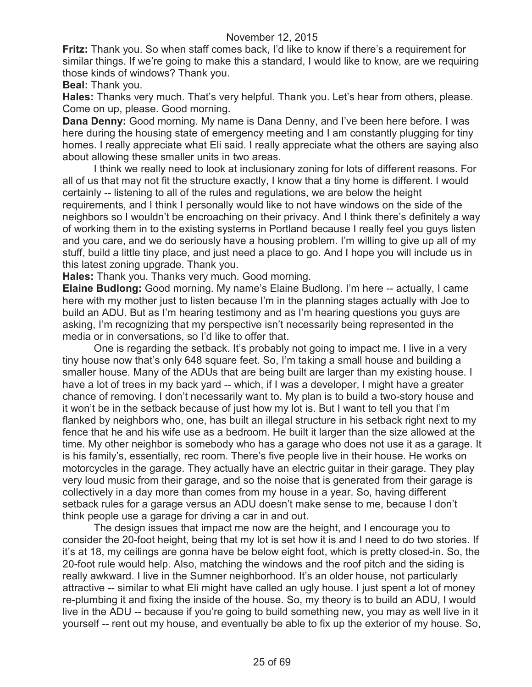**Fritz:** Thank you. So when staff comes back, I'd like to know if there's a requirement for similar things. If we're going to make this a standard, I would like to know, are we requiring those kinds of windows? Thank you.

**Beal:** Thank you.

**Hales:** Thanks very much. That's very helpful. Thank you. Let's hear from others, please. Come on up, please. Good morning.

**Dana Denny:** Good morning. My name is Dana Denny, and I've been here before. I was here during the housing state of emergency meeting and I am constantly plugging for tiny homes. I really appreciate what Eli said. I really appreciate what the others are saying also about allowing these smaller units in two areas.

I think we really need to look at inclusionary zoning for lots of different reasons. For all of us that may not fit the structure exactly, I know that a tiny home is different. I would certainly -- listening to all of the rules and regulations, we are below the height requirements, and I think I personally would like to not have windows on the side of the neighbors so I wouldn't be encroaching on their privacy. And I think there's definitely a way of working them in to the existing systems in Portland because I really feel you guys listen and you care, and we do seriously have a housing problem. I'm willing to give up all of my stuff, build a little tiny place, and just need a place to go. And I hope you will include us in this latest zoning upgrade. Thank you.

**Hales:** Thank you. Thanks very much. Good morning.

**Elaine Budlong:** Good morning. My name's Elaine Budlong. I'm here -- actually, I came here with my mother just to listen because I'm in the planning stages actually with Joe to build an ADU. But as I'm hearing testimony and as I'm hearing questions you guys are asking, I'm recognizing that my perspective isn't necessarily being represented in the media or in conversations, so I'd like to offer that.

One is regarding the setback. It's probably not going to impact me. I live in a very tiny house now that's only 648 square feet. So, I'm taking a small house and building a smaller house. Many of the ADUs that are being built are larger than my existing house. I have a lot of trees in my back yard -- which, if I was a developer, I might have a greater chance of removing. I don't necessarily want to. My plan is to build a two-story house and it won't be in the setback because of just how my lot is. But I want to tell you that I'm flanked by neighbors who, one, has built an illegal structure in his setback right next to my fence that he and his wife use as a bedroom. He built it larger than the size allowed at the time. My other neighbor is somebody who has a garage who does not use it as a garage. It is his family's, essentially, rec room. There's five people live in their house. He works on motorcycles in the garage. They actually have an electric guitar in their garage. They play very loud music from their garage, and so the noise that is generated from their garage is collectively in a day more than comes from my house in a year. So, having different setback rules for a garage versus an ADU doesn't make sense to me, because I don't think people use a garage for driving a car in and out.

The design issues that impact me now are the height, and I encourage you to consider the 20-foot height, being that my lot is set how it is and I need to do two stories. If it's at 18, my ceilings are gonna have be below eight foot, which is pretty closed-in. So, the 20-foot rule would help. Also, matching the windows and the roof pitch and the siding is really awkward. I live in the Sumner neighborhood. It's an older house, not particularly attractive -- similar to what Eli might have called an ugly house. I just spent a lot of money re-plumbing it and fixing the inside of the house. So, my theory is to build an ADU, I would live in the ADU -- because if you're going to build something new, you may as well live in it yourself -- rent out my house, and eventually be able to fix up the exterior of my house. So,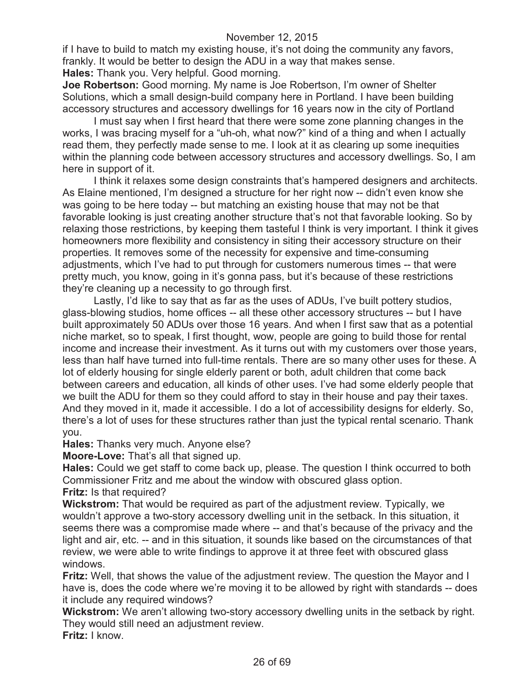if I have to build to match my existing house, it's not doing the community any favors, frankly. It would be better to design the ADU in a way that makes sense.

**Hales:** Thank you. Very helpful. Good morning.

**Joe Robertson:** Good morning. My name is Joe Robertson, I'm owner of Shelter Solutions, which a small design-build company here in Portland. I have been building accessory structures and accessory dwellings for 16 years now in the city of Portland

I must say when I first heard that there were some zone planning changes in the works, I was bracing myself for a "uh-oh, what now?" kind of a thing and when I actually read them, they perfectly made sense to me. I look at it as clearing up some inequities within the planning code between accessory structures and accessory dwellings. So, I am here in support of it.

I think it relaxes some design constraints that's hampered designers and architects. As Elaine mentioned, I'm designed a structure for her right now -- didn't even know she was going to be here today -- but matching an existing house that may not be that favorable looking is just creating another structure that's not that favorable looking. So by relaxing those restrictions, by keeping them tasteful I think is very important. I think it gives homeowners more flexibility and consistency in siting their accessory structure on their properties. It removes some of the necessity for expensive and time-consuming adjustments, which I've had to put through for customers numerous times -- that were pretty much, you know, going in it's gonna pass, but it's because of these restrictions they're cleaning up a necessity to go through first.

Lastly, I'd like to say that as far as the uses of ADUs, I've built pottery studios, glass-blowing studios, home offices -- all these other accessory structures -- but I have built approximately 50 ADUs over those 16 years. And when I first saw that as a potential niche market, so to speak, I first thought, wow, people are going to build those for rental income and increase their investment. As it turns out with my customers over those years, less than half have turned into full-time rentals. There are so many other uses for these. A lot of elderly housing for single elderly parent or both, adult children that come back between careers and education, all kinds of other uses. I've had some elderly people that we built the ADU for them so they could afford to stay in their house and pay their taxes. And they moved in it, made it accessible. I do a lot of accessibility designs for elderly. So, there's a lot of uses for these structures rather than just the typical rental scenario. Thank you.

**Hales:** Thanks very much. Anyone else?

**Moore-Love:** That's all that signed up.

**Hales:** Could we get staff to come back up, please. The question I think occurred to both Commissioner Fritz and me about the window with obscured glass option.

**Fritz:** Is that required?

**Wickstrom:** That would be required as part of the adjustment review. Typically, we wouldn't approve a two-story accessory dwelling unit in the setback. In this situation, it seems there was a compromise made where -- and that's because of the privacy and the light and air, etc. -- and in this situation, it sounds like based on the circumstances of that review, we were able to write findings to approve it at three feet with obscured glass windows.

**Fritz:** Well, that shows the value of the adjustment review. The question the Mayor and I have is, does the code where we're moving it to be allowed by right with standards -- does it include any required windows?

**Wickstrom:** We aren't allowing two-story accessory dwelling units in the setback by right. They would still need an adjustment review.

**Fritz:** I know.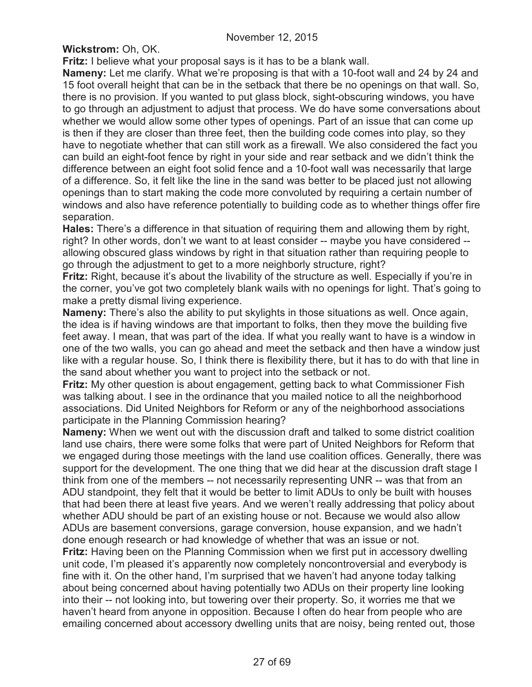**Wickstrom:** Oh, OK.

**Fritz:** I believe what your proposal says is it has to be a blank wall.

**Nameny:** Let me clarify. What we're proposing is that with a 10-foot wall and 24 by 24 and 15 foot overall height that can be in the setback that there be no openings on that wall. So, there is no provision. If you wanted to put glass block, sight-obscuring windows, you have to go through an adjustment to adjust that process. We do have some conversations about whether we would allow some other types of openings. Part of an issue that can come up is then if they are closer than three feet, then the building code comes into play, so they have to negotiate whether that can still work as a firewall. We also considered the fact you can build an eight-foot fence by right in your side and rear setback and we didn't think the difference between an eight foot solid fence and a 10-foot wall was necessarily that large of a difference. So, it felt like the line in the sand was better to be placed just not allowing openings than to start making the code more convoluted by requiring a certain number of windows and also have reference potentially to building code as to whether things offer fire separation.

**Hales:** There's a difference in that situation of requiring them and allowing them by right, right? In other words, don't we want to at least consider -- maybe you have considered - allowing obscured glass windows by right in that situation rather than requiring people to go through the adjustment to get to a more neighborly structure, right?

**Fritz:** Right, because it's about the livability of the structure as well. Especially if you're in the corner, you've got two completely blank wails with no openings for light. That's going to make a pretty dismal living experience.

**Nameny:** There's also the ability to put skylights in those situations as well. Once again, the idea is if having windows are that important to folks, then they move the building five feet away. I mean, that was part of the idea. If what you really want to have is a window in one of the two walls, you can go ahead and meet the setback and then have a window just like with a regular house. So, I think there is flexibility there, but it has to do with that line in the sand about whether you want to project into the setback or not.

**Fritz:** My other question is about engagement, getting back to what Commissioner Fish was talking about. I see in the ordinance that you mailed notice to all the neighborhood associations. Did United Neighbors for Reform or any of the neighborhood associations participate in the Planning Commission hearing?

**Nameny:** When we went out with the discussion draft and talked to some district coalition land use chairs, there were some folks that were part of United Neighbors for Reform that we engaged during those meetings with the land use coalition offices. Generally, there was support for the development. The one thing that we did hear at the discussion draft stage I think from one of the members -- not necessarily representing UNR -- was that from an ADU standpoint, they felt that it would be better to limit ADUs to only be built with houses that had been there at least five years. And we weren't really addressing that policy about whether ADU should be part of an existing house or not. Because we would also allow ADUs are basement conversions, garage conversion, house expansion, and we hadn't done enough research or had knowledge of whether that was an issue or not.

**Fritz:** Having been on the Planning Commission when we first put in accessory dwelling unit code, I'm pleased it's apparently now completely noncontroversial and everybody is fine with it. On the other hand, I'm surprised that we haven't had anyone today talking about being concerned about having potentially two ADUs on their property line looking into their -- not looking into, but towering over their property. So, it worries me that we haven't heard from anyone in opposition. Because I often do hear from people who are emailing concerned about accessory dwelling units that are noisy, being rented out, those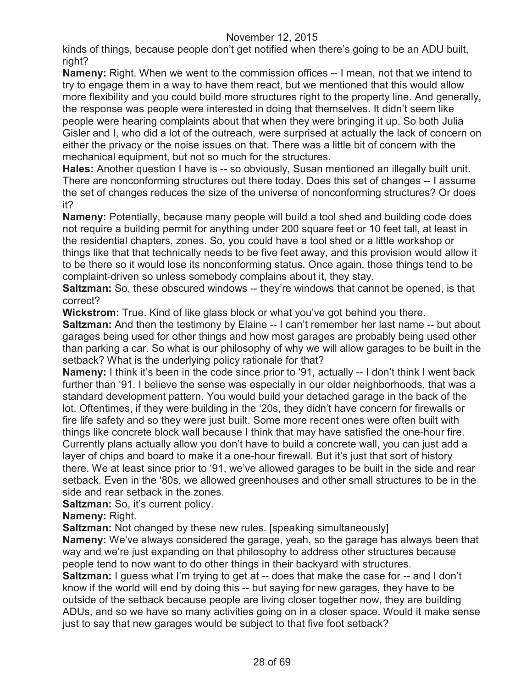kinds of things, because people don't get notified when there's going to be an ADU built, right?

**Nameny:** Right. When we went to the commission offices -- I mean, not that we intend to try to engage them in a way to have them react, but we mentioned that this would allow more flexibility and you could build more structures right to the property line. And generally, the response was people were interested in doing that themselves. It didn't seem like people were hearing complaints about that when they were bringing it up. So both Julia Gisler and I, who did a lot of the outreach, were surprised at actually the lack of concern on either the privacy or the noise issues on that. There was a little bit of concern with the mechanical equipment, but not so much for the structures.

**Hales:** Another question I have is -- so obviously, Susan mentioned an illegally built unit. There are nonconforming structures out there today. Does this set of changes -- I assume the set of changes reduces the size of the universe of nonconforming structures? Or does it?

**Nameny:** Potentially, because many people will build a tool shed and building code does not require a building permit for anything under 200 square feet or 10 feet tall, at least in the residential chapters, zones. So, you could have a tool shed or a little workshop or things like that that technically needs to be five feet away, and this provision would allow it to be there so it would lose its nonconforming status. Once again, those things tend to be complaint-driven so unless somebody complains about it, they stay.

**Saltzman:** So, these obscured windows -- they're windows that cannot be opened, is that correct?

**Wickstrom:** True. Kind of like glass block or what you've got behind you there. **Saltzman:** And then the testimony by Elaine -- I can't remember her last name -- but about garages being used for other things and how most garages are probably being used other than parking a car. So what is our philosophy of why we will allow garages to be built in the setback? What is the underlying policy rationale for that?

**Nameny:** I think it's been in the code since prior to '91, actually -- I don't think I went back further than '91. I believe the sense was especially in our older neighborhoods, that was a standard development pattern. You would build your detached garage in the back of the lot. Oftentimes, if they were building in the '20s, they didn't have concern for firewalls or fire life safety and so they were just built. Some more recent ones were often built with things like concrete block wall because I think that may have satisfied the one-hour fire. Currently plans actually allow you don't have to build a concrete wall, you can just add a layer of chips and board to make it a one-hour firewall. But it's just that sort of history there. We at least since prior to '91, we've allowed garages to be built in the side and rear setback. Even in the '80s, we allowed greenhouses and other small structures to be in the side and rear setback in the zones.

**Saltzman:** So, it's current policy.

**Nameny:** Right.

**Saltzman:** Not changed by these new rules. [speaking simultaneously]

**Nameny:** We've always considered the garage, yeah, so the garage has always been that way and we're just expanding on that philosophy to address other structures because people tend to now want to do other things in their backyard with structures.

**Saltzman:** I guess what I'm trying to get at -- does that make the case for -- and I don't know if the world will end by doing this -- but saying for new garages, they have to be outside of the setback because people are living closer together now, they are building ADUs, and so we have so many activities going on in a closer space. Would it make sense just to say that new garages would be subject to that five foot setback?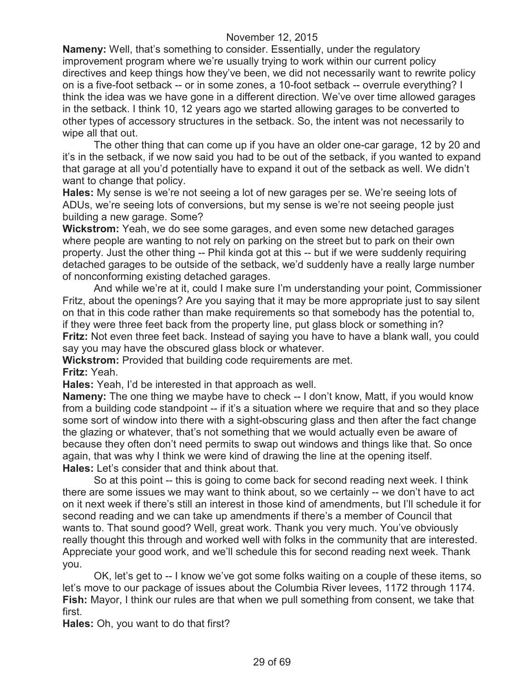**Nameny:** Well, that's something to consider. Essentially, under the regulatory improvement program where we're usually trying to work within our current policy directives and keep things how they've been, we did not necessarily want to rewrite policy on is a five-foot setback -- or in some zones, a 10-foot setback -- overrule everything? I think the idea was we have gone in a different direction. We've over time allowed garages in the setback. I think 10, 12 years ago we started allowing garages to be converted to other types of accessory structures in the setback. So, the intent was not necessarily to wipe all that out.

The other thing that can come up if you have an older one-car garage, 12 by 20 and it's in the setback, if we now said you had to be out of the setback, if you wanted to expand that garage at all you'd potentially have to expand it out of the setback as well. We didn't want to change that policy.

**Hales:** My sense is we're not seeing a lot of new garages per se. We're seeing lots of ADUs, we're seeing lots of conversions, but my sense is we're not seeing people just building a new garage. Some?

**Wickstrom:** Yeah, we do see some garages, and even some new detached garages where people are wanting to not rely on parking on the street but to park on their own property. Just the other thing -- Phil kinda got at this -- but if we were suddenly requiring detached garages to be outside of the setback, we'd suddenly have a really large number of nonconforming existing detached garages.

And while we're at it, could I make sure I'm understanding your point, Commissioner Fritz, about the openings? Are you saying that it may be more appropriate just to say silent on that in this code rather than make requirements so that somebody has the potential to, if they were three feet back from the property line, put glass block or something in? **Fritz:** Not even three feet back. Instead of saying you have to have a blank wall, you could say you may have the obscured glass block or whatever.

**Wickstrom:** Provided that building code requirements are met. **Fritz:** Yeah.

**Hales:** Yeah, I'd be interested in that approach as well.

**Nameny:** The one thing we maybe have to check -- I don't know, Matt, if you would know from a building code standpoint -- if it's a situation where we require that and so they place some sort of window into there with a sight-obscuring glass and then after the fact change the glazing or whatever, that's not something that we would actually even be aware of because they often don't need permits to swap out windows and things like that. So once again, that was why I think we were kind of drawing the line at the opening itself. **Hales:** Let's consider that and think about that.

So at this point -- this is going to come back for second reading next week. I think there are some issues we may want to think about, so we certainly -- we don't have to act on it next week if there's still an interest in those kind of amendments, but I'll schedule it for second reading and we can take up amendments if there's a member of Council that wants to. That sound good? Well, great work. Thank you very much. You've obviously really thought this through and worked well with folks in the community that are interested. Appreciate your good work, and we'll schedule this for second reading next week. Thank you.

OK, let's get to -- I know we've got some folks waiting on a couple of these items, so let's move to our package of issues about the Columbia River levees, 1172 through 1174. **Fish:** Mayor, I think our rules are that when we pull something from consent, we take that first.

**Hales:** Oh, you want to do that first?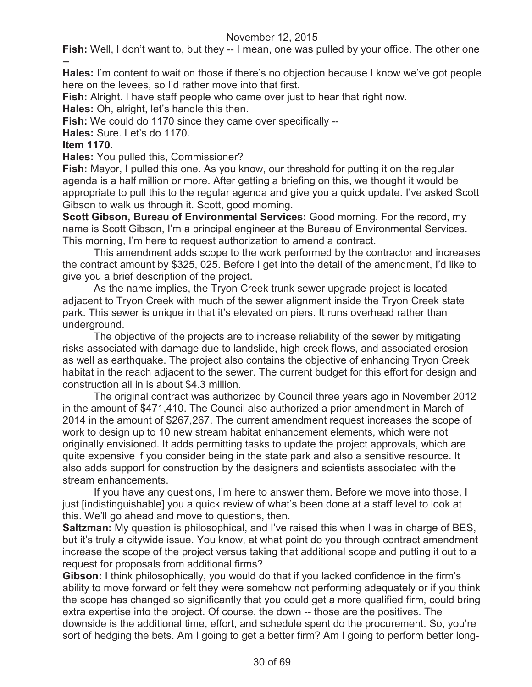**Fish:** Well, I don't want to, but they -- I mean, one was pulled by your office. The other one --

**Hales:** I'm content to wait on those if there's no objection because I know we've got people here on the levees, so I'd rather move into that first.

**Fish:** Alright. I have staff people who came over just to hear that right now.

**Hales:** Oh, alright, let's handle this then.

**Fish:** We could do 1170 since they came over specifically --

**Hales:** Sure. Let's do 1170.

### **Item 1170.**

**Hales:** You pulled this, Commissioner?

**Fish:** Mayor, I pulled this one. As you know, our threshold for putting it on the regular agenda is a half million or more. After getting a briefing on this, we thought it would be appropriate to pull this to the regular agenda and give you a quick update. I've asked Scott Gibson to walk us through it. Scott, good morning.

**Scott Gibson, Bureau of Environmental Services:** Good morning. For the record, my name is Scott Gibson, I'm a principal engineer at the Bureau of Environmental Services. This morning, I'm here to request authorization to amend a contract.

This amendment adds scope to the work performed by the contractor and increases the contract amount by \$325, 025. Before I get into the detail of the amendment, I'd like to give you a brief description of the project.

As the name implies, the Tryon Creek trunk sewer upgrade project is located adjacent to Tryon Creek with much of the sewer alignment inside the Tryon Creek state park. This sewer is unique in that it's elevated on piers. It runs overhead rather than underground.

The objective of the projects are to increase reliability of the sewer by mitigating risks associated with damage due to landslide, high creek flows, and associated erosion as well as earthquake. The project also contains the objective of enhancing Tryon Creek habitat in the reach adjacent to the sewer. The current budget for this effort for design and construction all in is about \$4.3 million.

The original contract was authorized by Council three years ago in November 2012 in the amount of \$471,410. The Council also authorized a prior amendment in March of 2014 in the amount of \$267,267. The current amendment request increases the scope of work to design up to 10 new stream habitat enhancement elements, which were not originally envisioned. It adds permitting tasks to update the project approvals, which are quite expensive if you consider being in the state park and also a sensitive resource. It also adds support for construction by the designers and scientists associated with the stream enhancements.

If you have any questions, I'm here to answer them. Before we move into those, I just [indistinguishable] you a quick review of what's been done at a staff level to look at this. We'll go ahead and move to questions, then.

**Saltzman:** My question is philosophical, and I've raised this when I was in charge of BES, but it's truly a citywide issue. You know, at what point do you through contract amendment increase the scope of the project versus taking that additional scope and putting it out to a request for proposals from additional firms?

**Gibson:** I think philosophically, you would do that if you lacked confidence in the firm's ability to move forward or felt they were somehow not performing adequately or if you think the scope has changed so significantly that you could get a more qualified firm, could bring extra expertise into the project. Of course, the down -- those are the positives. The downside is the additional time, effort, and schedule spent do the procurement. So, you're sort of hedging the bets. Am I going to get a better firm? Am I going to perform better long-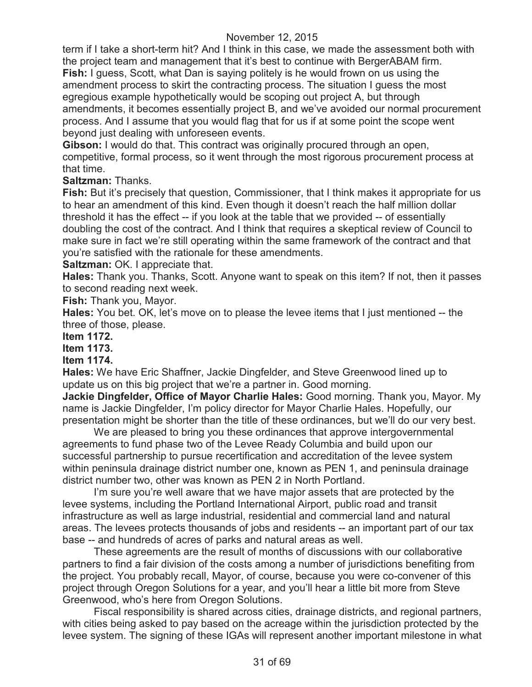term if I take a short-term hit? And I think in this case, we made the assessment both with the project team and management that it's best to continue with BergerABAM firm. **Fish:** I guess, Scott, what Dan is saying politely is he would frown on us using the amendment process to skirt the contracting process. The situation I guess the most egregious example hypothetically would be scoping out project A, but through amendments, it becomes essentially project B, and we've avoided our normal procurement process. And I assume that you would flag that for us if at some point the scope went beyond just dealing with unforeseen events.

**Gibson:** I would do that. This contract was originally procured through an open, competitive, formal process, so it went through the most rigorous procurement process at that time.

**Saltzman:** Thanks.

**Fish:** But it's precisely that question, Commissioner, that I think makes it appropriate for us to hear an amendment of this kind. Even though it doesn't reach the half million dollar threshold it has the effect -- if you look at the table that we provided -- of essentially doubling the cost of the contract. And I think that requires a skeptical review of Council to make sure in fact we're still operating within the same framework of the contract and that you're satisfied with the rationale for these amendments.

**Saltzman: OK. I appreciate that.** 

**Hales:** Thank you. Thanks, Scott. Anyone want to speak on this item? If not, then it passes to second reading next week.

**Fish:** Thank you, Mayor.

**Hales:** You bet. OK, let's move on to please the levee items that I just mentioned -- the three of those, please.

#### **Item 1172.**

### **Item 1173.**

#### **Item 1174.**

**Hales:** We have Eric Shaffner, Jackie Dingfelder, and Steve Greenwood lined up to update us on this big project that we're a partner in. Good morning.

**Jackie Dingfelder, Office of Mayor Charlie Hales:** Good morning. Thank you, Mayor. My name is Jackie Dingfelder, I'm policy director for Mayor Charlie Hales. Hopefully, our presentation might be shorter than the title of these ordinances, but we'll do our very best.

We are pleased to bring you these ordinances that approve intergovernmental agreements to fund phase two of the Levee Ready Columbia and build upon our successful partnership to pursue recertification and accreditation of the levee system within peninsula drainage district number one, known as PEN 1, and peninsula drainage district number two, other was known as PEN 2 in North Portland.

I'm sure you're well aware that we have major assets that are protected by the levee systems, including the Portland International Airport, public road and transit infrastructure as well as large industrial, residential and commercial land and natural areas. The levees protects thousands of jobs and residents -- an important part of our tax base -- and hundreds of acres of parks and natural areas as well.

These agreements are the result of months of discussions with our collaborative partners to find a fair division of the costs among a number of jurisdictions benefiting from the project. You probably recall, Mayor, of course, because you were co-convener of this project through Oregon Solutions for a year, and you'll hear a little bit more from Steve Greenwood, who's here from Oregon Solutions.

Fiscal responsibility is shared across cities, drainage districts, and regional partners, with cities being asked to pay based on the acreage within the jurisdiction protected by the levee system. The signing of these IGAs will represent another important milestone in what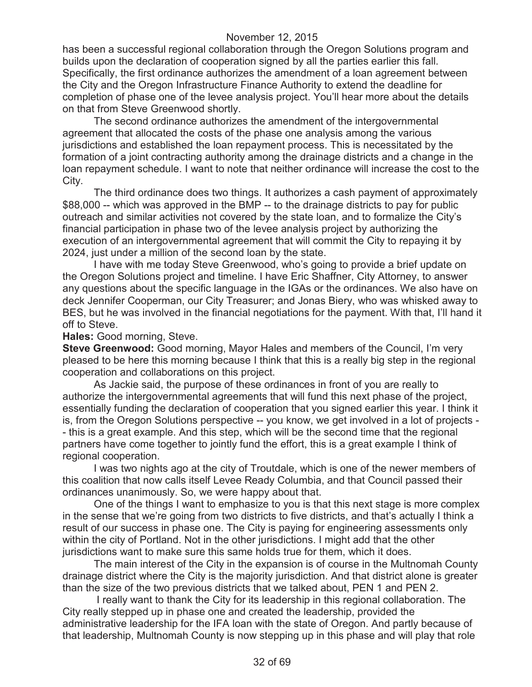has been a successful regional collaboration through the Oregon Solutions program and builds upon the declaration of cooperation signed by all the parties earlier this fall. Specifically, the first ordinance authorizes the amendment of a loan agreement between the City and the Oregon Infrastructure Finance Authority to extend the deadline for completion of phase one of the levee analysis project. You'll hear more about the details on that from Steve Greenwood shortly.

The second ordinance authorizes the amendment of the intergovernmental agreement that allocated the costs of the phase one analysis among the various jurisdictions and established the loan repayment process. This is necessitated by the formation of a joint contracting authority among the drainage districts and a change in the loan repayment schedule. I want to note that neither ordinance will increase the cost to the City.

The third ordinance does two things. It authorizes a cash payment of approximately \$88,000 -- which was approved in the BMP -- to the drainage districts to pay for public outreach and similar activities not covered by the state loan, and to formalize the City's financial participation in phase two of the levee analysis project by authorizing the execution of an intergovernmental agreement that will commit the City to repaying it by 2024, just under a million of the second loan by the state.

I have with me today Steve Greenwood, who's going to provide a brief update on the Oregon Solutions project and timeline. I have Eric Shaffner, City Attorney, to answer any questions about the specific language in the IGAs or the ordinances. We also have on deck Jennifer Cooperman, our City Treasurer; and Jonas Biery, who was whisked away to BES, but he was involved in the financial negotiations for the payment. With that, I'll hand it off to Steve.

**Hales:** Good morning, Steve.

**Steve Greenwood:** Good morning, Mayor Hales and members of the Council, I'm very pleased to be here this morning because I think that this is a really big step in the regional cooperation and collaborations on this project.

As Jackie said, the purpose of these ordinances in front of you are really to authorize the intergovernmental agreements that will fund this next phase of the project, essentially funding the declaration of cooperation that you signed earlier this year. I think it is, from the Oregon Solutions perspective -- you know, we get involved in a lot of projects - - this is a great example. And this step, which will be the second time that the regional partners have come together to jointly fund the effort, this is a great example I think of regional cooperation.

I was two nights ago at the city of Troutdale, which is one of the newer members of this coalition that now calls itself Levee Ready Columbia, and that Council passed their ordinances unanimously. So, we were happy about that.

One of the things I want to emphasize to you is that this next stage is more complex in the sense that we're going from two districts to five districts, and that's actually I think a result of our success in phase one. The City is paying for engineering assessments only within the city of Portland. Not in the other jurisdictions. I might add that the other jurisdictions want to make sure this same holds true for them, which it does.

The main interest of the City in the expansion is of course in the Multnomah County drainage district where the City is the majority jurisdiction. And that district alone is greater than the size of the two previous districts that we talked about, PEN 1 and PEN 2.

I really want to thank the City for its leadership in this regional collaboration. The City really stepped up in phase one and created the leadership, provided the administrative leadership for the IFA loan with the state of Oregon. And partly because of that leadership, Multnomah County is now stepping up in this phase and will play that role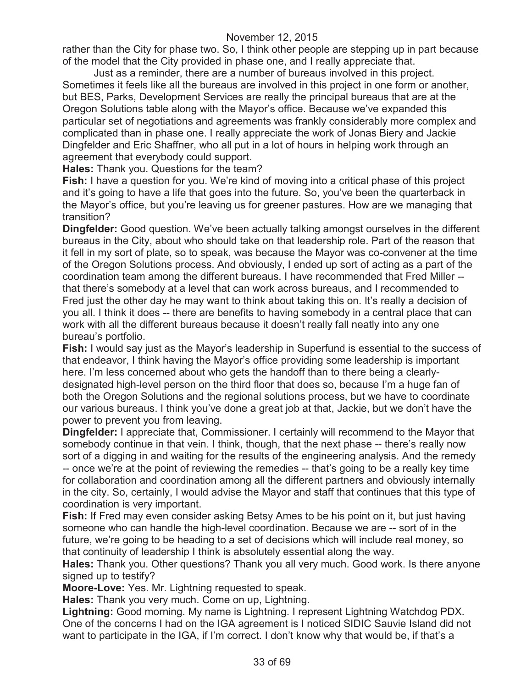rather than the City for phase two. So, I think other people are stepping up in part because of the model that the City provided in phase one, and I really appreciate that.

Just as a reminder, there are a number of bureaus involved in this project. Sometimes it feels like all the bureaus are involved in this project in one form or another, but BES, Parks, Development Services are really the principal bureaus that are at the Oregon Solutions table along with the Mayor's office. Because we've expanded this particular set of negotiations and agreements was frankly considerably more complex and complicated than in phase one. I really appreciate the work of Jonas Biery and Jackie Dingfelder and Eric Shaffner, who all put in a lot of hours in helping work through an agreement that everybody could support.

**Hales:** Thank you. Questions for the team?

**Fish:** I have a question for you. We're kind of moving into a critical phase of this project and it's going to have a life that goes into the future. So, you've been the quarterback in the Mayor's office, but you're leaving us for greener pastures. How are we managing that transition?

**Dingfelder:** Good question. We've been actually talking amongst ourselves in the different bureaus in the City, about who should take on that leadership role. Part of the reason that it fell in my sort of plate, so to speak, was because the Mayor was co-convener at the time of the Oregon Solutions process. And obviously, I ended up sort of acting as a part of the coordination team among the different bureaus. I have recommended that Fred Miller - that there's somebody at a level that can work across bureaus, and I recommended to Fred just the other day he may want to think about taking this on. It's really a decision of you all. I think it does -- there are benefits to having somebody in a central place that can work with all the different bureaus because it doesn't really fall neatly into any one bureau's portfolio.

**Fish:** I would say just as the Mayor's leadership in Superfund is essential to the success of that endeavor, I think having the Mayor's office providing some leadership is important here. I'm less concerned about who gets the handoff than to there being a clearlydesignated high-level person on the third floor that does so, because I'm a huge fan of both the Oregon Solutions and the regional solutions process, but we have to coordinate our various bureaus. I think you've done a great job at that, Jackie, but we don't have the power to prevent you from leaving.

**Dingfelder:** I appreciate that, Commissioner. I certainly will recommend to the Mayor that somebody continue in that vein. I think, though, that the next phase -- there's really now sort of a digging in and waiting for the results of the engineering analysis. And the remedy -- once we're at the point of reviewing the remedies -- that's going to be a really key time for collaboration and coordination among all the different partners and obviously internally in the city. So, certainly, I would advise the Mayor and staff that continues that this type of coordination is very important.

**Fish:** If Fred may even consider asking Betsy Ames to be his point on it, but just having someone who can handle the high-level coordination. Because we are -- sort of in the future, we're going to be heading to a set of decisions which will include real money, so that continuity of leadership I think is absolutely essential along the way.

**Hales:** Thank you. Other questions? Thank you all very much. Good work. Is there anyone signed up to testify?

**Moore-Love:** Yes. Mr. Lightning requested to speak.

**Hales:** Thank you very much. Come on up, Lightning.

**Lightning:** Good morning. My name is Lightning. I represent Lightning Watchdog PDX. One of the concerns I had on the IGA agreement is I noticed SIDIC Sauvie Island did not want to participate in the IGA, if I'm correct. I don't know why that would be, if that's a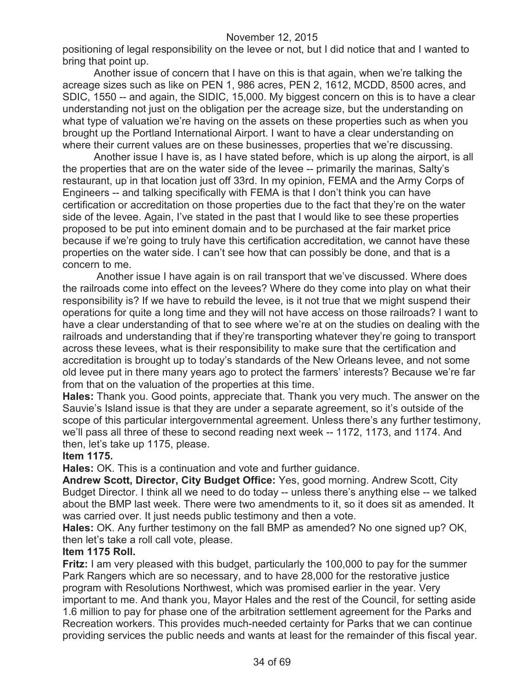positioning of legal responsibility on the levee or not, but I did notice that and I wanted to bring that point up.

Another issue of concern that I have on this is that again, when we're talking the acreage sizes such as like on PEN 1, 986 acres, PEN 2, 1612, MCDD, 8500 acres, and SDIC, 1550 -- and again, the SIDIC, 15,000. My biggest concern on this is to have a clear understanding not just on the obligation per the acreage size, but the understanding on what type of valuation we're having on the assets on these properties such as when you brought up the Portland International Airport. I want to have a clear understanding on where their current values are on these businesses, properties that we're discussing.

Another issue I have is, as I have stated before, which is up along the airport, is all the properties that are on the water side of the levee -- primarily the marinas, Salty's restaurant, up in that location just off 33rd. In my opinion, FEMA and the Army Corps of Engineers -- and talking specifically with FEMA is that I don't think you can have certification or accreditation on those properties due to the fact that they're on the water side of the levee. Again, I've stated in the past that I would like to see these properties proposed to be put into eminent domain and to be purchased at the fair market price because if we're going to truly have this certification accreditation, we cannot have these properties on the water side. I can't see how that can possibly be done, and that is a concern to me.

Another issue I have again is on rail transport that we've discussed. Where does the railroads come into effect on the levees? Where do they come into play on what their responsibility is? If we have to rebuild the levee, is it not true that we might suspend their operations for quite a long time and they will not have access on those railroads? I want to have a clear understanding of that to see where we're at on the studies on dealing with the railroads and understanding that if they're transporting whatever they're going to transport across these levees, what is their responsibility to make sure that the certification and accreditation is brought up to today's standards of the New Orleans levee, and not some old levee put in there many years ago to protect the farmers' interests? Because we're far from that on the valuation of the properties at this time.

**Hales:** Thank you. Good points, appreciate that. Thank you very much. The answer on the Sauvie's Island issue is that they are under a separate agreement, so it's outside of the scope of this particular intergovernmental agreement. Unless there's any further testimony, we'll pass all three of these to second reading next week -- 1172, 1173, and 1174. And then, let's take up 1175, please.

#### **Item 1175.**

**Hales:** OK. This is a continuation and vote and further guidance.

**Andrew Scott, Director, City Budget Office:** Yes, good morning. Andrew Scott, City Budget Director. I think all we need to do today -- unless there's anything else -- we talked about the BMP last week. There were two amendments to it, so it does sit as amended. It was carried over. It just needs public testimony and then a vote.

**Hales:** OK. Any further testimony on the fall BMP as amended? No one signed up? OK, then let's take a roll call vote, please.

#### **Item 1175 Roll.**

**Fritz:** I am very pleased with this budget, particularly the 100,000 to pay for the summer Park Rangers which are so necessary, and to have 28,000 for the restorative justice program with Resolutions Northwest, which was promised earlier in the year. Very important to me. And thank you, Mayor Hales and the rest of the Council, for setting aside 1.6 million to pay for phase one of the arbitration settlement agreement for the Parks and Recreation workers. This provides much-needed certainty for Parks that we can continue providing services the public needs and wants at least for the remainder of this fiscal year.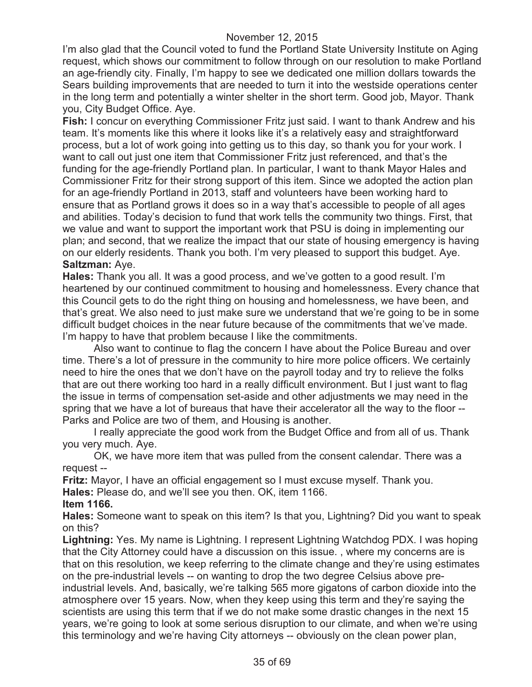I'm also glad that the Council voted to fund the Portland State University Institute on Aging request, which shows our commitment to follow through on our resolution to make Portland an age-friendly city. Finally, I'm happy to see we dedicated one million dollars towards the Sears building improvements that are needed to turn it into the westside operations center in the long term and potentially a winter shelter in the short term. Good job, Mayor. Thank you, City Budget Office. Aye.

**Fish:** I concur on everything Commissioner Fritz just said. I want to thank Andrew and his team. It's moments like this where it looks like it's a relatively easy and straightforward process, but a lot of work going into getting us to this day, so thank you for your work. I want to call out just one item that Commissioner Fritz just referenced, and that's the funding for the age-friendly Portland plan. In particular, I want to thank Mayor Hales and Commissioner Fritz for their strong support of this item. Since we adopted the action plan for an age-friendly Portland in 2013, staff and volunteers have been working hard to ensure that as Portland grows it does so in a way that's accessible to people of all ages and abilities. Today's decision to fund that work tells the community two things. First, that we value and want to support the important work that PSU is doing in implementing our plan; and second, that we realize the impact that our state of housing emergency is having on our elderly residents. Thank you both. I'm very pleased to support this budget. Aye. **Saltzman:** Aye.

**Hales:** Thank you all. It was a good process, and we've gotten to a good result. I'm heartened by our continued commitment to housing and homelessness. Every chance that this Council gets to do the right thing on housing and homelessness, we have been, and that's great. We also need to just make sure we understand that we're going to be in some difficult budget choices in the near future because of the commitments that we've made. I'm happy to have that problem because I like the commitments.

Also want to continue to flag the concern I have about the Police Bureau and over time. There's a lot of pressure in the community to hire more police officers. We certainly need to hire the ones that we don't have on the payroll today and try to relieve the folks that are out there working too hard in a really difficult environment. But I just want to flag the issue in terms of compensation set-aside and other adjustments we may need in the spring that we have a lot of bureaus that have their accelerator all the way to the floor -- Parks and Police are two of them, and Housing is another.

I really appreciate the good work from the Budget Office and from all of us. Thank you very much. Aye.

OK, we have more item that was pulled from the consent calendar. There was a request --

**Fritz:** Mayor, I have an official engagement so I must excuse myself. Thank you.

**Hales:** Please do, and we'll see you then. OK, item 1166.

#### **Item 1166.**

**Hales:** Someone want to speak on this item? Is that you, Lightning? Did you want to speak on this?

**Lightning:** Yes. My name is Lightning. I represent Lightning Watchdog PDX. I was hoping that the City Attorney could have a discussion on this issue. , where my concerns are is that on this resolution, we keep referring to the climate change and they're using estimates on the pre-industrial levels -- on wanting to drop the two degree Celsius above preindustrial levels. And, basically, we're talking 565 more gigatons of carbon dioxide into the atmosphere over 15 years. Now, when they keep using this term and they're saying the scientists are using this term that if we do not make some drastic changes in the next 15 years, we're going to look at some serious disruption to our climate, and when we're using this terminology and we're having City attorneys -- obviously on the clean power plan,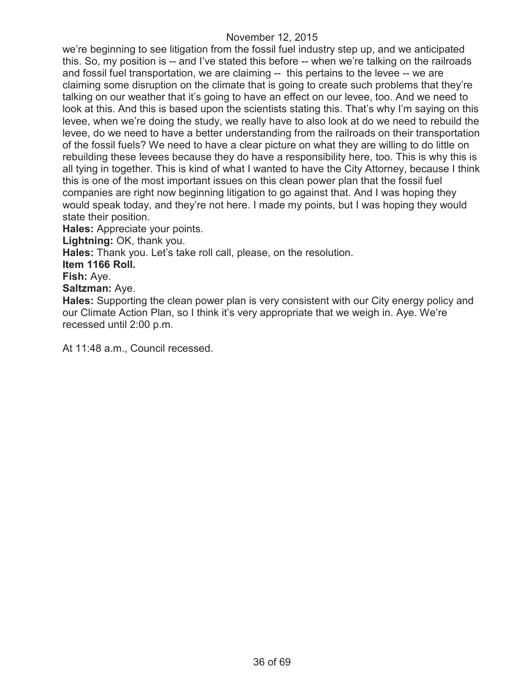we're beginning to see litigation from the fossil fuel industry step up, and we anticipated this. So, my position is -- and I've stated this before -- when we're talking on the railroads and fossil fuel transportation, we are claiming -- this pertains to the levee -- we are claiming some disruption on the climate that is going to create such problems that they're talking on our weather that it's going to have an effect on our levee, too. And we need to look at this. And this is based upon the scientists stating this. That's why I'm saying on this levee, when we're doing the study, we really have to also look at do we need to rebuild the levee, do we need to have a better understanding from the railroads on their transportation of the fossil fuels? We need to have a clear picture on what they are willing to do little on rebuilding these levees because they do have a responsibility here, too. This is why this is all tying in together. This is kind of what I wanted to have the City Attorney, because I think this is one of the most important issues on this clean power plan that the fossil fuel companies are right now beginning litigation to go against that. And I was hoping they would speak today, and they're not here. I made my points, but I was hoping they would state their position.

**Hales:** Appreciate your points.

**Lightning:** OK, thank you.

**Hales:** Thank you. Let's take roll call, please, on the resolution.

**Item 1166 Roll.**

**Fish:** Aye.

**Saltzman:** Aye.

**Hales:** Supporting the clean power plan is very consistent with our City energy policy and our Climate Action Plan, so I think it's very appropriate that we weigh in. Aye. We're recessed until 2:00 p.m.

At 11:48 a.m., Council recessed.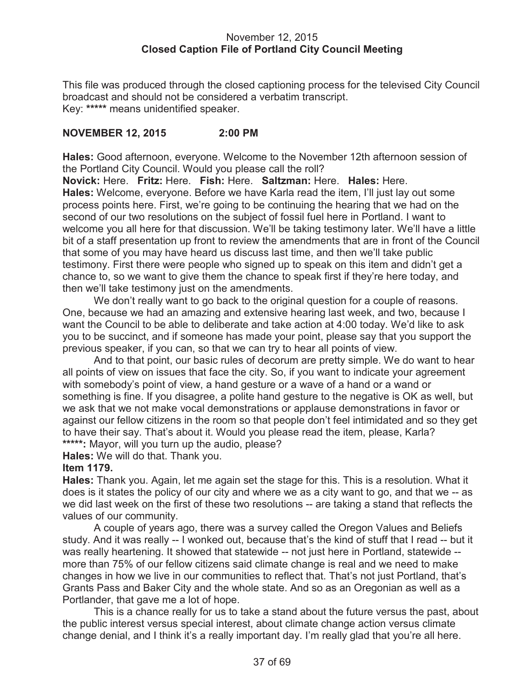### November 12, 2015 **Closed Caption File of Portland City Council Meeting**

This file was produced through the closed captioning process for the televised City Council broadcast and should not be considered a verbatim transcript. Key: **\*\*\*\*\*** means unidentified speaker.

# **NOVEMBER 12, 2015 2:00 PM**

**Hales:** Good afternoon, everyone. Welcome to the November 12th afternoon session of the Portland City Council. Would you please call the roll?

**Novick:** Here. **Fritz:** Here. **Fish:** Here. **Saltzman:** Here. **Hales:** Here. **Hales:** Welcome, everyone. Before we have Karla read the item, I'll just lay out some process points here. First, we're going to be continuing the hearing that we had on the second of our two resolutions on the subject of fossil fuel here in Portland. I want to welcome you all here for that discussion. We'll be taking testimony later. We'll have a little bit of a staff presentation up front to review the amendments that are in front of the Council that some of you may have heard us discuss last time, and then we'll take public testimony. First there were people who signed up to speak on this item and didn't get a chance to, so we want to give them the chance to speak first if they're here today, and then we'll take testimony just on the amendments.

We don't really want to go back to the original question for a couple of reasons. One, because we had an amazing and extensive hearing last week, and two, because I want the Council to be able to deliberate and take action at 4:00 today. We'd like to ask you to be succinct, and if someone has made your point, please say that you support the previous speaker, if you can, so that we can try to hear all points of view.

And to that point, our basic rules of decorum are pretty simple. We do want to hear all points of view on issues that face the city. So, if you want to indicate your agreement with somebody's point of view, a hand gesture or a wave of a hand or a wand or something is fine. If you disagree, a polite hand gesture to the negative is OK as well, but we ask that we not make vocal demonstrations or applause demonstrations in favor or against our fellow citizens in the room so that people don't feel intimidated and so they get to have their say. That's about it. Would you please read the item, please, Karla? **\*\*\*\*\*:** Mayor, will you turn up the audio, please?

**Hales:** We will do that. Thank you.

# **Item 1179.**

**Hales:** Thank you. Again, let me again set the stage for this. This is a resolution. What it does is it states the policy of our city and where we as a city want to go, and that we -- as we did last week on the first of these two resolutions -- are taking a stand that reflects the values of our community.

A couple of years ago, there was a survey called the Oregon Values and Beliefs study. And it was really -- I wonked out, because that's the kind of stuff that I read -- but it was really heartening. It showed that statewide -- not just here in Portland, statewide - more than 75% of our fellow citizens said climate change is real and we need to make changes in how we live in our communities to reflect that. That's not just Portland, that's Grants Pass and Baker City and the whole state. And so as an Oregonian as well as a Portlander, that gave me a lot of hope.

This is a chance really for us to take a stand about the future versus the past, about the public interest versus special interest, about climate change action versus climate change denial, and I think it's a really important day. I'm really glad that you're all here.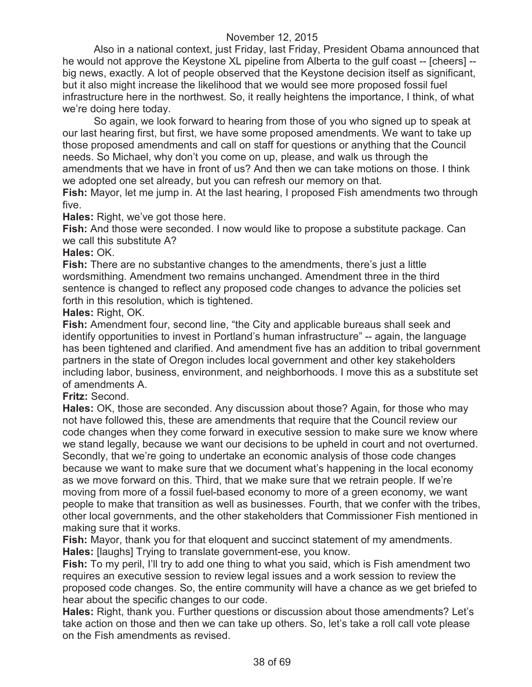Also in a national context, just Friday, last Friday, President Obama announced that he would not approve the Keystone XL pipeline from Alberta to the gulf coast -- [cheers] - big news, exactly. A lot of people observed that the Keystone decision itself as significant, but it also might increase the likelihood that we would see more proposed fossil fuel infrastructure here in the northwest. So, it really heightens the importance, I think, of what we're doing here today.

So again, we look forward to hearing from those of you who signed up to speak at our last hearing first, but first, we have some proposed amendments. We want to take up those proposed amendments and call on staff for questions or anything that the Council needs. So Michael, why don't you come on up, please, and walk us through the amendments that we have in front of us? And then we can take motions on those. I think we adopted one set already, but you can refresh our memory on that.

**Fish:** Mayor, let me jump in. At the last hearing, I proposed Fish amendments two through five.

**Hales:** Right, we've got those here.

**Fish:** And those were seconded. I now would like to propose a substitute package. Can we call this substitute A?

#### **Hales:** OK.

**Fish:** There are no substantive changes to the amendments, there's just a little wordsmithing. Amendment two remains unchanged. Amendment three in the third sentence is changed to reflect any proposed code changes to advance the policies set forth in this resolution, which is tightened.

### **Hales:** Right, OK.

**Fish:** Amendment four, second line, "the City and applicable bureaus shall seek and identify opportunities to invest in Portland's human infrastructure" -- again, the language has been tightened and clarified. And amendment five has an addition to tribal government partners in the state of Oregon includes local government and other key stakeholders including labor, business, environment, and neighborhoods. I move this as a substitute set of amendments A.

### **Fritz:** Second.

**Hales:** OK, those are seconded. Any discussion about those? Again, for those who may not have followed this, these are amendments that require that the Council review our code changes when they come forward in executive session to make sure we know where we stand legally, because we want our decisions to be upheld in court and not overturned. Secondly, that we're going to undertake an economic analysis of those code changes because we want to make sure that we document what's happening in the local economy as we move forward on this. Third, that we make sure that we retrain people. If we're moving from more of a fossil fuel-based economy to more of a green economy, we want people to make that transition as well as businesses. Fourth, that we confer with the tribes, other local governments, and the other stakeholders that Commissioner Fish mentioned in making sure that it works.

**Fish:** Mayor, thank you for that eloquent and succinct statement of my amendments. **Hales:** [laughs] Trying to translate government-ese, you know.

**Fish:** To my peril, I'll try to add one thing to what you said, which is Fish amendment two requires an executive session to review legal issues and a work session to review the proposed code changes. So, the entire community will have a chance as we get briefed to hear about the specific changes to our code.

**Hales:** Right, thank you. Further questions or discussion about those amendments? Let's take action on those and then we can take up others. So, let's take a roll call vote please on the Fish amendments as revised.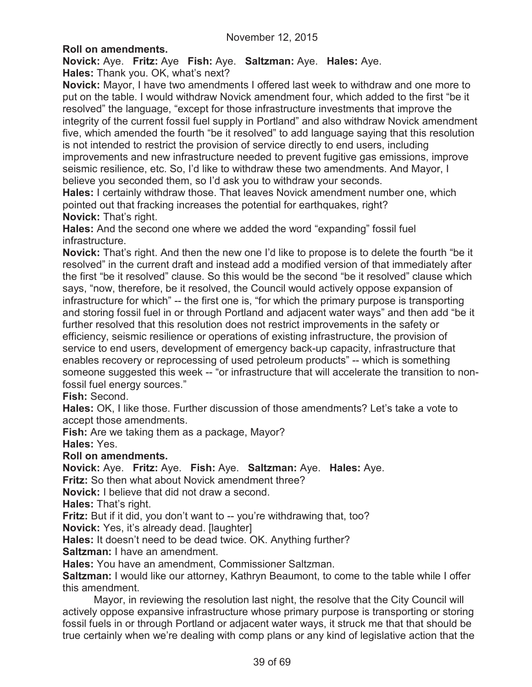# **Roll on amendments.**

**Novick:** Aye. **Fritz:** Aye **Fish:** Aye. **Saltzman:** Aye. **Hales:** Aye. **Hales:** Thank you. OK, what's next?

**Novick:** Mayor, I have two amendments I offered last week to withdraw and one more to put on the table. I would withdraw Novick amendment four, which added to the first "be it resolved" the language, "except for those infrastructure investments that improve the integrity of the current fossil fuel supply in Portland" and also withdraw Novick amendment five, which amended the fourth "be it resolved" to add language saying that this resolution is not intended to restrict the provision of service directly to end users, including improvements and new infrastructure needed to prevent fugitive gas emissions, improve seismic resilience, etc. So, I'd like to withdraw these two amendments. And Mayor, I believe you seconded them, so I'd ask you to withdraw your seconds.

**Hales:** I certainly withdraw those. That leaves Novick amendment number one, which pointed out that fracking increases the potential for earthquakes, right? **Novick:** That's right.

**Hales:** And the second one where we added the word "expanding" fossil fuel infrastructure.

**Novick:** That's right. And then the new one I'd like to propose is to delete the fourth "be it resolved" in the current draft and instead add a modified version of that immediately after the first "be it resolved" clause. So this would be the second "be it resolved" clause which says, "now, therefore, be it resolved, the Council would actively oppose expansion of infrastructure for which" -- the first one is, "for which the primary purpose is transporting and storing fossil fuel in or through Portland and adjacent water ways" and then add "be it further resolved that this resolution does not restrict improvements in the safety or efficiency, seismic resilience or operations of existing infrastructure, the provision of service to end users, development of emergency back-up capacity, infrastructure that enables recovery or reprocessing of used petroleum products" -- which is something someone suggested this week -- "or infrastructure that will accelerate the transition to nonfossil fuel energy sources."

**Fish:** Second.

**Hales:** OK, I like those. Further discussion of those amendments? Let's take a vote to accept those amendments.

**Fish:** Are we taking them as a package, Mayor? **Hales:** Yes.

### **Roll on amendments.**

**Novick:** Aye. **Fritz:** Aye. **Fish:** Aye. **Saltzman:** Aye. **Hales:** Aye.

**Fritz:** So then what about Novick amendment three?

**Novick:** I believe that did not draw a second.

**Hales:** That's right.

**Fritz:** But if it did, you don't want to -- you're withdrawing that, too?

**Novick:** Yes, it's already dead. [laughter]

**Hales:** It doesn't need to be dead twice. OK. Anything further?

**Saltzman:** I have an amendment.

**Hales:** You have an amendment, Commissioner Saltzman.

**Saltzman:** I would like our attorney, Kathryn Beaumont, to come to the table while I offer this amendment.

Mayor, in reviewing the resolution last night, the resolve that the City Council will actively oppose expansive infrastructure whose primary purpose is transporting or storing fossil fuels in or through Portland or adjacent water ways, it struck me that that should be true certainly when we're dealing with comp plans or any kind of legislative action that the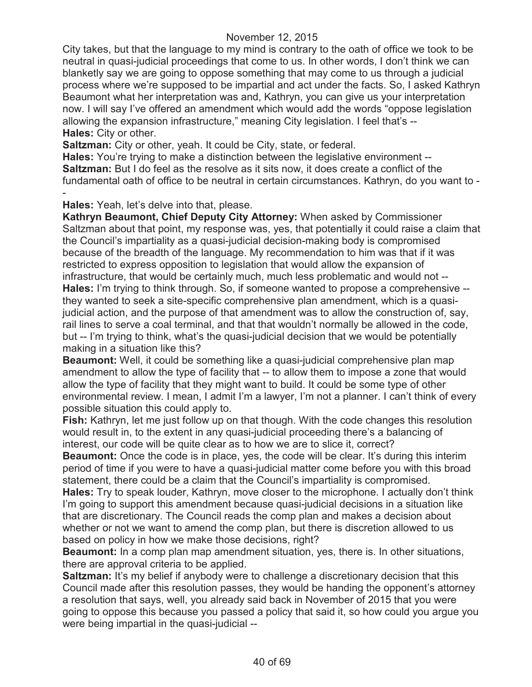City takes, but that the language to my mind is contrary to the oath of office we took to be neutral in quasi-judicial proceedings that come to us. In other words, I don't think we can blanketly say we are going to oppose something that may come to us through a judicial process where we're supposed to be impartial and act under the facts. So, I asked Kathryn Beaumont what her interpretation was and, Kathryn, you can give us your interpretation now. I will say I've offered an amendment which would add the words "oppose legislation allowing the expansion infrastructure," meaning City legislation. I feel that's -- **Hales:** City or other.

**Saltzman:** City or other, yeah. It could be City, state, or federal.

**Hales:** You're trying to make a distinction between the legislative environment -- **Saltzman:** But I do feel as the resolve as it sits now, it does create a conflict of the fundamental oath of office to be neutral in certain circumstances. Kathryn, do you want to - -

**Hales:** Yeah, let's delve into that, please.

**Kathryn Beaumont, Chief Deputy City Attorney:** When asked by Commissioner Saltzman about that point, my response was, yes, that potentially it could raise a claim that the Council's impartiality as a quasi-judicial decision-making body is compromised because of the breadth of the language. My recommendation to him was that if it was restricted to express opposition to legislation that would allow the expansion of infrastructure, that would be certainly much, much less problematic and would not -- **Hales:** I'm trying to think through. So, if someone wanted to propose a comprehensive - they wanted to seek a site-specific comprehensive plan amendment, which is a quasijudicial action, and the purpose of that amendment was to allow the construction of, say, rail lines to serve a coal terminal, and that that wouldn't normally be allowed in the code, but -- I'm trying to think, what's the quasi-judicial decision that we would be potentially making in a situation like this?

**Beaumont:** Well, it could be something like a quasi-judicial comprehensive plan map amendment to allow the type of facility that -- to allow them to impose a zone that would allow the type of facility that they might want to build. It could be some type of other environmental review. I mean, I admit I'm a lawyer, I'm not a planner. I can't think of every possible situation this could apply to.

**Fish:** Kathryn, let me just follow up on that though. With the code changes this resolution would result in, to the extent in any quasi-judicial proceeding there's a balancing of interest, our code will be quite clear as to how we are to slice it, correct?

**Beaumont:** Once the code is in place, yes, the code will be clear. It's during this interim period of time if you were to have a quasi-judicial matter come before you with this broad statement, there could be a claim that the Council's impartiality is compromised.

**Hales:** Try to speak louder, Kathryn, move closer to the microphone. I actually don't think I'm going to support this amendment because quasi-judicial decisions in a situation like that are discretionary. The Council reads the comp plan and makes a decision about whether or not we want to amend the comp plan, but there is discretion allowed to us based on policy in how we make those decisions, right?

**Beaumont:** In a comp plan map amendment situation, yes, there is. In other situations, there are approval criteria to be applied.

**Saltzman:** It's my belief if anybody were to challenge a discretionary decision that this Council made after this resolution passes, they would be handing the opponent's attorney a resolution that says, well, you already said back in November of 2015 that you were going to oppose this because you passed a policy that said it, so how could you argue you were being impartial in the quasi-judicial --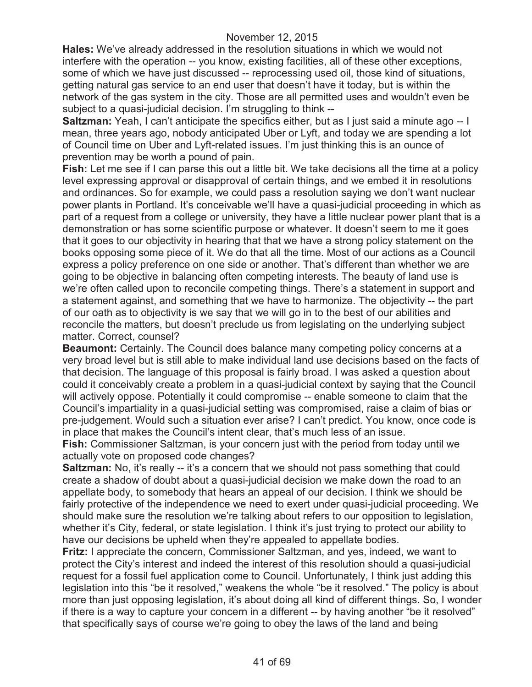**Hales:** We've already addressed in the resolution situations in which we would not interfere with the operation -- you know, existing facilities, all of these other exceptions, some of which we have just discussed -- reprocessing used oil, those kind of situations, getting natural gas service to an end user that doesn't have it today, but is within the network of the gas system in the city. Those are all permitted uses and wouldn't even be subject to a quasi-judicial decision. I'm struggling to think --

**Saltzman:** Yeah, I can't anticipate the specifics either, but as I just said a minute ago -- I mean, three years ago, nobody anticipated Uber or Lyft, and today we are spending a lot of Council time on Uber and Lyft-related issues. I'm just thinking this is an ounce of prevention may be worth a pound of pain.

**Fish:** Let me see if I can parse this out a little bit. We take decisions all the time at a policy level expressing approval or disapproval of certain things, and we embed it in resolutions and ordinances. So for example, we could pass a resolution saying we don't want nuclear power plants in Portland. It's conceivable we'll have a quasi-judicial proceeding in which as part of a request from a college or university, they have a little nuclear power plant that is a demonstration or has some scientific purpose or whatever. It doesn't seem to me it goes that it goes to our objectivity in hearing that that we have a strong policy statement on the books opposing some piece of it. We do that all the time. Most of our actions as a Council express a policy preference on one side or another. That's different than whether we are going to be objective in balancing often competing interests. The beauty of land use is we're often called upon to reconcile competing things. There's a statement in support and a statement against, and something that we have to harmonize. The objectivity -- the part of our oath as to objectivity is we say that we will go in to the best of our abilities and reconcile the matters, but doesn't preclude us from legislating on the underlying subject matter. Correct, counsel?

**Beaumont:** Certainly. The Council does balance many competing policy concerns at a very broad level but is still able to make individual land use decisions based on the facts of that decision. The language of this proposal is fairly broad. I was asked a question about could it conceivably create a problem in a quasi-judicial context by saying that the Council will actively oppose. Potentially it could compromise -- enable someone to claim that the Council's impartiality in a quasi-judicial setting was compromised, raise a claim of bias or pre-judgement. Would such a situation ever arise? I can't predict. You know, once code is in place that makes the Council's intent clear, that's much less of an issue.

**Fish:** Commissioner Saltzman, is your concern just with the period from today until we actually vote on proposed code changes?

**Saltzman:** No, it's really -- it's a concern that we should not pass something that could create a shadow of doubt about a quasi-judicial decision we make down the road to an appellate body, to somebody that hears an appeal of our decision. I think we should be fairly protective of the independence we need to exert under quasi-judicial proceeding. We should make sure the resolution we're talking about refers to our opposition to legislation, whether it's City, federal, or state legislation. I think it's just trying to protect our ability to have our decisions be upheld when they're appealed to appellate bodies.

**Fritz:** I appreciate the concern, Commissioner Saltzman, and yes, indeed, we want to protect the City's interest and indeed the interest of this resolution should a quasi-judicial request for a fossil fuel application come to Council. Unfortunately, I think just adding this legislation into this "be it resolved," weakens the whole "be it resolved." The policy is about more than just opposing legislation, it's about doing all kind of different things. So, I wonder if there is a way to capture your concern in a different -- by having another "be it resolved" that specifically says of course we're going to obey the laws of the land and being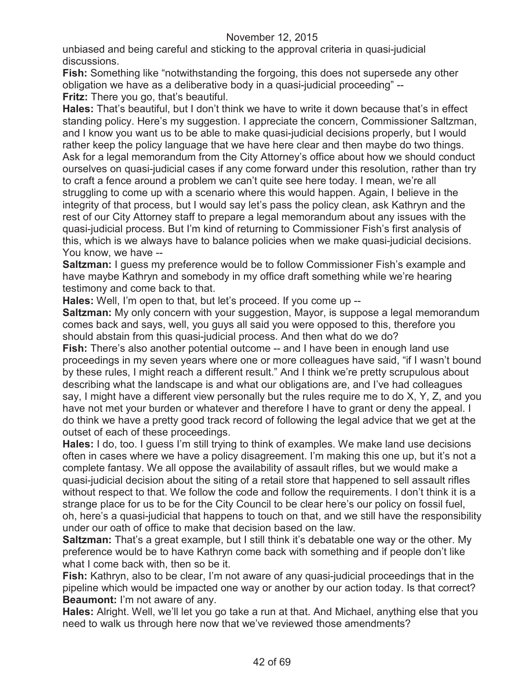unbiased and being careful and sticking to the approval criteria in quasi-judicial discussions.

**Fish:** Something like "notwithstanding the forgoing, this does not supersede any other obligation we have as a deliberative body in a quasi-judicial proceeding" -- **Fritz:** There you go, that's beautiful.

**Hales:** That's beautiful, but I don't think we have to write it down because that's in effect standing policy. Here's my suggestion. I appreciate the concern, Commissioner Saltzman, and I know you want us to be able to make quasi-judicial decisions properly, but I would rather keep the policy language that we have here clear and then maybe do two things. Ask for a legal memorandum from the City Attorney's office about how we should conduct ourselves on quasi-judicial cases if any come forward under this resolution, rather than try to craft a fence around a problem we can't quite see here today. I mean, we're all struggling to come up with a scenario where this would happen. Again, I believe in the integrity of that process, but I would say let's pass the policy clean, ask Kathryn and the rest of our City Attorney staff to prepare a legal memorandum about any issues with the quasi-judicial process. But I'm kind of returning to Commissioner Fish's first analysis of this, which is we always have to balance policies when we make quasi-judicial decisions. You know, we have --

**Saltzman:** I guess my preference would be to follow Commissioner Fish's example and have maybe Kathryn and somebody in my office draft something while we're hearing testimony and come back to that.

**Hales:** Well, I'm open to that, but let's proceed. If you come up --

**Saltzman:** My only concern with your suggestion, Mayor, is suppose a legal memorandum comes back and says, well, you guys all said you were opposed to this, therefore you should abstain from this quasi-judicial process. And then what do we do?

**Fish:** There's also another potential outcome -- and I have been in enough land use proceedings in my seven years where one or more colleagues have said, "if I wasn't bound by these rules, I might reach a different result." And I think we're pretty scrupulous about describing what the landscape is and what our obligations are, and I've had colleagues say, I might have a different view personally but the rules require me to do X, Y, Z, and you have not met your burden or whatever and therefore I have to grant or deny the appeal. I do think we have a pretty good track record of following the legal advice that we get at the outset of each of these proceedings.

**Hales:** I do, too. I guess I'm still trying to think of examples. We make land use decisions often in cases where we have a policy disagreement. I'm making this one up, but it's not a complete fantasy. We all oppose the availability of assault rifles, but we would make a quasi-judicial decision about the siting of a retail store that happened to sell assault rifles without respect to that. We follow the code and follow the requirements. I don't think it is a strange place for us to be for the City Council to be clear here's our policy on fossil fuel, oh, here's a quasi-judicial that happens to touch on that, and we still have the responsibility under our oath of office to make that decision based on the law.

**Saltzman:** That's a great example, but I still think it's debatable one way or the other. My preference would be to have Kathryn come back with something and if people don't like what I come back with, then so be it.

**Fish:** Kathryn, also to be clear, I'm not aware of any quasi-judicial proceedings that in the pipeline which would be impacted one way or another by our action today. Is that correct? **Beaumont:** I'm not aware of any.

**Hales:** Alright. Well, we'll let you go take a run at that. And Michael, anything else that you need to walk us through here now that we've reviewed those amendments?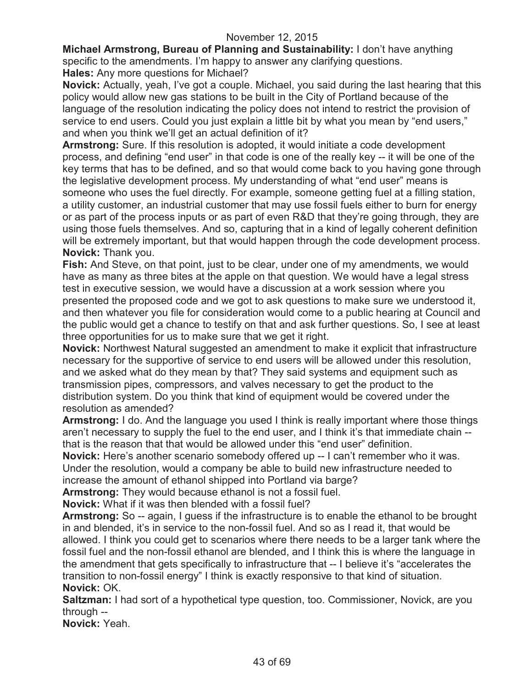**Michael Armstrong, Bureau of Planning and Sustainability:** I don't have anything specific to the amendments. I'm happy to answer any clarifying questions. **Hales:** Any more questions for Michael?

**Novick:** Actually, yeah, I've got a couple. Michael, you said during the last hearing that this policy would allow new gas stations to be built in the City of Portland because of the language of the resolution indicating the policy does not intend to restrict the provision of service to end users. Could you just explain a little bit by what you mean by "end users,"

and when you think we'll get an actual definition of it? **Armstrong:** Sure. If this resolution is adopted, it would initiate a code development process, and defining "end user" in that code is one of the really key -- it will be one of the key terms that has to be defined, and so that would come back to you having gone through the legislative development process. My understanding of what "end user" means is someone who uses the fuel directly. For example, someone getting fuel at a filling station, a utility customer, an industrial customer that may use fossil fuels either to burn for energy or as part of the process inputs or as part of even R&D that they're going through, they are using those fuels themselves. And so, capturing that in a kind of legally coherent definition will be extremely important, but that would happen through the code development process. **Novick:** Thank you.

**Fish:** And Steve, on that point, just to be clear, under one of my amendments, we would have as many as three bites at the apple on that question. We would have a legal stress test in executive session, we would have a discussion at a work session where you presented the proposed code and we got to ask questions to make sure we understood it, and then whatever you file for consideration would come to a public hearing at Council and the public would get a chance to testify on that and ask further questions. So, I see at least three opportunities for us to make sure that we get it right.

**Novick:** Northwest Natural suggested an amendment to make it explicit that infrastructure necessary for the supportive of service to end users will be allowed under this resolution, and we asked what do they mean by that? They said systems and equipment such as transmission pipes, compressors, and valves necessary to get the product to the distribution system. Do you think that kind of equipment would be covered under the resolution as amended?

**Armstrong:** I do. And the language you used I think is really important where those things aren't necessary to supply the fuel to the end user, and I think it's that immediate chain - that is the reason that that would be allowed under this "end user" definition.

**Novick:** Here's another scenario somebody offered up -- I can't remember who it was. Under the resolution, would a company be able to build new infrastructure needed to increase the amount of ethanol shipped into Portland via barge?

**Armstrong:** They would because ethanol is not a fossil fuel.

**Novick:** What if it was then blended with a fossil fuel?

**Armstrong:** So -- again, I guess if the infrastructure is to enable the ethanol to be brought in and blended, it's in service to the non-fossil fuel. And so as I read it, that would be allowed. I think you could get to scenarios where there needs to be a larger tank where the fossil fuel and the non-fossil ethanol are blended, and I think this is where the language in the amendment that gets specifically to infrastructure that -- I believe it's "accelerates the transition to non-fossil energy" I think is exactly responsive to that kind of situation. **Novick:** OK.

**Saltzman:** I had sort of a hypothetical type question, too. Commissioner, Novick, are you through --

**Novick:** Yeah.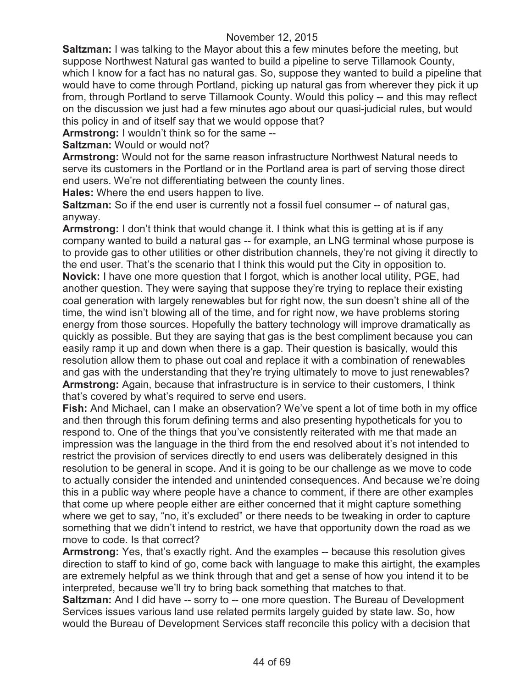**Saltzman:** I was talking to the Mayor about this a few minutes before the meeting, but suppose Northwest Natural gas wanted to build a pipeline to serve Tillamook County, which I know for a fact has no natural gas. So, suppose they wanted to build a pipeline that would have to come through Portland, picking up natural gas from wherever they pick it up from, through Portland to serve Tillamook County. Would this policy -- and this may reflect on the discussion we just had a few minutes ago about our quasi-judicial rules, but would this policy in and of itself say that we would oppose that?

**Armstrong:** I wouldn't think so for the same --

**Saltzman:** Would or would not?

**Armstrong:** Would not for the same reason infrastructure Northwest Natural needs to serve its customers in the Portland or in the Portland area is part of serving those direct end users. We're not differentiating between the county lines.

**Hales:** Where the end users happen to live.

**Saltzman:** So if the end user is currently not a fossil fuel consumer -- of natural gas, anyway.

**Armstrong:** I don't think that would change it. I think what this is getting at is if any company wanted to build a natural gas -- for example, an LNG terminal whose purpose is to provide gas to other utilities or other distribution channels, they're not giving it directly to the end user. That's the scenario that I think this would put the City in opposition to. **Novick:** I have one more question that I forgot, which is another local utility, PGE, had another question. They were saying that suppose they're trying to replace their existing coal generation with largely renewables but for right now, the sun doesn't shine all of the time, the wind isn't blowing all of the time, and for right now, we have problems storing energy from those sources. Hopefully the battery technology will improve dramatically as quickly as possible. But they are saying that gas is the best compliment because you can easily ramp it up and down when there is a gap. Their question is basically, would this resolution allow them to phase out coal and replace it with a combination of renewables and gas with the understanding that they're trying ultimately to move to just renewables? **Armstrong:** Again, because that infrastructure is in service to their customers, I think that's covered by what's required to serve end users.

**Fish:** And Michael, can I make an observation? We've spent a lot of time both in my office and then through this forum defining terms and also presenting hypotheticals for you to respond to. One of the things that you've consistently reiterated with me that made an impression was the language in the third from the end resolved about it's not intended to restrict the provision of services directly to end users was deliberately designed in this resolution to be general in scope. And it is going to be our challenge as we move to code to actually consider the intended and unintended consequences. And because we're doing this in a public way where people have a chance to comment, if there are other examples that come up where people either are either concerned that it might capture something where we get to say, "no, it's excluded" or there needs to be tweaking in order to capture something that we didn't intend to restrict, we have that opportunity down the road as we move to code. Is that correct?

**Armstrong:** Yes, that's exactly right. And the examples -- because this resolution gives direction to staff to kind of go, come back with language to make this airtight, the examples are extremely helpful as we think through that and get a sense of how you intend it to be interpreted, because we'll try to bring back something that matches to that.

**Saltzman:** And I did have -- sorry to -- one more question. The Bureau of Development Services issues various land use related permits largely guided by state law. So, how would the Bureau of Development Services staff reconcile this policy with a decision that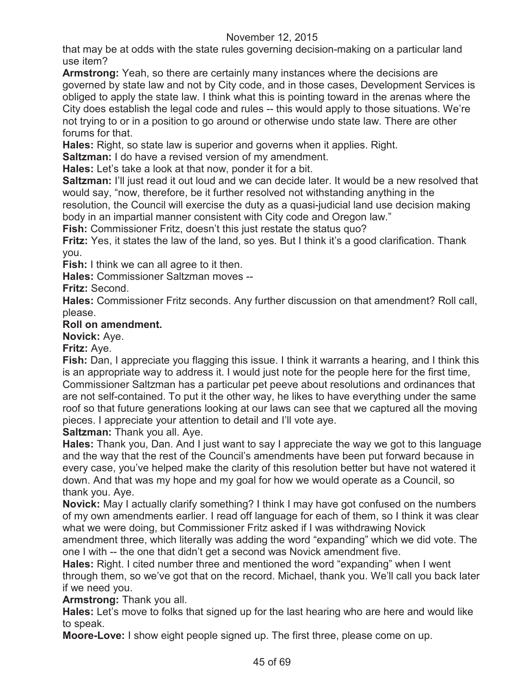that may be at odds with the state rules governing decision-making on a particular land use item?

**Armstrong:** Yeah, so there are certainly many instances where the decisions are governed by state law and not by City code, and in those cases, Development Services is obliged to apply the state law. I think what this is pointing toward in the arenas where the City does establish the legal code and rules -- this would apply to those situations. We're not trying to or in a position to go around or otherwise undo state law. There are other forums for that.

**Hales:** Right, so state law is superior and governs when it applies. Right.

**Saltzman:** I do have a revised version of my amendment.

**Hales:** Let's take a look at that now, ponder it for a bit.

**Saltzman:** I'll just read it out loud and we can decide later. It would be a new resolved that would say, "now, therefore, be it further resolved not withstanding anything in the resolution, the Council will exercise the duty as a quasi-judicial land use decision making body in an impartial manner consistent with City code and Oregon law."

**Fish:** Commissioner Fritz, doesn't this just restate the status quo?

**Fritz:** Yes, it states the law of the land, so yes. But I think it's a good clarification. Thank you.

**Fish:** I think we can all agree to it then.

**Hales:** Commissioner Saltzman moves --

**Fritz:** Second.

**Hales:** Commissioner Fritz seconds. Any further discussion on that amendment? Roll call, please.

### **Roll on amendment.**

**Novick:** Aye.

**Fritz:** Aye.

**Fish:** Dan, I appreciate you flagging this issue. I think it warrants a hearing, and I think this is an appropriate way to address it. I would just note for the people here for the first time, Commissioner Saltzman has a particular pet peeve about resolutions and ordinances that are not self-contained. To put it the other way, he likes to have everything under the same roof so that future generations looking at our laws can see that we captured all the moving pieces. I appreciate your attention to detail and I'll vote aye.

**Saltzman:** Thank you all. Aye.

**Hales:** Thank you, Dan. And I just want to say I appreciate the way we got to this language and the way that the rest of the Council's amendments have been put forward because in every case, you've helped make the clarity of this resolution better but have not watered it down. And that was my hope and my goal for how we would operate as a Council, so thank you. Aye.

**Novick:** May I actually clarify something? I think I may have got confused on the numbers of my own amendments earlier. I read off language for each of them, so I think it was clear what we were doing, but Commissioner Fritz asked if I was withdrawing Novick

amendment three, which literally was adding the word "expanding" which we did vote. The one I with -- the one that didn't get a second was Novick amendment five.

**Hales:** Right. I cited number three and mentioned the word "expanding" when I went through them, so we've got that on the record. Michael, thank you. We'll call you back later if we need you.

# **Armstrong:** Thank you all.

**Hales:** Let's move to folks that signed up for the last hearing who are here and would like to speak.

**Moore-Love:** I show eight people signed up. The first three, please come on up.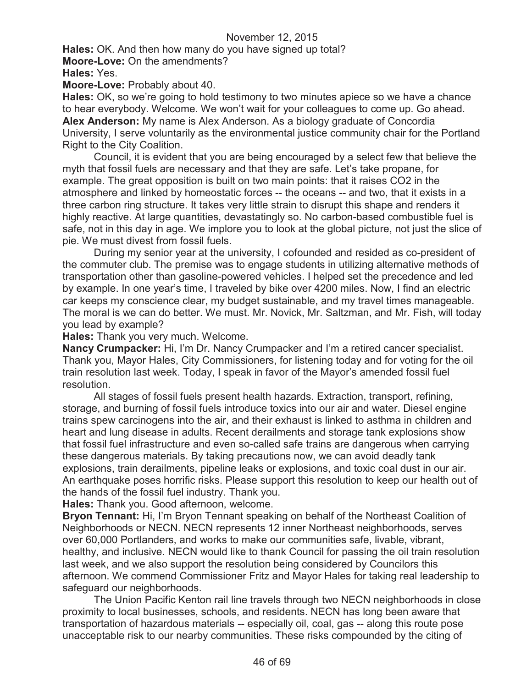**Hales:** OK. And then how many do you have signed up total? **Moore-Love:** On the amendments?

**Hales:** Yes.

**Moore-Love:** Probably about 40.

**Hales:** OK, so we're going to hold testimony to two minutes apiece so we have a chance to hear everybody. Welcome. We won't wait for your colleagues to come up. Go ahead. **Alex Anderson:** My name is Alex Anderson. As a biology graduate of Concordia University, I serve voluntarily as the environmental justice community chair for the Portland Right to the City Coalition.

Council, it is evident that you are being encouraged by a select few that believe the myth that fossil fuels are necessary and that they are safe. Let's take propane, for example. The great opposition is built on two main points: that it raises CO2 in the atmosphere and linked by homeostatic forces -- the oceans -- and two, that it exists in a three carbon ring structure. It takes very little strain to disrupt this shape and renders it highly reactive. At large quantities, devastatingly so. No carbon-based combustible fuel is safe, not in this day in age. We implore you to look at the global picture, not just the slice of pie. We must divest from fossil fuels.

During my senior year at the university, I cofounded and resided as co-president of the commuter club. The premise was to engage students in utilizing alternative methods of transportation other than gasoline-powered vehicles. I helped set the precedence and led by example. In one year's time, I traveled by bike over 4200 miles. Now, I find an electric car keeps my conscience clear, my budget sustainable, and my travel times manageable. The moral is we can do better. We must. Mr. Novick, Mr. Saltzman, and Mr. Fish, will today you lead by example?

**Hales:** Thank you very much. Welcome.

**Nancy Crumpacker:** Hi, I'm Dr. Nancy Crumpacker and I'm a retired cancer specialist. Thank you, Mayor Hales, City Commissioners, for listening today and for voting for the oil train resolution last week. Today, I speak in favor of the Mayor's amended fossil fuel resolution.

All stages of fossil fuels present health hazards. Extraction, transport, refining, storage, and burning of fossil fuels introduce toxics into our air and water. Diesel engine trains spew carcinogens into the air, and their exhaust is linked to asthma in children and heart and lung disease in adults. Recent derailments and storage tank explosions show that fossil fuel infrastructure and even so-called safe trains are dangerous when carrying these dangerous materials. By taking precautions now, we can avoid deadly tank explosions, train derailments, pipeline leaks or explosions, and toxic coal dust in our air. An earthquake poses horrific risks. Please support this resolution to keep our health out of the hands of the fossil fuel industry. Thank you.

**Hales:** Thank you. Good afternoon, welcome.

**Bryon Tennant:** Hi, I'm Bryon Tennant speaking on behalf of the Northeast Coalition of Neighborhoods or NECN. NECN represents 12 inner Northeast neighborhoods, serves over 60,000 Portlanders, and works to make our communities safe, livable, vibrant, healthy, and inclusive. NECN would like to thank Council for passing the oil train resolution last week, and we also support the resolution being considered by Councilors this afternoon. We commend Commissioner Fritz and Mayor Hales for taking real leadership to safeguard our neighborhoods.

The Union Pacific Kenton rail line travels through two NECN neighborhoods in close proximity to local businesses, schools, and residents. NECN has long been aware that transportation of hazardous materials -- especially oil, coal, gas -- along this route pose unacceptable risk to our nearby communities. These risks compounded by the citing of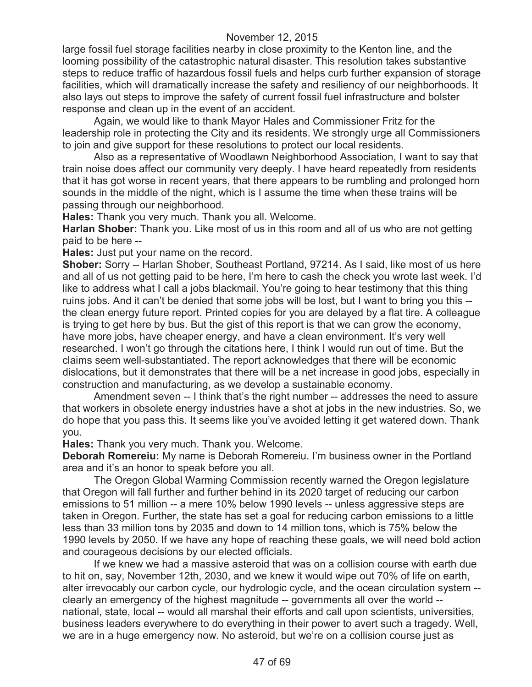large fossil fuel storage facilities nearby in close proximity to the Kenton line, and the looming possibility of the catastrophic natural disaster. This resolution takes substantive steps to reduce traffic of hazardous fossil fuels and helps curb further expansion of storage facilities, which will dramatically increase the safety and resiliency of our neighborhoods. It also lays out steps to improve the safety of current fossil fuel infrastructure and bolster response and clean up in the event of an accident.

Again, we would like to thank Mayor Hales and Commissioner Fritz for the leadership role in protecting the City and its residents. We strongly urge all Commissioners to join and give support for these resolutions to protect our local residents.

Also as a representative of Woodlawn Neighborhood Association, I want to say that train noise does affect our community very deeply. I have heard repeatedly from residents that it has got worse in recent years, that there appears to be rumbling and prolonged horn sounds in the middle of the night, which is I assume the time when these trains will be passing through our neighborhood.

**Hales:** Thank you very much. Thank you all. Welcome.

**Harlan Shober:** Thank you. Like most of us in this room and all of us who are not getting paid to be here --

**Hales:** Just put your name on the record.

**Shober:** Sorry -- Harlan Shober, Southeast Portland, 97214. As I said, like most of us here and all of us not getting paid to be here, I'm here to cash the check you wrote last week. I'd like to address what I call a jobs blackmail. You're going to hear testimony that this thing ruins jobs. And it can't be denied that some jobs will be lost, but I want to bring you this - the clean energy future report. Printed copies for you are delayed by a flat tire. A colleague is trying to get here by bus. But the gist of this report is that we can grow the economy, have more jobs, have cheaper energy, and have a clean environment. It's very well researched. I won't go through the citations here, I think I would run out of time. But the claims seem well-substantiated. The report acknowledges that there will be economic dislocations, but it demonstrates that there will be a net increase in good jobs, especially in construction and manufacturing, as we develop a sustainable economy.

Amendment seven -- I think that's the right number -- addresses the need to assure that workers in obsolete energy industries have a shot at jobs in the new industries. So, we do hope that you pass this. It seems like you've avoided letting it get watered down. Thank you.

**Hales:** Thank you very much. Thank you. Welcome.

**Deborah Romereiu:** My name is Deborah Romereiu. I'm business owner in the Portland area and it's an honor to speak before you all.

The Oregon Global Warming Commission recently warned the Oregon legislature that Oregon will fall further and further behind in its 2020 target of reducing our carbon emissions to 51 million -- a mere 10% below 1990 levels -- unless aggressive steps are taken in Oregon. Further, the state has set a goal for reducing carbon emissions to a little less than 33 million tons by 2035 and down to 14 million tons, which is 75% below the 1990 levels by 2050. If we have any hope of reaching these goals, we will need bold action and courageous decisions by our elected officials.

If we knew we had a massive asteroid that was on a collision course with earth due to hit on, say, November 12th, 2030, and we knew it would wipe out 70% of life on earth, alter irrevocably our carbon cycle, our hydrologic cycle, and the ocean circulation system - clearly an emergency of the highest magnitude -- governments all over the world - national, state, local -- would all marshal their efforts and call upon scientists, universities, business leaders everywhere to do everything in their power to avert such a tragedy. Well, we are in a huge emergency now. No asteroid, but we're on a collision course just as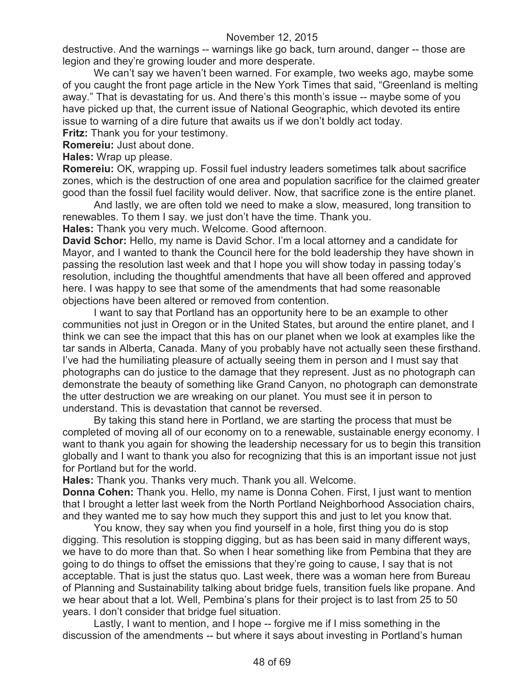destructive. And the warnings -- warnings like go back, turn around, danger -- those are legion and they're growing louder and more desperate.

We can't say we haven't been warned. For example, two weeks ago, maybe some of you caught the front page article in the New York Times that said, "Greenland is melting away." That is devastating for us. And there's this month's issue -- maybe some of you have picked up that, the current issue of National Geographic, which devoted its entire issue to warning of a dire future that awaits us if we don't boldly act today.

**Fritz:** Thank you for your testimony.

**Romereiu:** Just about done.

**Hales:** Wrap up please.

**Romereiu:** OK, wrapping up. Fossil fuel industry leaders sometimes talk about sacrifice zones, which is the destruction of one area and population sacrifice for the claimed greater good than the fossil fuel facility would deliver. Now, that sacrifice zone is the entire planet.

And lastly, we are often told we need to make a slow, measured, long transition to renewables. To them I say. we just don't have the time. Thank you.

**Hales:** Thank you very much. Welcome. Good afternoon.

**David Schor:** Hello, my name is David Schor. I'm a local attorney and a candidate for Mayor, and I wanted to thank the Council here for the bold leadership they have shown in passing the resolution last week and that I hope you will show today in passing today's resolution, including the thoughtful amendments that have all been offered and approved here. I was happy to see that some of the amendments that had some reasonable objections have been altered or removed from contention.

I want to say that Portland has an opportunity here to be an example to other communities not just in Oregon or in the United States, but around the entire planet, and I think we can see the impact that this has on our planet when we look at examples like the tar sands in Alberta, Canada. Many of you probably have not actually seen these firsthand. I've had the humiliating pleasure of actually seeing them in person and I must say that photographs can do justice to the damage that they represent. Just as no photograph can demonstrate the beauty of something like Grand Canyon, no photograph can demonstrate the utter destruction we are wreaking on our planet. You must see it in person to understand. This is devastation that cannot be reversed.

By taking this stand here in Portland, we are starting the process that must be completed of moving all of our economy on to a renewable, sustainable energy economy. I want to thank you again for showing the leadership necessary for us to begin this transition globally and I want to thank you also for recognizing that this is an important issue not just for Portland but for the world.

**Hales:** Thank you. Thanks very much. Thank you all. Welcome.

**Donna Cohen:** Thank you. Hello, my name is Donna Cohen. First, I just want to mention that I brought a letter last week from the North Portland Neighborhood Association chairs, and they wanted me to say how much they support this and just to let you know that.

You know, they say when you find yourself in a hole, first thing you do is stop digging. This resolution is stopping digging, but as has been said in many different ways, we have to do more than that. So when I hear something like from Pembina that they are going to do things to offset the emissions that they're going to cause, I say that is not acceptable. That is just the status quo. Last week, there was a woman here from Bureau of Planning and Sustainability talking about bridge fuels, transition fuels like propane. And we hear about that a lot. Well, Pembina's plans for their project is to last from 25 to 50 years. I don't consider that bridge fuel situation.

Lastly, I want to mention, and I hope -- forgive me if I miss something in the discussion of the amendments -- but where it says about investing in Portland's human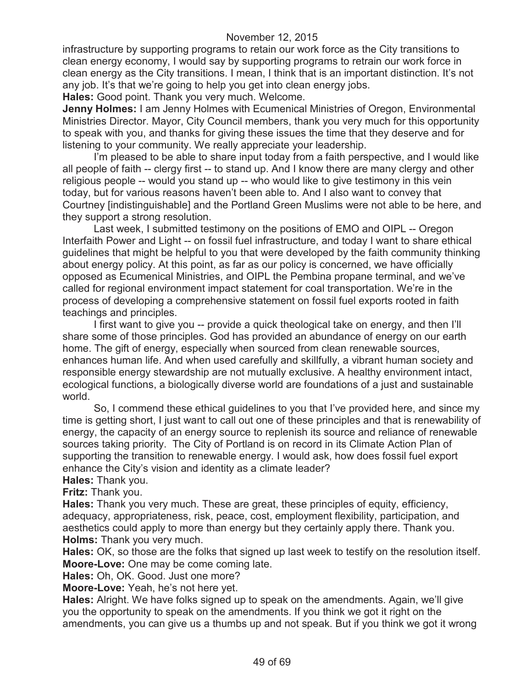infrastructure by supporting programs to retain our work force as the City transitions to clean energy economy, I would say by supporting programs to retrain our work force in clean energy as the City transitions. I mean, I think that is an important distinction. It's not any job. It's that we're going to help you get into clean energy jobs.

**Hales:** Good point. Thank you very much. Welcome.

**Jenny Holmes:** I am Jenny Holmes with Ecumenical Ministries of Oregon, Environmental Ministries Director. Mayor, City Council members, thank you very much for this opportunity to speak with you, and thanks for giving these issues the time that they deserve and for listening to your community. We really appreciate your leadership.

I'm pleased to be able to share input today from a faith perspective, and I would like all people of faith -- clergy first -- to stand up. And I know there are many clergy and other religious people -- would you stand up -- who would like to give testimony in this vein today, but for various reasons haven't been able to. And I also want to convey that Courtney [indistinguishable] and the Portland Green Muslims were not able to be here, and they support a strong resolution.

Last week, I submitted testimony on the positions of EMO and OIPL -- Oregon Interfaith Power and Light -- on fossil fuel infrastructure, and today I want to share ethical guidelines that might be helpful to you that were developed by the faith community thinking about energy policy. At this point, as far as our policy is concerned, we have officially opposed as Ecumenical Ministries, and OIPL the Pembina propane terminal, and we've called for regional environment impact statement for coal transportation. We're in the process of developing a comprehensive statement on fossil fuel exports rooted in faith teachings and principles.

I first want to give you -- provide a quick theological take on energy, and then I'll share some of those principles. God has provided an abundance of energy on our earth home. The gift of energy, especially when sourced from clean renewable sources, enhances human life. And when used carefully and skillfully, a vibrant human society and responsible energy stewardship are not mutually exclusive. A healthy environment intact, ecological functions, a biologically diverse world are foundations of a just and sustainable world.

So, I commend these ethical guidelines to you that I've provided here, and since my time is getting short, I just want to call out one of these principles and that is renewability of energy, the capacity of an energy source to replenish its source and reliance of renewable sources taking priority. The City of Portland is on record in its Climate Action Plan of supporting the transition to renewable energy. I would ask, how does fossil fuel export enhance the City's vision and identity as a climate leader?

**Hales:** Thank you.

**Fritz:** Thank you.

**Hales:** Thank you very much. These are great, these principles of equity, efficiency, adequacy, appropriateness, risk, peace, cost, employment flexibility, participation, and aesthetics could apply to more than energy but they certainly apply there. Thank you. **Holms:** Thank you very much.

**Hales:** OK, so those are the folks that signed up last week to testify on the resolution itself. **Moore-Love:** One may be come coming late.

**Hales:** Oh, OK. Good. Just one more?

**Moore-Love:** Yeah, he's not here yet.

**Hales:** Alright. We have folks signed up to speak on the amendments. Again, we'll give you the opportunity to speak on the amendments. If you think we got it right on the amendments, you can give us a thumbs up and not speak. But if you think we got it wrong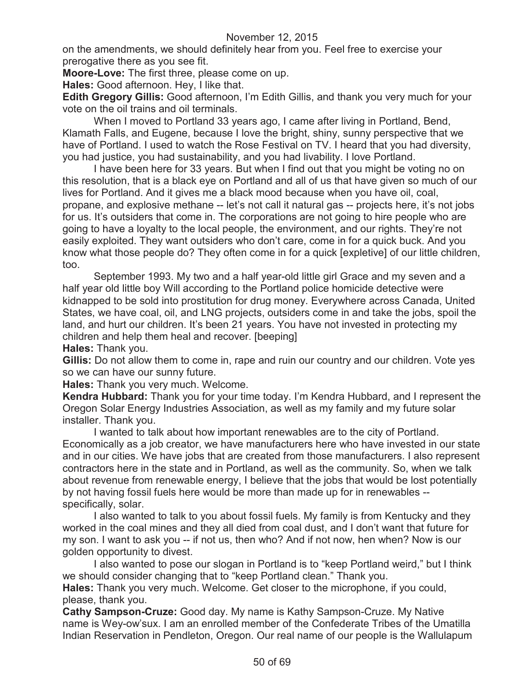on the amendments, we should definitely hear from you. Feel free to exercise your prerogative there as you see fit.

**Moore-Love:** The first three, please come on up.

**Hales:** Good afternoon. Hey, I like that.

**Edith Gregory Gillis:** Good afternoon, I'm Edith Gillis, and thank you very much for your vote on the oil trains and oil terminals.

When I moved to Portland 33 years ago, I came after living in Portland, Bend, Klamath Falls, and Eugene, because I love the bright, shiny, sunny perspective that we have of Portland. I used to watch the Rose Festival on TV. I heard that you had diversity, you had justice, you had sustainability, and you had livability. I love Portland.

I have been here for 33 years. But when I find out that you might be voting no on this resolution, that is a black eye on Portland and all of us that have given so much of our lives for Portland. And it gives me a black mood because when you have oil, coal, propane, and explosive methane -- let's not call it natural gas -- projects here, it's not jobs for us. It's outsiders that come in. The corporations are not going to hire people who are going to have a loyalty to the local people, the environment, and our rights. They're not easily exploited. They want outsiders who don't care, come in for a quick buck. And you know what those people do? They often come in for a quick [expletive] of our little children, too.

September 1993. My two and a half year-old little girl Grace and my seven and a half year old little boy Will according to the Portland police homicide detective were kidnapped to be sold into prostitution for drug money. Everywhere across Canada, United States, we have coal, oil, and LNG projects, outsiders come in and take the jobs, spoil the land, and hurt our children. It's been 21 years. You have not invested in protecting my children and help them heal and recover. [beeping]

**Hales:** Thank you.

**Gillis:** Do not allow them to come in, rape and ruin our country and our children. Vote yes so we can have our sunny future.

**Hales:** Thank you very much. Welcome.

**Kendra Hubbard:** Thank you for your time today. I'm Kendra Hubbard, and I represent the Oregon Solar Energy Industries Association, as well as my family and my future solar installer. Thank you.

I wanted to talk about how important renewables are to the city of Portland. Economically as a job creator, we have manufacturers here who have invested in our state and in our cities. We have jobs that are created from those manufacturers. I also represent contractors here in the state and in Portland, as well as the community. So, when we talk about revenue from renewable energy, I believe that the jobs that would be lost potentially by not having fossil fuels here would be more than made up for in renewables - specifically, solar.

I also wanted to talk to you about fossil fuels. My family is from Kentucky and they worked in the coal mines and they all died from coal dust, and I don't want that future for my son. I want to ask you -- if not us, then who? And if not now, hen when? Now is our golden opportunity to divest.

I also wanted to pose our slogan in Portland is to "keep Portland weird," but I think we should consider changing that to "keep Portland clean." Thank you.

**Hales:** Thank you very much. Welcome. Get closer to the microphone, if you could, please, thank you.

**Cathy Sampson-Cruze:** Good day. My name is Kathy Sampson-Cruze. My Native name is Wey-ow'sux. I am an enrolled member of the Confederate Tribes of the Umatilla Indian Reservation in Pendleton, Oregon. Our real name of our people is the Wallulapum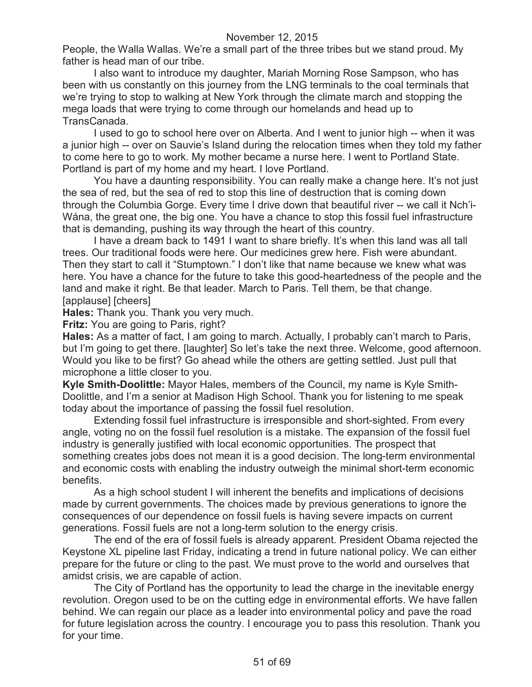People, the Walla Wallas. We're a small part of the three tribes but we stand proud. My father is head man of our tribe.

I also want to introduce my daughter, Mariah Morning Rose Sampson, who has been with us constantly on this journey from the LNG terminals to the coal terminals that we're trying to stop to walking at New York through the climate march and stopping the mega loads that were trying to come through our homelands and head up to TransCanada.

I used to go to school here over on Alberta. And I went to junior high -- when it was a junior high -- over on Sauvie's Island during the relocation times when they told my father to come here to go to work. My mother became a nurse here. I went to Portland State. Portland is part of my home and my heart. I love Portland.

You have a daunting responsibility. You can really make a change here. It's not just the sea of red, but the sea of red to stop this line of destruction that is coming down through the Columbia Gorge. Every time I drive down that beautiful river -- we call it Nch'i-Wána, the great one, the big one. You have a chance to stop this fossil fuel infrastructure that is demanding, pushing its way through the heart of this country.

I have a dream back to 1491 I want to share briefly. It's when this land was all tall trees. Our traditional foods were here. Our medicines grew here. Fish were abundant. Then they start to call it "Stumptown." I don't like that name because we knew what was here. You have a chance for the future to take this good-heartedness of the people and the land and make it right. Be that leader. March to Paris. Tell them, be that change. [applause] [cheers]

**Hales:** Thank you. Thank you very much.

**Fritz:** You are going to Paris, right?

**Hales:** As a matter of fact, I am going to march. Actually, I probably can't march to Paris, but I'm going to get there. [laughter] So let's take the next three. Welcome, good afternoon. Would you like to be first? Go ahead while the others are getting settled. Just pull that microphone a little closer to you.

**Kyle Smith-Doolittle:** Mayor Hales, members of the Council, my name is Kyle Smith-Doolittle, and I'm a senior at Madison High School. Thank you for listening to me speak today about the importance of passing the fossil fuel resolution.

Extending fossil fuel infrastructure is irresponsible and short-sighted. From every angle, voting no on the fossil fuel resolution is a mistake. The expansion of the fossil fuel industry is generally justified with local economic opportunities. The prospect that something creates jobs does not mean it is a good decision. The long-term environmental and economic costs with enabling the industry outweigh the minimal short-term economic benefits.

As a high school student I will inherent the benefits and implications of decisions made by current governments. The choices made by previous generations to ignore the consequences of our dependence on fossil fuels is having severe impacts on current generations. Fossil fuels are not a long-term solution to the energy crisis.

The end of the era of fossil fuels is already apparent. President Obama rejected the Keystone XL pipeline last Friday, indicating a trend in future national policy. We can either prepare for the future or cling to the past. We must prove to the world and ourselves that amidst crisis, we are capable of action.

The City of Portland has the opportunity to lead the charge in the inevitable energy revolution. Oregon used to be on the cutting edge in environmental efforts. We have fallen behind. We can regain our place as a leader into environmental policy and pave the road for future legislation across the country. I encourage you to pass this resolution. Thank you for your time.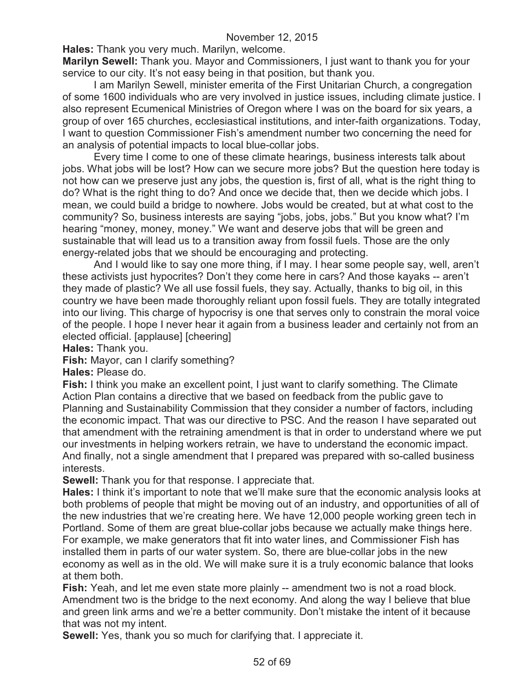**Hales:** Thank you very much. Marilyn, welcome.

**Marilyn Sewell:** Thank you. Mayor and Commissioners, I just want to thank you for your service to our city. It's not easy being in that position, but thank you.

I am Marilyn Sewell, minister emerita of the First Unitarian Church, a congregation of some 1600 individuals who are very involved in justice issues, including climate justice. I also represent Ecumenical Ministries of Oregon where I was on the board for six years, a group of over 165 churches, ecclesiastical institutions, and inter-faith organizations. Today, I want to question Commissioner Fish's amendment number two concerning the need for an analysis of potential impacts to local blue-collar jobs.

Every time I come to one of these climate hearings, business interests talk about jobs. What jobs will be lost? How can we secure more jobs? But the question here today is not how can we preserve just any jobs, the question is, first of all, what is the right thing to do? What is the right thing to do? And once we decide that, then we decide which jobs. I mean, we could build a bridge to nowhere. Jobs would be created, but at what cost to the community? So, business interests are saying "jobs, jobs, jobs." But you know what? I'm hearing "money, money, money." We want and deserve jobs that will be green and sustainable that will lead us to a transition away from fossil fuels. Those are the only energy-related jobs that we should be encouraging and protecting.

And I would like to say one more thing, if I may. I hear some people say, well, aren't these activists just hypocrites? Don't they come here in cars? And those kayaks -- aren't they made of plastic? We all use fossil fuels, they say. Actually, thanks to big oil, in this country we have been made thoroughly reliant upon fossil fuels. They are totally integrated into our living. This charge of hypocrisy is one that serves only to constrain the moral voice of the people. I hope I never hear it again from a business leader and certainly not from an elected official. [applause] [cheering]

**Hales:** Thank you.

**Fish:** Mayor, can I clarify something?

**Hales:** Please do.

**Fish:** I think you make an excellent point, I just want to clarify something. The Climate Action Plan contains a directive that we based on feedback from the public gave to Planning and Sustainability Commission that they consider a number of factors, including the economic impact. That was our directive to PSC. And the reason I have separated out that amendment with the retraining amendment is that in order to understand where we put our investments in helping workers retrain, we have to understand the economic impact. And finally, not a single amendment that I prepared was prepared with so-called business interests.

**Sewell:** Thank you for that response. I appreciate that.

**Hales:** I think it's important to note that we'll make sure that the economic analysis looks at both problems of people that might be moving out of an industry, and opportunities of all of the new industries that we're creating here. We have 12,000 people working green tech in Portland. Some of them are great blue-collar jobs because we actually make things here. For example, we make generators that fit into water lines, and Commissioner Fish has installed them in parts of our water system. So, there are blue-collar jobs in the new economy as well as in the old. We will make sure it is a truly economic balance that looks at them both.

**Fish:** Yeah, and let me even state more plainly -- amendment two is not a road block. Amendment two is the bridge to the next economy. And along the way I believe that blue and green link arms and we're a better community. Don't mistake the intent of it because that was not my intent.

**Sewell:** Yes, thank you so much for clarifying that. I appreciate it.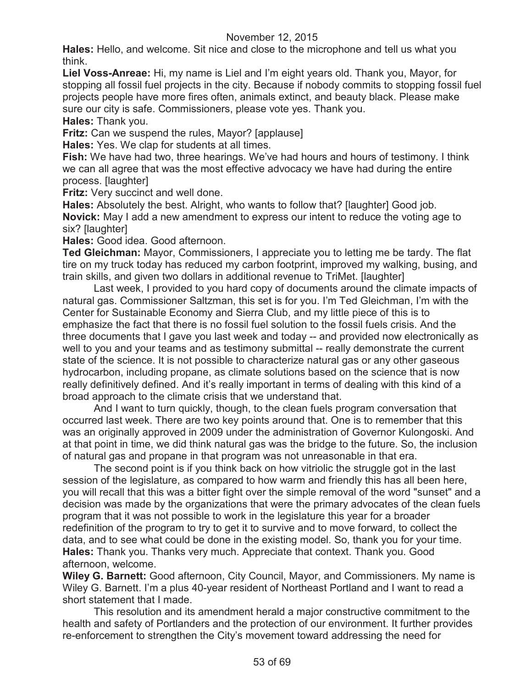**Hales:** Hello, and welcome. Sit nice and close to the microphone and tell us what you think.

**Liel Voss-Anreae:** Hi, my name is Liel and I'm eight years old. Thank you, Mayor, for stopping all fossil fuel projects in the city. Because if nobody commits to stopping fossil fuel projects people have more fires often, animals extinct, and beauty black. Please make sure our city is safe. Commissioners, please vote yes. Thank you.

**Hales:** Thank you.

**Fritz:** Can we suspend the rules, Mayor? [applause]

**Hales:** Yes. We clap for students at all times.

**Fish:** We have had two, three hearings. We've had hours and hours of testimony. I think we can all agree that was the most effective advocacy we have had during the entire process. [laughter]

**Fritz:** Very succinct and well done.

**Hales:** Absolutely the best. Alright, who wants to follow that? [laughter] Good job. **Novick:** May I add a new amendment to express our intent to reduce the voting age to six? [laughter]

**Hales:** Good idea. Good afternoon.

**Ted Gleichman:** Mayor, Commissioners, I appreciate you to letting me be tardy. The flat tire on my truck today has reduced my carbon footprint, improved my walking, busing, and train skills, and given two dollars in additional revenue to TriMet. [laughter]

Last week, I provided to you hard copy of documents around the climate impacts of natural gas. Commissioner Saltzman, this set is for you. I'm Ted Gleichman, I'm with the Center for Sustainable Economy and Sierra Club, and my little piece of this is to emphasize the fact that there is no fossil fuel solution to the fossil fuels crisis. And the three documents that I gave you last week and today -- and provided now electronically as well to you and your teams and as testimony submittal -- really demonstrate the current state of the science. It is not possible to characterize natural gas or any other gaseous hydrocarbon, including propane, as climate solutions based on the science that is now really definitively defined. And it's really important in terms of dealing with this kind of a broad approach to the climate crisis that we understand that.

And I want to turn quickly, though, to the clean fuels program conversation that occurred last week. There are two key points around that. One is to remember that this was an originally approved in 2009 under the administration of Governor Kulongoski. And at that point in time, we did think natural gas was the bridge to the future. So, the inclusion of natural gas and propane in that program was not unreasonable in that era.

The second point is if you think back on how vitriolic the struggle got in the last session of the legislature, as compared to how warm and friendly this has all been here, you will recall that this was a bitter fight over the simple removal of the word "sunset" and a decision was made by the organizations that were the primary advocates of the clean fuels program that it was not possible to work in the legislature this year for a broader redefinition of the program to try to get it to survive and to move forward, to collect the data, and to see what could be done in the existing model. So, thank you for your time. **Hales:** Thank you. Thanks very much. Appreciate that context. Thank you. Good afternoon, welcome.

**Wiley G. Barnett:** Good afternoon, City Council, Mayor, and Commissioners. My name is Wiley G. Barnett. I'm a plus 40-year resident of Northeast Portland and I want to read a short statement that I made.

This resolution and its amendment herald a major constructive commitment to the health and safety of Portlanders and the protection of our environment. It further provides re-enforcement to strengthen the City's movement toward addressing the need for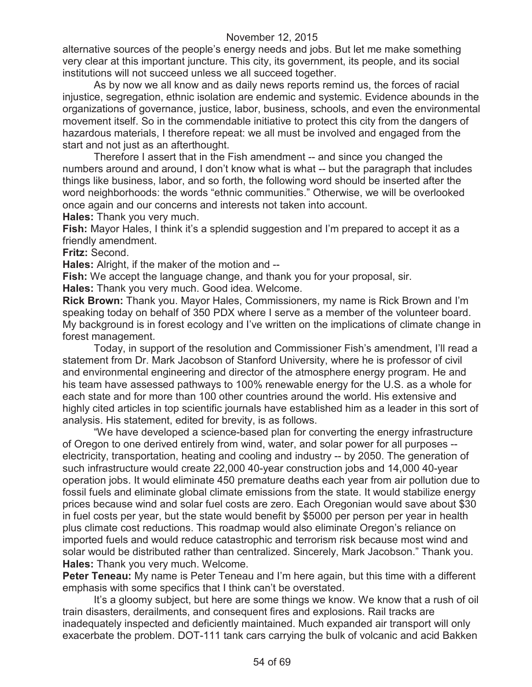alternative sources of the people's energy needs and jobs. But let me make something very clear at this important juncture. This city, its government, its people, and its social institutions will not succeed unless we all succeed together.

As by now we all know and as daily news reports remind us, the forces of racial injustice, segregation, ethnic isolation are endemic and systemic. Evidence abounds in the organizations of governance, justice, labor, business, schools, and even the environmental movement itself. So in the commendable initiative to protect this city from the dangers of hazardous materials, I therefore repeat: we all must be involved and engaged from the start and not just as an afterthought.

Therefore I assert that in the Fish amendment -- and since you changed the numbers around and around, I don't know what is what -- but the paragraph that includes things like business, labor, and so forth, the following word should be inserted after the word neighborhoods: the words "ethnic communities." Otherwise, we will be overlooked once again and our concerns and interests not taken into account.

**Hales:** Thank you very much.

Fish: Mayor Hales, I think it's a splendid suggestion and I'm prepared to accept it as a friendly amendment.

**Fritz:** Second.

**Hales:** Alright, if the maker of the motion and --

**Fish:** We accept the language change, and thank you for your proposal, sir.

**Hales:** Thank you very much. Good idea. Welcome.

**Rick Brown:** Thank you. Mayor Hales, Commissioners, my name is Rick Brown and I'm speaking today on behalf of 350 PDX where I serve as a member of the volunteer board. My background is in forest ecology and I've written on the implications of climate change in forest management.

Today, in support of the resolution and Commissioner Fish's amendment, I'll read a statement from Dr. Mark Jacobson of Stanford University, where he is professor of civil and environmental engineering and director of the atmosphere energy program. He and his team have assessed pathways to 100% renewable energy for the U.S. as a whole for each state and for more than 100 other countries around the world. His extensive and highly cited articles in top scientific journals have established him as a leader in this sort of analysis. His statement, edited for brevity, is as follows.

"We have developed a science-based plan for converting the energy infrastructure of Oregon to one derived entirely from wind, water, and solar power for all purposes - electricity, transportation, heating and cooling and industry -- by 2050. The generation of such infrastructure would create 22,000 40-year construction jobs and 14,000 40-year operation jobs. It would eliminate 450 premature deaths each year from air pollution due to fossil fuels and eliminate global climate emissions from the state. It would stabilize energy prices because wind and solar fuel costs are zero. Each Oregonian would save about \$30 in fuel costs per year, but the state would benefit by \$5000 per person per year in health plus climate cost reductions. This roadmap would also eliminate Oregon's reliance on imported fuels and would reduce catastrophic and terrorism risk because most wind and solar would be distributed rather than centralized. Sincerely, Mark Jacobson." Thank you. **Hales:** Thank you very much. Welcome.

**Peter Teneau:** My name is Peter Teneau and I'm here again, but this time with a different emphasis with some specifics that I think can't be overstated.

It's a gloomy subject, but here are some things we know. We know that a rush of oil train disasters, derailments, and consequent fires and explosions. Rail tracks are inadequately inspected and deficiently maintained. Much expanded air transport will only exacerbate the problem. DOT-111 tank cars carrying the bulk of volcanic and acid Bakken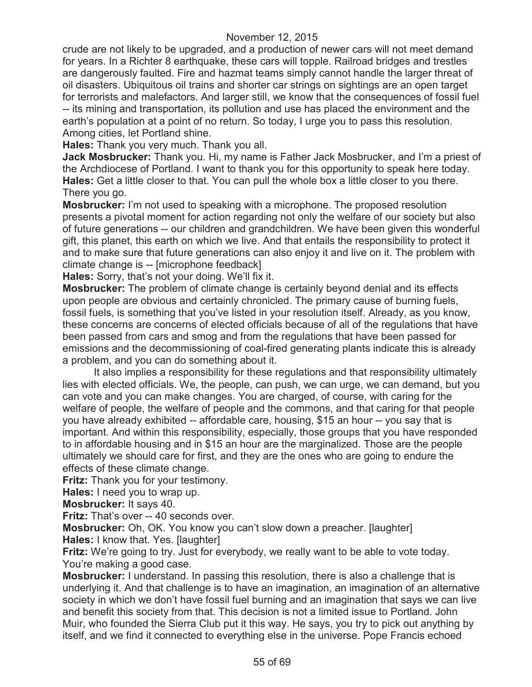crude are not likely to be upgraded, and a production of newer cars will not meet demand for years. In a Richter 8 earthquake, these cars will topple. Railroad bridges and trestles are dangerously faulted. Fire and hazmat teams simply cannot handle the larger threat of oil disasters. Ubiquitous oil trains and shorter car strings on sightings are an open target for terrorists and malefactors. And larger still, we know that the consequences of fossil fuel -- its mining and transportation, its pollution and use has placed the environment and the earth's population at a point of no return. So today, I urge you to pass this resolution. Among cities, let Portland shine.

**Hales:** Thank you very much. Thank you all.

**Jack Mosbrucker:** Thank you. Hi, my name is Father Jack Mosbrucker, and I'm a priest of the Archdiocese of Portland. I want to thank you for this opportunity to speak here today. **Hales:** Get a little closer to that. You can pull the whole box a little closer to you there. There you go.

**Mosbrucker:** I'm not used to speaking with a microphone. The proposed resolution presents a pivotal moment for action regarding not only the welfare of our society but also of future generations -- our children and grandchildren. We have been given this wonderful gift, this planet, this earth on which we live. And that entails the responsibility to protect it and to make sure that future generations can also enjoy it and live on it. The problem with climate change is -- [microphone feedback]

**Hales:** Sorry, that's not your doing. We'll fix it.

**Mosbrucker:** The problem of climate change is certainly beyond denial and its effects upon people are obvious and certainly chronicled. The primary cause of burning fuels, fossil fuels, is something that you've listed in your resolution itself. Already, as you know, these concerns are concerns of elected officials because of all of the regulations that have been passed from cars and smog and from the regulations that have been passed for emissions and the decommissioning of coal-fired generating plants indicate this is already a problem, and you can do something about it.

It also implies a responsibility for these regulations and that responsibility ultimately lies with elected officials. We, the people, can push, we can urge, we can demand, but you can vote and you can make changes. You are charged, of course, with caring for the welfare of people, the welfare of people and the commons, and that caring for that people you have already exhibited -- affordable care, housing, \$15 an hour -- you say that is important. And within this responsibility, especially, those groups that you have responded to in affordable housing and in \$15 an hour are the marginalized. Those are the people ultimately we should care for first, and they are the ones who are going to endure the effects of these climate change.

**Fritz:** Thank you for your testimony.

**Hales:** I need you to wrap up.

**Mosbrucker:** It says 40.

**Fritz:** That's over -- 40 seconds over.

**Mosbrucker:** Oh, OK. You know you can't slow down a preacher. [laughter] **Hales:** I know that. Yes. [laughter]

**Fritz:** We're going to try. Just for everybody, we really want to be able to vote today. You're making a good case.

**Mosbrucker:** I understand. In passing this resolution, there is also a challenge that is underlying it. And that challenge is to have an imagination, an imagination of an alternative society in which we don't have fossil fuel burning and an imagination that says we can live and benefit this society from that. This decision is not a limited issue to Portland. John Muir, who founded the Sierra Club put it this way. He says, you try to pick out anything by itself, and we find it connected to everything else in the universe. Pope Francis echoed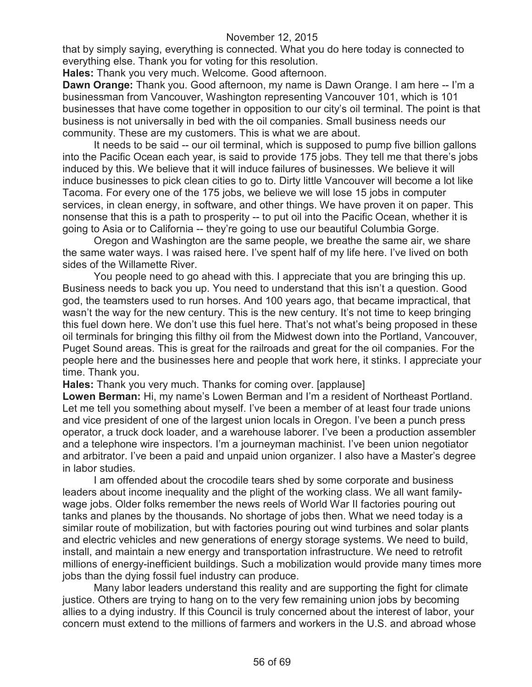that by simply saying, everything is connected. What you do here today is connected to everything else. Thank you for voting for this resolution.

**Hales:** Thank you very much. Welcome. Good afternoon.

**Dawn Orange:** Thank you. Good afternoon, my name is Dawn Orange. I am here -- I'm a businessman from Vancouver, Washington representing Vancouver 101, which is 101 businesses that have come together in opposition to our city's oil terminal. The point is that business is not universally in bed with the oil companies. Small business needs our community. These are my customers. This is what we are about.

It needs to be said -- our oil terminal, which is supposed to pump five billion gallons into the Pacific Ocean each year, is said to provide 175 jobs. They tell me that there's jobs induced by this. We believe that it will induce failures of businesses. We believe it will induce businesses to pick clean cities to go to. Dirty little Vancouver will become a lot like Tacoma. For every one of the 175 jobs, we believe we will lose 15 jobs in computer services, in clean energy, in software, and other things. We have proven it on paper. This nonsense that this is a path to prosperity -- to put oil into the Pacific Ocean, whether it is going to Asia or to California -- they're going to use our beautiful Columbia Gorge.

Oregon and Washington are the same people, we breathe the same air, we share the same water ways. I was raised here. I've spent half of my life here. I've lived on both sides of the Willamette River.

You people need to go ahead with this. I appreciate that you are bringing this up. Business needs to back you up. You need to understand that this isn't a question. Good god, the teamsters used to run horses. And 100 years ago, that became impractical, that wasn't the way for the new century. This is the new century. It's not time to keep bringing this fuel down here. We don't use this fuel here. That's not what's being proposed in these oil terminals for bringing this filthy oil from the Midwest down into the Portland, Vancouver, Puget Sound areas. This is great for the railroads and great for the oil companies. For the people here and the businesses here and people that work here, it stinks. I appreciate your time. Thank you.

**Hales:** Thank you very much. Thanks for coming over. [applause]

**Lowen Berman:** Hi, my name's Lowen Berman and I'm a resident of Northeast Portland. Let me tell you something about myself. I've been a member of at least four trade unions and vice president of one of the largest union locals in Oregon. I've been a punch press operator, a truck dock loader, and a warehouse laborer. I've been a production assembler and a telephone wire inspectors. I'm a journeyman machinist. I've been union negotiator and arbitrator. I've been a paid and unpaid union organizer. I also have a Master's degree in labor studies.

I am offended about the crocodile tears shed by some corporate and business leaders about income inequality and the plight of the working class. We all want familywage jobs. Older folks remember the news reels of World War II factories pouring out tanks and planes by the thousands. No shortage of jobs then. What we need today is a similar route of mobilization, but with factories pouring out wind turbines and solar plants and electric vehicles and new generations of energy storage systems. We need to build, install, and maintain a new energy and transportation infrastructure. We need to retrofit millions of energy-inefficient buildings. Such a mobilization would provide many times more jobs than the dying fossil fuel industry can produce.

Many labor leaders understand this reality and are supporting the fight for climate justice. Others are trying to hang on to the very few remaining union jobs by becoming allies to a dying industry. If this Council is truly concerned about the interest of labor, your concern must extend to the millions of farmers and workers in the U.S. and abroad whose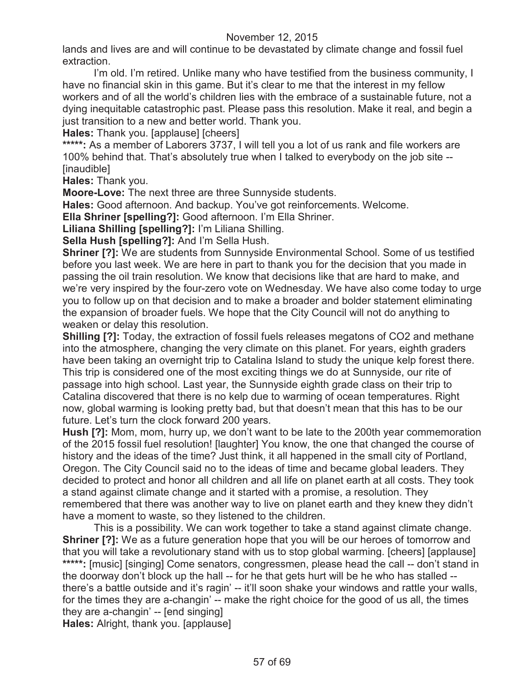lands and lives are and will continue to be devastated by climate change and fossil fuel extraction.

I'm old. I'm retired. Unlike many who have testified from the business community, I have no financial skin in this game. But it's clear to me that the interest in my fellow workers and of all the world's children lies with the embrace of a sustainable future, not a dying inequitable catastrophic past. Please pass this resolution. Make it real, and begin a just transition to a new and better world. Thank you.

**Hales:** Thank you. [applause] [cheers]

**\*\*\*\*\*:** As a member of Laborers 3737, I will tell you a lot of us rank and file workers are 100% behind that. That's absolutely true when I talked to everybody on the job site -- [inaudible]

**Hales:** Thank you.

**Moore-Love:** The next three are three Sunnyside students.

**Hales:** Good afternoon. And backup. You've got reinforcements. Welcome.

**Ella Shriner [spelling?]:** Good afternoon. I'm Ella Shriner.

**Liliana Shilling [spelling?]:** I'm Liliana Shilling.

**Sella Hush [spelling?]:** And I'm Sella Hush.

**Shriner [?]:** We are students from Sunnyside Environmental School. Some of us testified before you last week. We are here in part to thank you for the decision that you made in passing the oil train resolution. We know that decisions like that are hard to make, and we're very inspired by the four-zero vote on Wednesday. We have also come today to urge you to follow up on that decision and to make a broader and bolder statement eliminating the expansion of broader fuels. We hope that the City Council will not do anything to weaken or delay this resolution.

**Shilling [?]:** Today, the extraction of fossil fuels releases megatons of CO2 and methane into the atmosphere, changing the very climate on this planet. For years, eighth graders have been taking an overnight trip to Catalina Island to study the unique kelp forest there. This trip is considered one of the most exciting things we do at Sunnyside, our rite of passage into high school. Last year, the Sunnyside eighth grade class on their trip to Catalina discovered that there is no kelp due to warming of ocean temperatures. Right now, global warming is looking pretty bad, but that doesn't mean that this has to be our future. Let's turn the clock forward 200 years.

**Hush [?]:** Mom, mom, hurry up, we don't want to be late to the 200th year commemoration of the 2015 fossil fuel resolution! [laughter] You know, the one that changed the course of history and the ideas of the time? Just think, it all happened in the small city of Portland, Oregon. The City Council said no to the ideas of time and became global leaders. They decided to protect and honor all children and all life on planet earth at all costs. They took a stand against climate change and it started with a promise, a resolution. They remembered that there was another way to live on planet earth and they knew they didn't have a moment to waste, so they listened to the children.

This is a possibility. We can work together to take a stand against climate change. **Shriner [?]:** We as a future generation hope that you will be our heroes of tomorrow and that you will take a revolutionary stand with us to stop global warming. [cheers] [applause] \*\*\*\*\*: [music] [singing] Come senators, congressmen, please head the call -- don't stand in the doorway don't block up the hall -- for he that gets hurt will be he who has stalled -there's a battle outside and it's ragin' -- it'll soon shake your windows and rattle your walls, for the times they are a-changin' -- make the right choice for the good of us all, the times they are a-changin' -- [end singing]

**Hales:** Alright, thank you. [applause]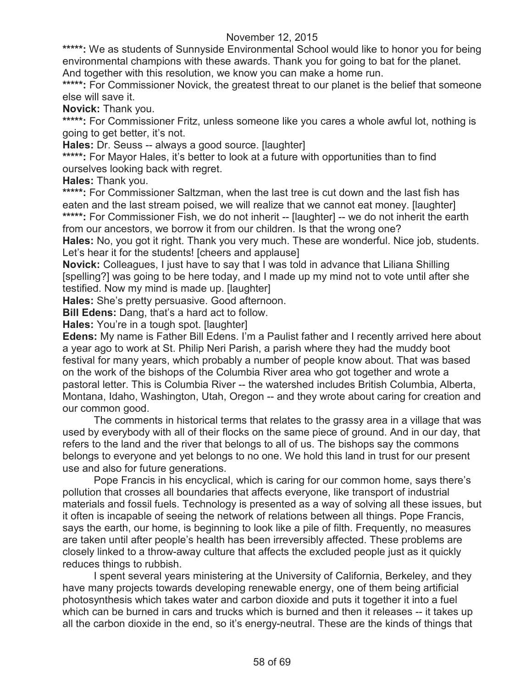\*\*\*\*\*: We as students of Sunnyside Environmental School would like to honor you for being environmental champions with these awards. Thank you for going to bat for the planet. And together with this resolution, we know you can make a home run.

\*\*\*\*\*: For Commissioner Novick, the greatest threat to our planet is the belief that someone else will save it.

**Novick:** Thank you.

\*\*\*\*\*: For Commissioner Fritz, unless someone like you cares a whole awful lot, nothing is going to get better, it's not.

**Hales:** Dr. Seuss -- always a good source. [laughter]

**\*\*\*\*\*:** For Mayor Hales, it's better to look at a future with opportunities than to find ourselves looking back with regret.

**Hales:** Thank you.

\*\*\*\*\*: For Commissioner Saltzman, when the last tree is cut down and the last fish has eaten and the last stream poised, we will realize that we cannot eat money. [laughter] \*\*\*\*\*: For Commissioner Fish, we do not inherit -- [laughter] -- we do not inherit the earth from our ancestors, we borrow it from our children. Is that the wrong one?

**Hales:** No, you got it right. Thank you very much. These are wonderful. Nice job, students. Let's hear it for the students! [cheers and applause]

**Novick:** Colleagues, I just have to say that I was told in advance that Liliana Shilling [spelling?] was going to be here today, and I made up my mind not to vote until after she testified. Now my mind is made up. [laughter]

**Hales:** She's pretty persuasive. Good afternoon.

**Bill Edens:** Dang, that's a hard act to follow.

**Hales:** You're in a tough spot. [laughter]

**Edens:** My name is Father Bill Edens. I'm a Paulist father and I recently arrived here about a year ago to work at St. Philip Neri Parish, a parish where they had the muddy boot festival for many years, which probably a number of people know about. That was based on the work of the bishops of the Columbia River area who got together and wrote a pastoral letter. This is Columbia River -- the watershed includes British Columbia, Alberta, Montana, Idaho, Washington, Utah, Oregon -- and they wrote about caring for creation and our common good.

The comments in historical terms that relates to the grassy area in a village that was used by everybody with all of their flocks on the same piece of ground. And in our day, that refers to the land and the river that belongs to all of us. The bishops say the commons belongs to everyone and yet belongs to no one. We hold this land in trust for our present use and also for future generations.

Pope Francis in his encyclical, which is caring for our common home, says there's pollution that crosses all boundaries that affects everyone, like transport of industrial materials and fossil fuels. Technology is presented as a way of solving all these issues, but it often is incapable of seeing the network of relations between all things. Pope Francis, says the earth, our home, is beginning to look like a pile of filth. Frequently, no measures are taken until after people's health has been irreversibly affected. These problems are closely linked to a throw-away culture that affects the excluded people just as it quickly reduces things to rubbish.

I spent several years ministering at the University of California, Berkeley, and they have many projects towards developing renewable energy, one of them being artificial photosynthesis which takes water and carbon dioxide and puts it together it into a fuel which can be burned in cars and trucks which is burned and then it releases -- it takes up all the carbon dioxide in the end, so it's energy-neutral. These are the kinds of things that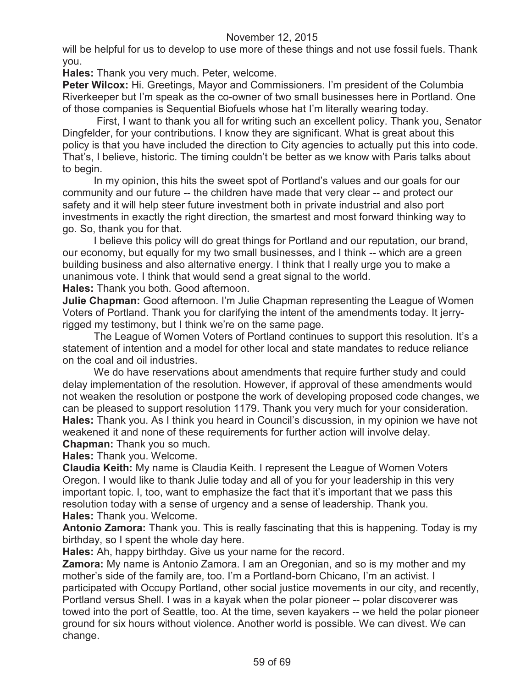will be helpful for us to develop to use more of these things and not use fossil fuels. Thank you.

**Hales:** Thank you very much. Peter, welcome.

**Peter Wilcox:** Hi. Greetings, Mayor and Commissioners. I'm president of the Columbia Riverkeeper but I'm speak as the co-owner of two small businesses here in Portland. One of those companies is Sequential Biofuels whose hat I'm literally wearing today.

First, I want to thank you all for writing such an excellent policy. Thank you, Senator Dingfelder, for your contributions. I know they are significant. What is great about this policy is that you have included the direction to City agencies to actually put this into code. That's, I believe, historic. The timing couldn't be better as we know with Paris talks about to begin.

In my opinion, this hits the sweet spot of Portland's values and our goals for our community and our future -- the children have made that very clear -- and protect our safety and it will help steer future investment both in private industrial and also port investments in exactly the right direction, the smartest and most forward thinking way to go. So, thank you for that.

I believe this policy will do great things for Portland and our reputation, our brand, our economy, but equally for my two small businesses, and I think -- which are a green building business and also alternative energy. I think that I really urge you to make a unanimous vote. I think that would send a great signal to the world.

**Hales:** Thank you both. Good afternoon.

**Julie Chapman:** Good afternoon. I'm Julie Chapman representing the League of Women Voters of Portland. Thank you for clarifying the intent of the amendments today. It jerryrigged my testimony, but I think we're on the same page.

The League of Women Voters of Portland continues to support this resolution. It's a statement of intention and a model for other local and state mandates to reduce reliance on the coal and oil industries.

We do have reservations about amendments that require further study and could delay implementation of the resolution. However, if approval of these amendments would not weaken the resolution or postpone the work of developing proposed code changes, we can be pleased to support resolution 1179. Thank you very much for your consideration. **Hales:** Thank you. As I think you heard in Council's discussion, in my opinion we have not weakened it and none of these requirements for further action will involve delay. **Chapman:** Thank you so much.

**Hales:** Thank you. Welcome.

**Claudia Keith:** My name is Claudia Keith. I represent the League of Women Voters Oregon. I would like to thank Julie today and all of you for your leadership in this very important topic. I, too, want to emphasize the fact that it's important that we pass this resolution today with a sense of urgency and a sense of leadership. Thank you. **Hales:** Thank you. Welcome.

**Antonio Zamora:** Thank you. This is really fascinating that this is happening. Today is my birthday, so I spent the whole day here.

**Hales:** Ah, happy birthday. Give us your name for the record.

**Zamora:** My name is Antonio Zamora. I am an Oregonian, and so is my mother and my mother's side of the family are, too. I'm a Portland-born Chicano, I'm an activist. I participated with Occupy Portland, other social justice movements in our city, and recently, Portland versus Shell. I was in a kayak when the polar pioneer -- polar discoverer was towed into the port of Seattle, too. At the time, seven kayakers -- we held the polar pioneer ground for six hours without violence. Another world is possible. We can divest. We can change.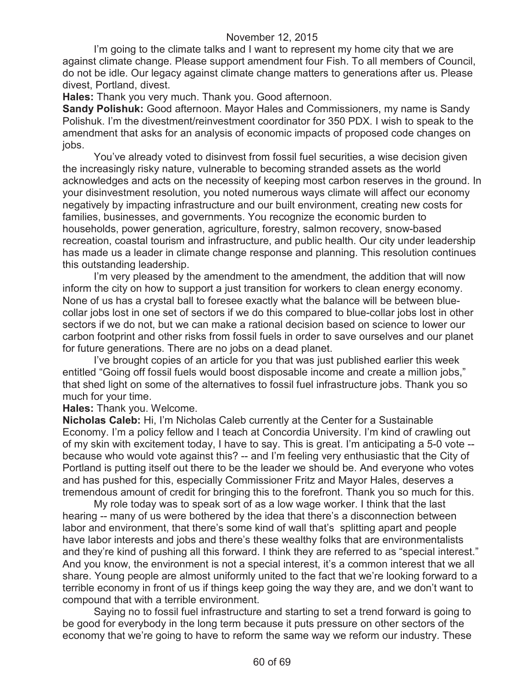I'm going to the climate talks and I want to represent my home city that we are against climate change. Please support amendment four Fish. To all members of Council, do not be idle. Our legacy against climate change matters to generations after us. Please divest, Portland, divest.

**Hales:** Thank you very much. Thank you. Good afternoon.

**Sandy Polishuk:** Good afternoon. Mayor Hales and Commissioners, my name is Sandy Polishuk. I'm the divestment/reinvestment coordinator for 350 PDX. I wish to speak to the amendment that asks for an analysis of economic impacts of proposed code changes on jobs.

You've already voted to disinvest from fossil fuel securities, a wise decision given the increasingly risky nature, vulnerable to becoming stranded assets as the world acknowledges and acts on the necessity of keeping most carbon reserves in the ground. In your disinvestment resolution, you noted numerous ways climate will affect our economy negatively by impacting infrastructure and our built environment, creating new costs for families, businesses, and governments. You recognize the economic burden to households, power generation, agriculture, forestry, salmon recovery, snow-based recreation, coastal tourism and infrastructure, and public health. Our city under leadership has made us a leader in climate change response and planning. This resolution continues this outstanding leadership.

I'm very pleased by the amendment to the amendment, the addition that will now inform the city on how to support a just transition for workers to clean energy economy. None of us has a crystal ball to foresee exactly what the balance will be between bluecollar jobs lost in one set of sectors if we do this compared to blue-collar jobs lost in other sectors if we do not, but we can make a rational decision based on science to lower our carbon footprint and other risks from fossil fuels in order to save ourselves and our planet for future generations. There are no jobs on a dead planet.

I've brought copies of an article for you that was just published earlier this week entitled "Going off fossil fuels would boost disposable income and create a million jobs," that shed light on some of the alternatives to fossil fuel infrastructure jobs. Thank you so much for your time.

**Hales:** Thank you. Welcome.

**Nicholas Caleb:** Hi, I'm Nicholas Caleb currently at the Center for a Sustainable Economy. I'm a policy fellow and I teach at Concordia University. I'm kind of crawling out of my skin with excitement today, I have to say. This is great. I'm anticipating a 5-0 vote - because who would vote against this? -- and I'm feeling very enthusiastic that the City of Portland is putting itself out there to be the leader we should be. And everyone who votes and has pushed for this, especially Commissioner Fritz and Mayor Hales, deserves a tremendous amount of credit for bringing this to the forefront. Thank you so much for this.

My role today was to speak sort of as a low wage worker. I think that the last hearing -- many of us were bothered by the idea that there's a disconnection between labor and environment, that there's some kind of wall that's splitting apart and people have labor interests and jobs and there's these wealthy folks that are environmentalists and they're kind of pushing all this forward. I think they are referred to as "special interest." And you know, the environment is not a special interest, it's a common interest that we all share. Young people are almost uniformly united to the fact that we're looking forward to a terrible economy in front of us if things keep going the way they are, and we don't want to compound that with a terrible environment.

Saying no to fossil fuel infrastructure and starting to set a trend forward is going to be good for everybody in the long term because it puts pressure on other sectors of the economy that we're going to have to reform the same way we reform our industry. These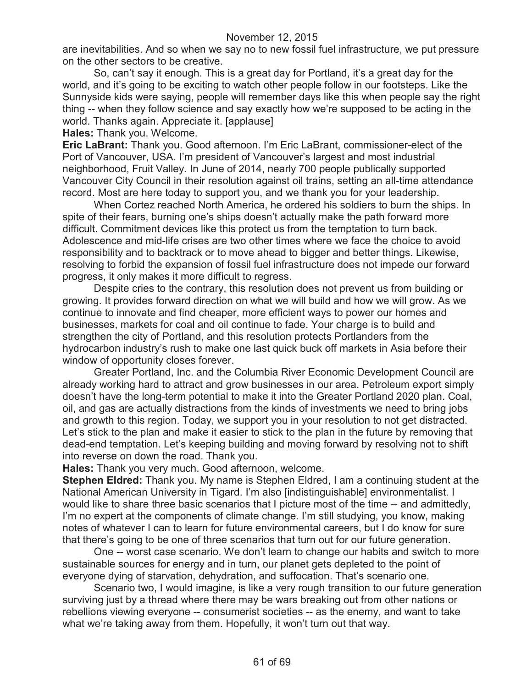are inevitabilities. And so when we say no to new fossil fuel infrastructure, we put pressure on the other sectors to be creative.

So, can't say it enough. This is a great day for Portland, it's a great day for the world, and it's going to be exciting to watch other people follow in our footsteps. Like the Sunnyside kids were saying, people will remember days like this when people say the right thing -- when they follow science and say exactly how we're supposed to be acting in the world. Thanks again. Appreciate it. [applause]

**Hales:** Thank you. Welcome.

**Eric LaBrant:** Thank you. Good afternoon. I'm Eric LaBrant, commissioner-elect of the Port of Vancouver, USA. I'm president of Vancouver's largest and most industrial neighborhood, Fruit Valley. In June of 2014, nearly 700 people publically supported Vancouver City Council in their resolution against oil trains, setting an all-time attendance record. Most are here today to support you, and we thank you for your leadership.

When Cortez reached North America, he ordered his soldiers to burn the ships. In spite of their fears, burning one's ships doesn't actually make the path forward more difficult. Commitment devices like this protect us from the temptation to turn back. Adolescence and mid-life crises are two other times where we face the choice to avoid responsibility and to backtrack or to move ahead to bigger and better things. Likewise, resolving to forbid the expansion of fossil fuel infrastructure does not impede our forward progress, it only makes it more difficult to regress.

Despite cries to the contrary, this resolution does not prevent us from building or growing. It provides forward direction on what we will build and how we will grow. As we continue to innovate and find cheaper, more efficient ways to power our homes and businesses, markets for coal and oil continue to fade. Your charge is to build and strengthen the city of Portland, and this resolution protects Portlanders from the hydrocarbon industry's rush to make one last quick buck off markets in Asia before their window of opportunity closes forever.

Greater Portland, Inc. and the Columbia River Economic Development Council are already working hard to attract and grow businesses in our area. Petroleum export simply doesn't have the long-term potential to make it into the Greater Portland 2020 plan. Coal, oil, and gas are actually distractions from the kinds of investments we need to bring jobs and growth to this region. Today, we support you in your resolution to not get distracted. Let's stick to the plan and make it easier to stick to the plan in the future by removing that dead-end temptation. Let's keeping building and moving forward by resolving not to shift into reverse on down the road. Thank you.

**Hales:** Thank you very much. Good afternoon, welcome.

**Stephen Eldred:** Thank you. My name is Stephen Eldred, I am a continuing student at the National American University in Tigard. I'm also [indistinguishable] environmentalist. I would like to share three basic scenarios that I picture most of the time -- and admittedly, I'm no expert at the components of climate change. I'm still studying, you know, making notes of whatever I can to learn for future environmental careers, but I do know for sure that there's going to be one of three scenarios that turn out for our future generation.

One -- worst case scenario. We don't learn to change our habits and switch to more sustainable sources for energy and in turn, our planet gets depleted to the point of everyone dying of starvation, dehydration, and suffocation. That's scenario one.

Scenario two, I would imagine, is like a very rough transition to our future generation surviving just by a thread where there may be wars breaking out from other nations or rebellions viewing everyone -- consumerist societies -- as the enemy, and want to take what we're taking away from them. Hopefully, it won't turn out that way.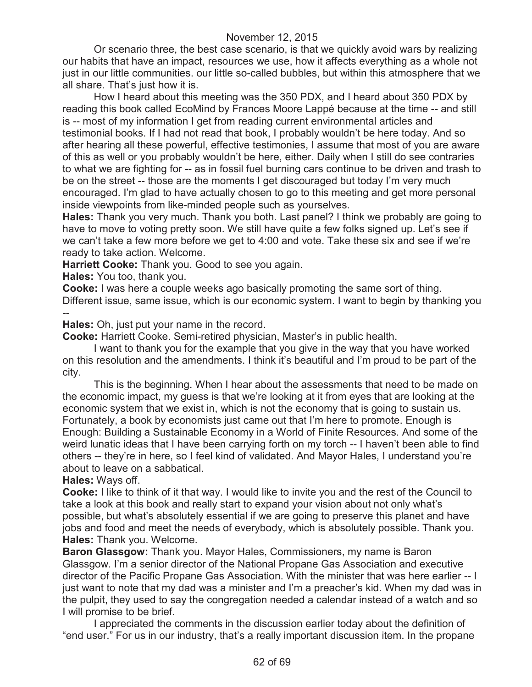Or scenario three, the best case scenario, is that we quickly avoid wars by realizing our habits that have an impact, resources we use, how it affects everything as a whole not just in our little communities. our little so-called bubbles, but within this atmosphere that we all share. That's just how it is.

How I heard about this meeting was the 350 PDX, and I heard about 350 PDX by reading this book called EcoMind by Frances Moore Lappé because at the time -- and still is -- most of my information I get from reading current environmental articles and testimonial books. If I had not read that book, I probably wouldn't be here today. And so after hearing all these powerful, effective testimonies, I assume that most of you are aware of this as well or you probably wouldn't be here, either. Daily when I still do see contraries to what we are fighting for -- as in fossil fuel burning cars continue to be driven and trash to be on the street -- those are the moments I get discouraged but today I'm very much encouraged. I'm glad to have actually chosen to go to this meeting and get more personal inside viewpoints from like-minded people such as yourselves.

**Hales:** Thank you very much. Thank you both. Last panel? I think we probably are going to have to move to voting pretty soon. We still have quite a few folks signed up. Let's see if we can't take a few more before we get to 4:00 and vote. Take these six and see if we're ready to take action. Welcome.

**Harriett Cooke:** Thank you. Good to see you again.

**Hales:** You too, thank you.

**Cooke:** I was here a couple weeks ago basically promoting the same sort of thing. Different issue, same issue, which is our economic system. I want to begin by thanking you --

**Hales:** Oh, just put your name in the record.

**Cooke:** Harriett Cooke. Semi-retired physician, Master's in public health.

I want to thank you for the example that you give in the way that you have worked on this resolution and the amendments. I think it's beautiful and I'm proud to be part of the city.

This is the beginning. When I hear about the assessments that need to be made on the economic impact, my guess is that we're looking at it from eyes that are looking at the economic system that we exist in, which is not the economy that is going to sustain us. Fortunately, a book by economists just came out that I'm here to promote. Enough is Enough: Building a Sustainable Economy in a World of Finite Resources. And some of the weird lunatic ideas that I have been carrying forth on my torch -- I haven't been able to find others -- they're in here, so I feel kind of validated. And Mayor Hales, I understand you're about to leave on a sabbatical.

**Hales:** Ways off.

**Cooke:** I like to think of it that way. I would like to invite you and the rest of the Council to take a look at this book and really start to expand your vision about not only what's possible, but what's absolutely essential if we are going to preserve this planet and have jobs and food and meet the needs of everybody, which is absolutely possible. Thank you. **Hales:** Thank you. Welcome.

**Baron Glassgow:** Thank you. Mayor Hales, Commissioners, my name is Baron Glassgow. I'm a senior director of the National Propane Gas Association and executive director of the Pacific Propane Gas Association. With the minister that was here earlier -- I just want to note that my dad was a minister and I'm a preacher's kid. When my dad was in the pulpit, they used to say the congregation needed a calendar instead of a watch and so I will promise to be brief.

I appreciated the comments in the discussion earlier today about the definition of "end user." For us in our industry, that's a really important discussion item. In the propane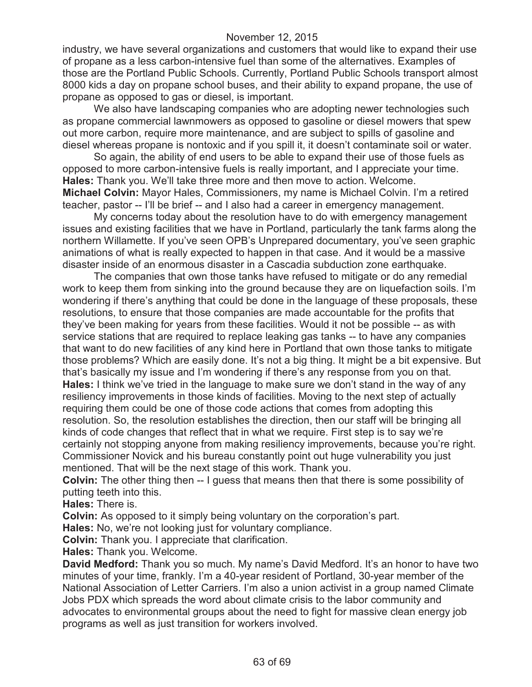industry, we have several organizations and customers that would like to expand their use of propane as a less carbon-intensive fuel than some of the alternatives. Examples of those are the Portland Public Schools. Currently, Portland Public Schools transport almost 8000 kids a day on propane school buses, and their ability to expand propane, the use of propane as opposed to gas or diesel, is important.

We also have landscaping companies who are adopting newer technologies such as propane commercial lawnmowers as opposed to gasoline or diesel mowers that spew out more carbon, require more maintenance, and are subject to spills of gasoline and diesel whereas propane is nontoxic and if you spill it, it doesn't contaminate soil or water.

So again, the ability of end users to be able to expand their use of those fuels as opposed to more carbon-intensive fuels is really important, and I appreciate your time. **Hales:** Thank you. We'll take three more and then move to action. Welcome. **Michael Colvin:** Mayor Hales, Commissioners, my name is Michael Colvin. I'm a retired teacher, pastor -- I'll be brief -- and I also had a career in emergency management.

My concerns today about the resolution have to do with emergency management issues and existing facilities that we have in Portland, particularly the tank farms along the northern Willamette. If you've seen OPB's Unprepared documentary, you've seen graphic animations of what is really expected to happen in that case. And it would be a massive disaster inside of an enormous disaster in a Cascadia subduction zone earthquake.

The companies that own those tanks have refused to mitigate or do any remedial work to keep them from sinking into the ground because they are on liquefaction soils. I'm wondering if there's anything that could be done in the language of these proposals, these resolutions, to ensure that those companies are made accountable for the profits that they've been making for years from these facilities. Would it not be possible -- as with service stations that are required to replace leaking gas tanks -- to have any companies that want to do new facilities of any kind here in Portland that own those tanks to mitigate those problems? Which are easily done. It's not a big thing. It might be a bit expensive. But that's basically my issue and I'm wondering if there's any response from you on that. **Hales:** I think we've tried in the language to make sure we don't stand in the way of any resiliency improvements in those kinds of facilities. Moving to the next step of actually requiring them could be one of those code actions that comes from adopting this resolution. So, the resolution establishes the direction, then our staff will be bringing all kinds of code changes that reflect that in what we require. First step is to say we're certainly not stopping anyone from making resiliency improvements, because you're right. Commissioner Novick and his bureau constantly point out huge vulnerability you just mentioned. That will be the next stage of this work. Thank you.

**Colvin:** The other thing then -- I guess that means then that there is some possibility of putting teeth into this.

**Hales:** There is.

**Colvin:** As opposed to it simply being voluntary on the corporation's part.

**Hales:** No, we're not looking just for voluntary compliance.

**Colvin:** Thank you. I appreciate that clarification.

**Hales:** Thank you. Welcome.

**David Medford:** Thank you so much. My name's David Medford. It's an honor to have two minutes of your time, frankly. I'm a 40-year resident of Portland, 30-year member of the National Association of Letter Carriers. I'm also a union activist in a group named Climate Jobs PDX which spreads the word about climate crisis to the labor community and advocates to environmental groups about the need to fight for massive clean energy job programs as well as just transition for workers involved.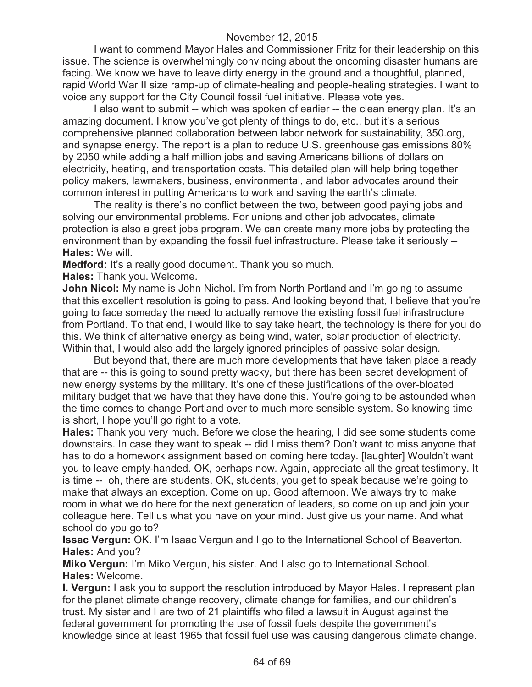I want to commend Mayor Hales and Commissioner Fritz for their leadership on this issue. The science is overwhelmingly convincing about the oncoming disaster humans are facing. We know we have to leave dirty energy in the ground and a thoughtful, planned, rapid World War II size ramp-up of climate-healing and people-healing strategies. I want to voice any support for the City Council fossil fuel initiative. Please vote yes.

I also want to submit -- which was spoken of earlier -- the clean energy plan. It's an amazing document. I know you've got plenty of things to do, etc., but it's a serious comprehensive planned collaboration between labor network for sustainability, 350.org, and synapse energy. The report is a plan to reduce U.S. greenhouse gas emissions 80% by 2050 while adding a half million jobs and saving Americans billions of dollars on electricity, heating, and transportation costs. This detailed plan will help bring together policy makers, lawmakers, business, environmental, and labor advocates around their common interest in putting Americans to work and saving the earth's climate.

The reality is there's no conflict between the two, between good paying jobs and solving our environmental problems. For unions and other job advocates, climate protection is also a great jobs program. We can create many more jobs by protecting the environment than by expanding the fossil fuel infrastructure. Please take it seriously -- **Hales:** We will.

**Medford:** It's a really good document. Thank you so much.

**Hales:** Thank you. Welcome.

**John Nicol:** My name is John Nichol. I'm from North Portland and I'm going to assume that this excellent resolution is going to pass. And looking beyond that, I believe that you're going to face someday the need to actually remove the existing fossil fuel infrastructure from Portland. To that end, I would like to say take heart, the technology is there for you do this. We think of alternative energy as being wind, water, solar production of electricity. Within that, I would also add the largely ignored principles of passive solar design.

But beyond that, there are much more developments that have taken place already that are -- this is going to sound pretty wacky, but there has been secret development of new energy systems by the military. It's one of these justifications of the over-bloated military budget that we have that they have done this. You're going to be astounded when the time comes to change Portland over to much more sensible system. So knowing time is short, I hope you'll go right to a vote.

**Hales:** Thank you very much. Before we close the hearing, I did see some students come downstairs. In case they want to speak -- did I miss them? Don't want to miss anyone that has to do a homework assignment based on coming here today. [laughter] Wouldn't want you to leave empty-handed. OK, perhaps now. Again, appreciate all the great testimony. It is time -- oh, there are students. OK, students, you get to speak because we're going to make that always an exception. Come on up. Good afternoon. We always try to make room in what we do here for the next generation of leaders, so come on up and join your colleague here. Tell us what you have on your mind. Just give us your name. And what school do you go to?

**Issac Vergun:** OK. I'm Isaac Vergun and I go to the International School of Beaverton. **Hales:** And you?

**Miko Vergun:** I'm Miko Vergun, his sister. And I also go to International School. **Hales:** Welcome.

**I. Vergun:** I ask you to support the resolution introduced by Mayor Hales. I represent plan for the planet climate change recovery, climate change for families, and our children's trust. My sister and I are two of 21 plaintiffs who filed a lawsuit in August against the federal government for promoting the use of fossil fuels despite the government's knowledge since at least 1965 that fossil fuel use was causing dangerous climate change.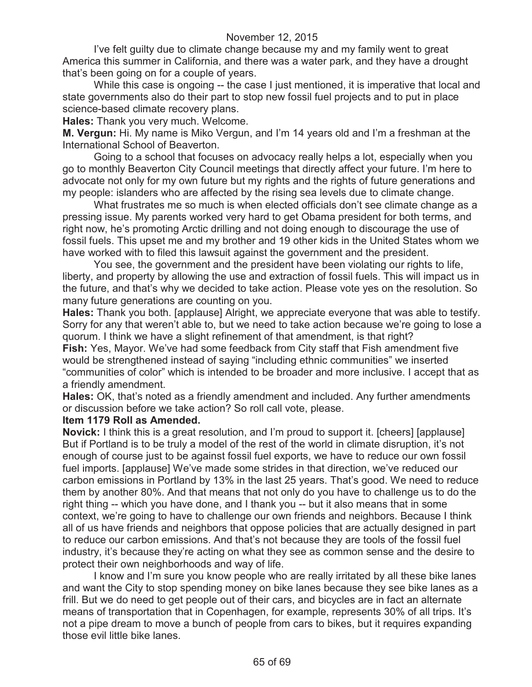I've felt guilty due to climate change because my and my family went to great America this summer in California, and there was a water park, and they have a drought that's been going on for a couple of years.

While this case is ongoing -- the case I just mentioned, it is imperative that local and state governments also do their part to stop new fossil fuel projects and to put in place science-based climate recovery plans.

**Hales:** Thank you very much. Welcome.

**M. Vergun:** Hi. My name is Miko Vergun, and I'm 14 years old and I'm a freshman at the International School of Beaverton.

Going to a school that focuses on advocacy really helps a lot, especially when you go to monthly Beaverton City Council meetings that directly affect your future. I'm here to advocate not only for my own future but my rights and the rights of future generations and my people: islanders who are affected by the rising sea levels due to climate change.

What frustrates me so much is when elected officials don't see climate change as a pressing issue. My parents worked very hard to get Obama president for both terms, and right now, he's promoting Arctic drilling and not doing enough to discourage the use of fossil fuels. This upset me and my brother and 19 other kids in the United States whom we have worked with to filed this lawsuit against the government and the president.

You see, the government and the president have been violating our rights to life, liberty, and property by allowing the use and extraction of fossil fuels. This will impact us in the future, and that's why we decided to take action. Please vote yes on the resolution. So many future generations are counting on you.

**Hales:** Thank you both. [applause] Alright, we appreciate everyone that was able to testify. Sorry for any that weren't able to, but we need to take action because we're going to lose a quorum. I think we have a slight refinement of that amendment, is that right?

**Fish:** Yes, Mayor. We've had some feedback from City staff that Fish amendment five would be strengthened instead of saying "including ethnic communities" we inserted "communities of color" which is intended to be broader and more inclusive. I accept that as a friendly amendment.

**Hales:** OK, that's noted as a friendly amendment and included. Any further amendments or discussion before we take action? So roll call vote, please.

### **Item 1179 Roll as Amended.**

**Novick:** I think this is a great resolution, and I'm proud to support it. [cheers] [applause] But if Portland is to be truly a model of the rest of the world in climate disruption, it's not enough of course just to be against fossil fuel exports, we have to reduce our own fossil fuel imports. [applause] We've made some strides in that direction, we've reduced our carbon emissions in Portland by 13% in the last 25 years. That's good. We need to reduce them by another 80%. And that means that not only do you have to challenge us to do the right thing -- which you have done, and I thank you -- but it also means that in some context, we're going to have to challenge our own friends and neighbors. Because I think all of us have friends and neighbors that oppose policies that are actually designed in part to reduce our carbon emissions. And that's not because they are tools of the fossil fuel industry, it's because they're acting on what they see as common sense and the desire to protect their own neighborhoods and way of life.

I know and I'm sure you know people who are really irritated by all these bike lanes and want the City to stop spending money on bike lanes because they see bike lanes as a frill. But we do need to get people out of their cars, and bicycles are in fact an alternate means of transportation that in Copenhagen, for example, represents 30% of all trips. It's not a pipe dream to move a bunch of people from cars to bikes, but it requires expanding those evil little bike lanes.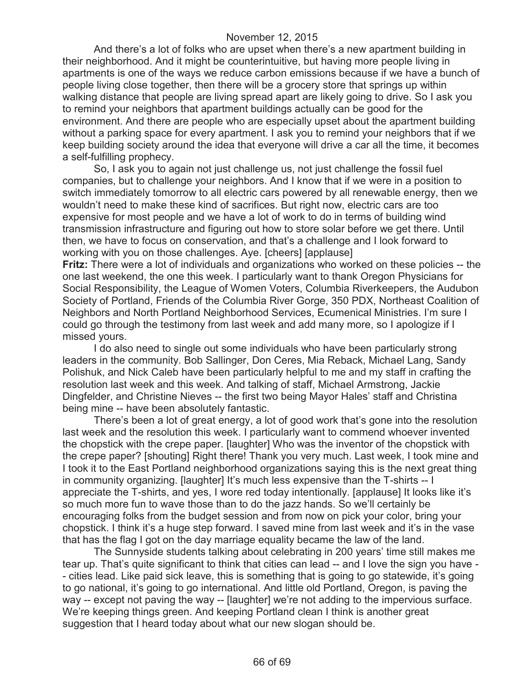And there's a lot of folks who are upset when there's a new apartment building in their neighborhood. And it might be counterintuitive, but having more people living in apartments is one of the ways we reduce carbon emissions because if we have a bunch of people living close together, then there will be a grocery store that springs up within walking distance that people are living spread apart are likely going to drive. So I ask you to remind your neighbors that apartment buildings actually can be good for the environment. And there are people who are especially upset about the apartment building without a parking space for every apartment. I ask you to remind your neighbors that if we keep building society around the idea that everyone will drive a car all the time, it becomes a self-fulfilling prophecy.

So, I ask you to again not just challenge us, not just challenge the fossil fuel companies, but to challenge your neighbors. And I know that if we were in a position to switch immediately tomorrow to all electric cars powered by all renewable energy, then we wouldn't need to make these kind of sacrifices. But right now, electric cars are too expensive for most people and we have a lot of work to do in terms of building wind transmission infrastructure and figuring out how to store solar before we get there. Until then, we have to focus on conservation, and that's a challenge and I look forward to working with you on those challenges. Aye. [cheers] [applause]

**Fritz:** There were a lot of individuals and organizations who worked on these policies -- the one last weekend, the one this week. I particularly want to thank Oregon Physicians for Social Responsibility, the League of Women Voters, Columbia Riverkeepers, the Audubon Society of Portland, Friends of the Columbia River Gorge, 350 PDX, Northeast Coalition of Neighbors and North Portland Neighborhood Services, Ecumenical Ministries. I'm sure I could go through the testimony from last week and add many more, so I apologize if I missed yours.

I do also need to single out some individuals who have been particularly strong leaders in the community. Bob Sallinger, Don Ceres, Mia Reback, Michael Lang, Sandy Polishuk, and Nick Caleb have been particularly helpful to me and my staff in crafting the resolution last week and this week. And talking of staff, Michael Armstrong, Jackie Dingfelder, and Christine Nieves -- the first two being Mayor Hales' staff and Christina being mine -- have been absolutely fantastic.

There's been a lot of great energy, a lot of good work that's gone into the resolution last week and the resolution this week. I particularly want to commend whoever invented the chopstick with the crepe paper. [laughter] Who was the inventor of the chopstick with the crepe paper? [shouting] Right there! Thank you very much. Last week, I took mine and I took it to the East Portland neighborhood organizations saying this is the next great thing in community organizing. [laughter] It's much less expensive than the T-shirts -- I appreciate the T-shirts, and yes, I wore red today intentionally. [applause] It looks like it's so much more fun to wave those than to do the jazz hands. So we'll certainly be encouraging folks from the budget session and from now on pick your color, bring your chopstick. I think it's a huge step forward. I saved mine from last week and it's in the vase that has the flag I got on the day marriage equality became the law of the land.

The Sunnyside students talking about celebrating in 200 years' time still makes me tear up. That's quite significant to think that cities can lead -- and I love the sign you have - - cities lead. Like paid sick leave, this is something that is going to go statewide, it's going to go national, it's going to go international. And little old Portland, Oregon, is paving the way -- except not paving the way -- [laughter] we're not adding to the impervious surface. We're keeping things green. And keeping Portland clean I think is another great suggestion that I heard today about what our new slogan should be.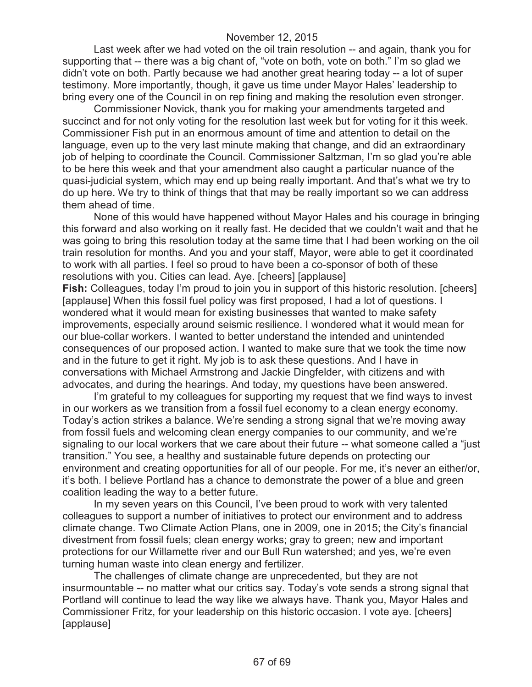Last week after we had voted on the oil train resolution -- and again, thank you for supporting that -- there was a big chant of, "vote on both, vote on both." I'm so glad we didn't vote on both. Partly because we had another great hearing today -- a lot of super testimony. More importantly, though, it gave us time under Mayor Hales' leadership to bring every one of the Council in on rep fining and making the resolution even stronger.

Commissioner Novick, thank you for making your amendments targeted and succinct and for not only voting for the resolution last week but for voting for it this week. Commissioner Fish put in an enormous amount of time and attention to detail on the language, even up to the very last minute making that change, and did an extraordinary job of helping to coordinate the Council. Commissioner Saltzman, I'm so glad you're able to be here this week and that your amendment also caught a particular nuance of the quasi-judicial system, which may end up being really important. And that's what we try to do up here. We try to think of things that that may be really important so we can address them ahead of time.

None of this would have happened without Mayor Hales and his courage in bringing this forward and also working on it really fast. He decided that we couldn't wait and that he was going to bring this resolution today at the same time that I had been working on the oil train resolution for months. And you and your staff, Mayor, were able to get it coordinated to work with all parties. I feel so proud to have been a co-sponsor of both of these resolutions with you. Cities can lead. Aye. [cheers] [applause] **Fish:** Colleagues, today I'm proud to join you in support of this historic resolution. [cheers]

[applause] When this fossil fuel policy was first proposed, I had a lot of questions. I wondered what it would mean for existing businesses that wanted to make safety improvements, especially around seismic resilience. I wondered what it would mean for our blue-collar workers. I wanted to better understand the intended and unintended consequences of our proposed action. I wanted to make sure that we took the time now and in the future to get it right. My job is to ask these questions. And I have in conversations with Michael Armstrong and Jackie Dingfelder, with citizens and with advocates, and during the hearings. And today, my questions have been answered.

I'm grateful to my colleagues for supporting my request that we find ways to invest in our workers as we transition from a fossil fuel economy to a clean energy economy. Today's action strikes a balance. We're sending a strong signal that we're moving away from fossil fuels and welcoming clean energy companies to our community, and we're signaling to our local workers that we care about their future -- what someone called a "just transition." You see, a healthy and sustainable future depends on protecting our environment and creating opportunities for all of our people. For me, it's never an either/or, it's both. I believe Portland has a chance to demonstrate the power of a blue and green coalition leading the way to a better future.

In my seven years on this Council, I've been proud to work with very talented colleagues to support a number of initiatives to protect our environment and to address climate change. Two Climate Action Plans, one in 2009, one in 2015; the City's financial divestment from fossil fuels; clean energy works; gray to green; new and important protections for our Willamette river and our Bull Run watershed; and yes, we're even turning human waste into clean energy and fertilizer.

The challenges of climate change are unprecedented, but they are not insurmountable -- no matter what our critics say. Today's vote sends a strong signal that Portland will continue to lead the way like we always have. Thank you, Mayor Hales and Commissioner Fritz, for your leadership on this historic occasion. I vote aye. [cheers] [applause]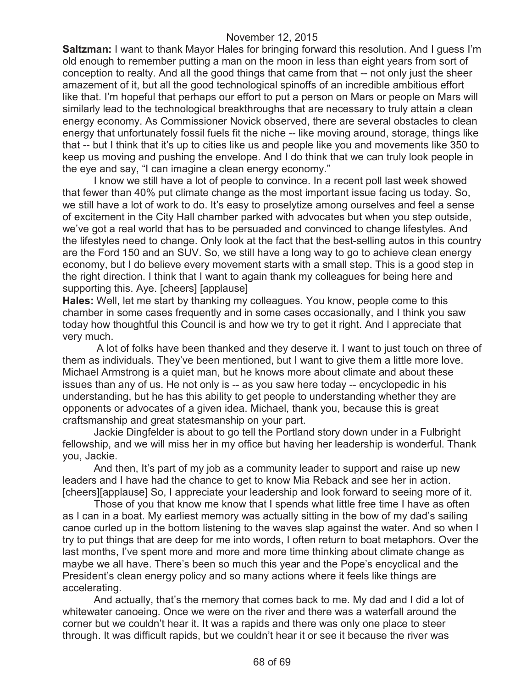**Saltzman:** I want to thank Mayor Hales for bringing forward this resolution. And I guess I'm old enough to remember putting a man on the moon in less than eight years from sort of conception to realty. And all the good things that came from that -- not only just the sheer amazement of it, but all the good technological spinoffs of an incredible ambitious effort like that. I'm hopeful that perhaps our effort to put a person on Mars or people on Mars will similarly lead to the technological breakthroughs that are necessary to truly attain a clean energy economy. As Commissioner Novick observed, there are several obstacles to clean energy that unfortunately fossil fuels fit the niche -- like moving around, storage, things like that -- but I think that it's up to cities like us and people like you and movements like 350 to keep us moving and pushing the envelope. And I do think that we can truly look people in the eye and say, "I can imagine a clean energy economy."

I know we still have a lot of people to convince. In a recent poll last week showed that fewer than 40% put climate change as the most important issue facing us today. So, we still have a lot of work to do. It's easy to proselytize among ourselves and feel a sense of excitement in the City Hall chamber parked with advocates but when you step outside, we've got a real world that has to be persuaded and convinced to change lifestyles. And the lifestyles need to change. Only look at the fact that the best-selling autos in this country are the Ford 150 and an SUV. So, we still have a long way to go to achieve clean energy economy, but I do believe every movement starts with a small step. This is a good step in the right direction. I think that I want to again thank my colleagues for being here and supporting this. Aye. [cheers] [applause]

**Hales:** Well, let me start by thanking my colleagues. You know, people come to this chamber in some cases frequently and in some cases occasionally, and I think you saw today how thoughtful this Council is and how we try to get it right. And I appreciate that very much.

A lot of folks have been thanked and they deserve it. I want to just touch on three of them as individuals. They've been mentioned, but I want to give them a little more love. Michael Armstrong is a quiet man, but he knows more about climate and about these issues than any of us. He not only is -- as you saw here today -- encyclopedic in his understanding, but he has this ability to get people to understanding whether they are opponents or advocates of a given idea. Michael, thank you, because this is great craftsmanship and great statesmanship on your part.

Jackie Dingfelder is about to go tell the Portland story down under in a Fulbright fellowship, and we will miss her in my office but having her leadership is wonderful. Thank you, Jackie.

And then, It's part of my job as a community leader to support and raise up new leaders and I have had the chance to get to know Mia Reback and see her in action. [cheers][applause] So, I appreciate your leadership and look forward to seeing more of it.

Those of you that know me know that I spends what little free time I have as often as I can in a boat. My earliest memory was actually sitting in the bow of my dad's sailing canoe curled up in the bottom listening to the waves slap against the water. And so when I try to put things that are deep for me into words, I often return to boat metaphors. Over the last months, I've spent more and more and more time thinking about climate change as maybe we all have. There's been so much this year and the Pope's encyclical and the President's clean energy policy and so many actions where it feels like things are accelerating.

And actually, that's the memory that comes back to me. My dad and I did a lot of whitewater canoeing. Once we were on the river and there was a waterfall around the corner but we couldn't hear it. It was a rapids and there was only one place to steer through. It was difficult rapids, but we couldn't hear it or see it because the river was